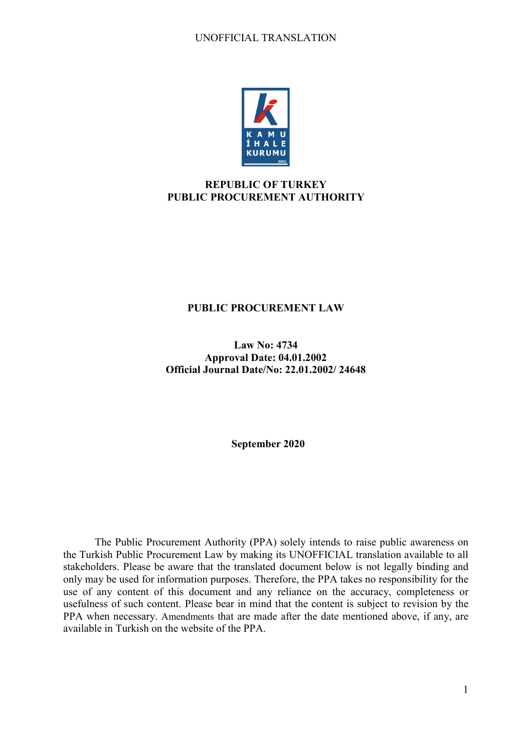

# **REPUBLIC OF TURKEY PUBLIC PROCUREMENT AUTHORITY**

# **PUBLIC PROCUREMENT LAW**

**Law No: 4734 Approval Date: 04.01.2002 Official Journal Date/No: 22.01.2002/ 24648**

**September 2020**

The Public Procurement Authority (PPA) solely intends to raise public awareness on the Turkish Public Procurement Law by making its UNOFFICIAL translation available to all stakeholders. Please be aware that the translated document below is not legally binding and only may be used for information purposes. Therefore, the PPA takes no responsibility for the use of any content of this document and any reliance on the accuracy, completeness or usefulness of such content. Please bear in mind that the content is subject to revision by the PPA when necessary. Amendments that are made after the date mentioned above, if any, are available in Turkish on the website of the PPA.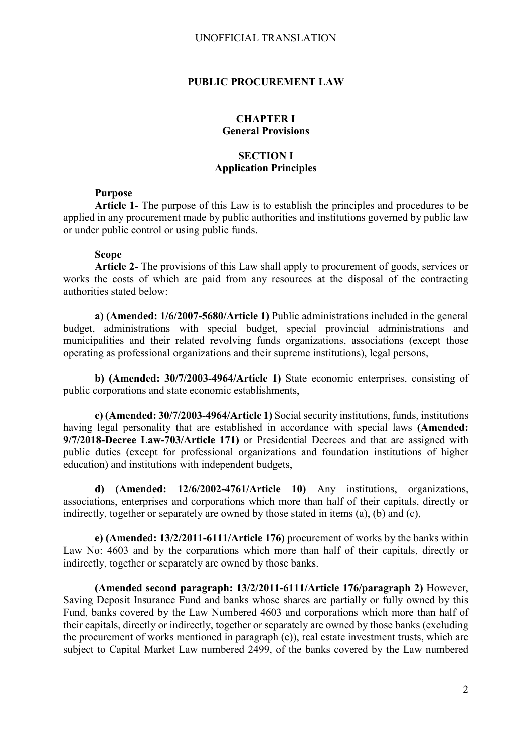#### **PUBLIC PROCUREMENT LAW**

### **CHAPTER I General Provisions**

# **SECTION I Application Principles**

### **Purpose**

**Article 1-** The purpose of this Law is to establish the principles and procedures to be applied in any procurement made by public authorities and institutions governed by public law or under public control or using public funds.

### **Scope**

**Article 2-** The provisions of this Law shall apply to procurement of goods, services or works the costs of which are paid from any resources at the disposal of the contracting authorities stated below:

**a) (Amended: 1/6/2007-5680/Article 1)** Public administrations included in the general budget, administrations with special budget, special provincial administrations and municipalities and their related revolving funds organizations, associations (except those operating as professional organizations and their supreme institutions), legal persons,

**b) (Amended: 30/7/2003-4964/Article 1)** State economic enterprises, consisting of public corporations and state economic establishments,

**c) (Amended: 30/7/2003-4964/Article 1)** Social security institutions, funds, institutions having legal personality that are established in accordance with special laws **(Amended: 9/7/2018-Decree Law-703/Article 171)** or Presidential Decrees and that are assigned with public duties (except for professional organizations and foundation institutions of higher education) and institutions with independent budgets,

**d) (Amended: 12/6/2002-4761/Article 10)** Any institutions, organizations, associations, enterprises and corporations which more than half of their capitals, directly or indirectly, together or separately are owned by those stated in items (a), (b) and (c),

**e) (Amended: 13/2/2011-6111/Article 176)** procurement of works by the banks within Law No: 4603 and by the corparations which more than half of their capitals, directly or indirectly, together or separately are owned by those banks.

**(Amended second paragraph: 13/2/2011-6111/Article 176/paragraph 2)** However, Saving Deposit Insurance Fund and banks whose shares are partially or fully owned by this Fund, banks covered by the Law Numbered 4603 and corporations which more than half of their capitals, directly or indirectly, together or separately are owned by those banks (excluding the procurement of works mentioned in paragraph (e)), real estate investment trusts, which are subject to Capital Market Law numbered 2499, of the banks covered by the Law numbered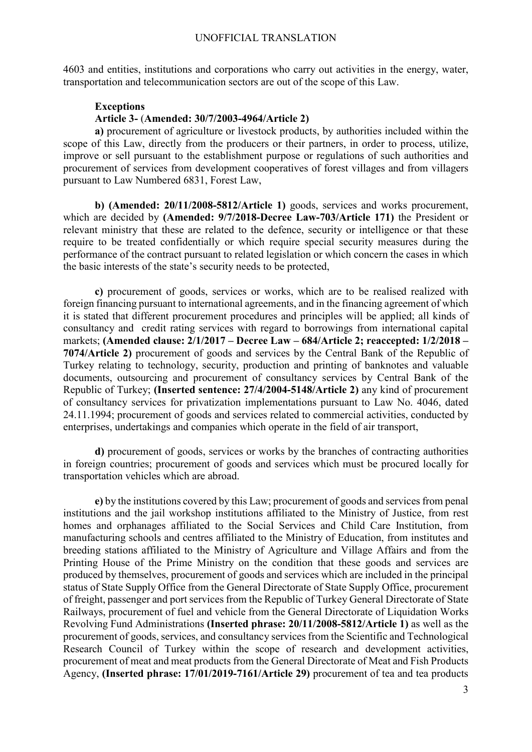4603 and entities, institutions and corporations who carry out activities in the energy, water, transportation and telecommunication sectors are out of the scope of this Law.

#### **Exceptions Article 3-** (**Amended: 30/7/2003-4964/Article 2)**

**a)** procurement of agriculture or livestock products, by authorities included within the scope of this Law, directly from the producers or their partners, in order to process, utilize, improve or sell pursuant to the establishment purpose or regulations of such authorities and procurement of services from development cooperatives of forest villages and from villagers pursuant to Law Numbered 6831, Forest Law,

**b) (Amended: 20/11/2008-5812/Article 1)** goods, services and works procurement, which are decided by **(Amended: 9/7/2018-Decree Law-703/Article 171)** the President or relevant ministry that these are related to the defence, security or intelligence or that these require to be treated confidentially or which require special security measures during the performance of the contract pursuant to related legislation or which concern the cases in which the basic interests of the state's security needs to be protected,

**c)** procurement of goods, services or works, which are to be realised realized with foreign financing pursuant to international agreements, and in the financing agreement of which it is stated that different procurement procedures and principles will be applied; all kinds of consultancy and credit rating services with regard to borrowings from international capital markets; **(Amended clause: 2/1/2017 – Decree Law – 684/Article 2; reaccepted: 1/2/2018 – 7074/Article 2)** procurement of goods and services by the Central Bank of the Republic of Turkey relating to technology, security, production and printing of banknotes and valuable documents, outsourcing and procurement of consultancy services by Central Bank of the Republic of Turkey; **(Inserted sentence: 27/4/2004-5148/Article 2)** any kind of procurement of consultancy services for privatization implementations pursuant to Law No. 4046, dated 24.11.1994; procurement of goods and services related to commercial activities, conducted by enterprises, undertakings and companies which operate in the field of air transport,

**d)** procurement of goods, services or works by the branches of contracting authorities in foreign countries; procurement of goods and services which must be procured locally for transportation vehicles which are abroad.

**e)** by the institutions covered by this Law; procurement of goods and services from penal institutions and the jail workshop institutions affiliated to the Ministry of Justice, from rest homes and orphanages affiliated to the Social Services and Child Care Institution, from manufacturing schools and centres affiliated to the Ministry of Education, from institutes and breeding stations affiliated to the Ministry of Agriculture and Village Affairs and from the Printing House of the Prime Ministry on the condition that these goods and services are produced by themselves, procurement of goods and services which are included in the principal status of State Supply Office from the General Directorate of State Supply Office, procurement of freight, passenger and port services from the Republic of Turkey General Directorate of State Railways, procurement of fuel and vehicle from the General Directorate of Liquidation Works Revolving Fund Administrations **(Inserted phrase: 20/11/2008-5812/Article 1)** as well as the procurement of goods, services, and consultancy services from the Scientific and Technological Research Council of Turkey within the scope of research and development activities, procurement of meat and meat products from the General Directorate of Meat and Fish Products Agency, **(Inserted phrase: 17/01/2019-7161/Article 29)** procurement of tea and tea products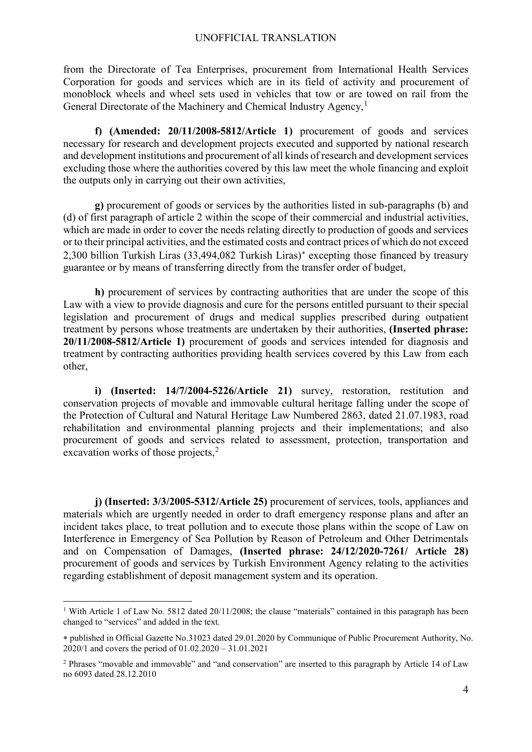from the Directorate of Tea Enterprises, procurement from International Health Services Corporation for goods and services which are in its field of activity and procurement of monoblock wheels and wheel sets used in vehicles that tow or are towed on rail from the General Directorate of the Machinery and Chemical Industry Agency,<sup>[1](#page-3-0)</sup>

**f) (Amended: 20/11/2008-5812/Article 1)** procurement of goods and services necessary for research and development projects executed and supported by national research and development institutions and procurement of all kinds of research and development services excluding those where the authorities covered by this law meet the whole financing and exploit the outputs only in carrying out their own activities,

**g)** procurement of goods or services by the authorities listed in sub-paragraphs (b) and (d) of first paragraph of article 2 within the scope of their commercial and industrial activities, which are made in order to cover the needs relating directly to production of goods and services or to their principal activities, and the estimated costs and contract prices of which do not exceed 2,300 billion Turkish Liras (33,494,082 Turkish Liras)[∗](#page-3-1) excepting those financed by treasury guarantee or by means of transferring directly from the transfer order of budget,

**h)** procurement of services by contracting authorities that are under the scope of this Law with a view to provide diagnosis and cure for the persons entitled pursuant to their special legislation and procurement of drugs and medical supplies prescribed during outpatient treatment by persons whose treatments are undertaken by their authorities, **(Inserted phrase: 20/11/2008-5812/Article 1)** procurement of goods and services intended for diagnosis and treatment by contracting authorities providing health services covered by this Law from each other,

**i) (Inserted: 14/7/2004-5226/Article 21)** survey, restoration, restitution and conservation projects of movable and immovable cultural heritage falling under the scope of the Protection of Cultural and Natural Heritage Law Numbered 2863, dated 21.07.1983, road rehabilitation and environmental planning projects and their implementations; and also procurement of goods and services related to assessment, protection, transportation and excavation works of those projects, $2$ 

**j) (Inserted: 3/3/2005-5312/Article 25)** procurement of services, tools, appliances and materials which are urgently needed in order to draft emergency response plans and after an incident takes place, to treat pollution and to execute those plans within the scope of Law on Interference in Emergency of Sea Pollution by Reason of Petroleum and Other Detrimentals and on Compensation of Damages, **(Inserted phrase: 24/12/2020-7261/ Article 28)** procurement of goods and services by Turkish Environment Agency relating to the activities regarding establishment of deposit management system and its operation.

<span id="page-3-0"></span><sup>&</sup>lt;sup>1</sup> With Article 1 of Law No. 5812 dated 20/11/2008; the clause "materials" contained in this paragraph has been changed to "services" and added in the text.

<span id="page-3-1"></span><sup>∗</sup> published in Official Gazette No.31023 dated 29.01.2020 by Communique of Public Procurement Authority, No. 2020/1 and covers the period of 01.02.2020 – 31.01.2021

<span id="page-3-2"></span><sup>2</sup> Phrases "movable and immovable" and "and conservation" are inserted to this paragraph by Article 14 of Law no 6093 dated 28.12.2010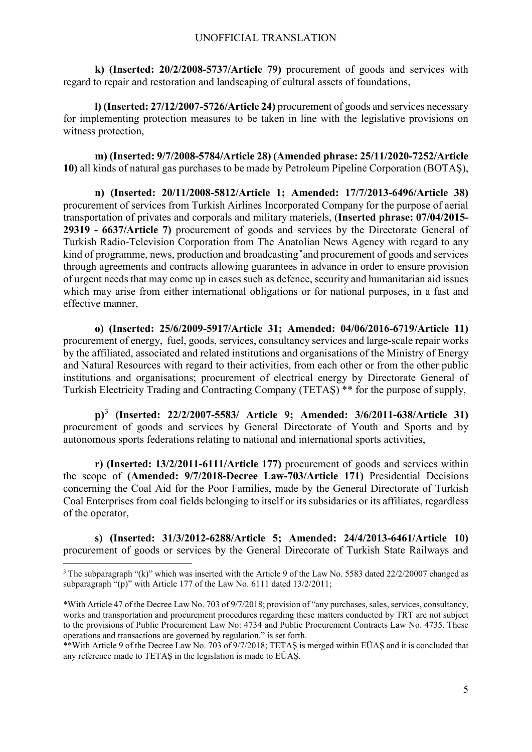**k) (Inserted: 20/2/2008-5737/Article 79)** procurement of goods and services with regard to repair and restoration and landscaping of cultural assets of foundations,

**l) (Inserted: 27/12/2007-5726/Article 24)** procurement of goods and services necessary for implementing protection measures to be taken in line with the legislative provisions on witness protection,

**m) (Inserted: 9/7/2008-5784/Article 28) (Amended phrase: 25/11/2020-7252/Article 10)** all kinds of natural gas purchases to be made by Petroleum Pipeline Corporation (BOTAŞ),

**n) (Inserted: 20/11/2008-5812/Article 1; Amended: 17/7/2013-6496/Article 38)** procurement of services from Turkish Airlines Incorporated Company for the purpose of aerial transportation of privates and corporals and military materiels, (**Inserted phrase: 07/04/2015- 29319 - 6637/Article 7)** procurement of goods and services by the Directorate General of Turkish Radio-Television Corporation from The Anatolian News Agency with regard to any kind of programme, news, production and broadcasting and procurement of goods and services through agreements and contracts allowing guarantees in advance in order to ensure provision of urgent needs that may come up in cases such as defence, security and humanitarian aid issues which may arise from either international obligations or for national purposes, in a fast and effective manner,

**o) (Inserted: 25/6/2009-5917/Article 31; Amended: 04/06/2016-6719/Article 11)** procurement of energy, fuel, goods, services, consultancy services and large-scale repair works by the affiliated, associated and related institutions and organisations of the Ministry of Energy and Natural Resources with regard to their activities, from each other or from the other public institutions and organisations; procurement of electrical energy by Directorate General of Turkish Electricity Trading and Contracting Company (TETAŞ) \*\* for the purpose of supply,

**p)**[3](#page-4-0) **(Inserted: 22/2/2007-5583/ Article 9; Amended: 3/6/2011-638/Article 31)** procurement of goods and services by General Directorate of Youth and Sports and by autonomous sports federations relating to national and international sports activities,

**r) (Inserted: 13/2/2011-6111/Article 177)** procurement of goods and services within the scope of **(Amended: 9/7/2018-Decree Law-703/Article 171)** Presidential Decisions concerning the Coal Aid for the Poor Families, made by the General Directorate of Turkish Coal Enterprises from coal fields belonging to itself or its subsidaries or its affiliates, regardless of the operator,

**s) (Inserted: 31/3/2012-6288/Article 5; Amended: 24/4/2013-6461/Article 10)** procurement of goods or services by the General Direcorate of Turkish State Railways and

<span id="page-4-0"></span><sup>&</sup>lt;sup>3</sup> The subparagraph "(k)" which was inserted with the Article 9 of the Law No. 5583 dated 22/2/20007 changed as subparagraph "(p)" with Article 177 of the Law No. 6111 dated 13/2/2011;

<sup>\*</sup>With Article 47 of the Decree Law No. 703 of 9/7/2018; provision of "any purchases, sales, services, consultancy, works and transportation and procurement procedures regarding these matters conducted by TRT are not subject to the provisions of Public Procurement Law No: 4734 and Public Procurement Contracts Law No. 4735. These operations and transactions are governed by regulation." is set forth.

<sup>\*\*</sup>With Article 9 of the Decree Law No. 703 of 9/7/2018; TETAŞ is merged within EÜAŞ and it is concluded that any reference made to TETAŞ in the legislation is made to EÜAŞ.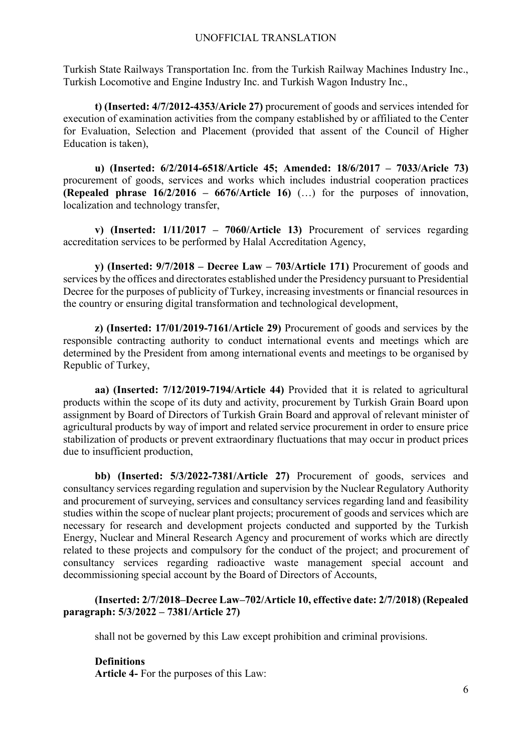Turkish State Railways Transportation Inc. from the Turkish Railway Machines Industry Inc., Turkish Locomotive and Engine Industry Inc. and Turkish Wagon Industry Inc.,

**t) (Inserted: 4/7/2012-4353/Aricle 27)** procurement of goods and services intended for execution of examination activities from the company established by or affiliated to the Center for Evaluation, Selection and Placement (provided that assent of the Council of Higher Education is taken),

**u) (Inserted: 6/2/2014-6518/Article 45; Amended: 18/6/2017 – 7033/Aricle 73)** procurement of goods, services and works which includes industrial cooperation practices **(Repealed phrase 16/2/2016 – 6676/Article 16)** (…) for the purposes of innovation, localization and technology transfer,

**v) (Inserted: 1/11/2017 – 7060/Article 13)** Procurement of services regarding accreditation services to be performed by Halal Accreditation Agency,

**y) (Inserted: 9/7/2018 – Decree Law – 703/Article 171)** Procurement of goods and services by the offices and directorates established under the Presidency pursuant to Presidential Decree for the purposes of publicity of Turkey, increasing investments or financial resources in the country or ensuring digital transformation and technological development,

**z) (Inserted: 17/01/2019-7161/Article 29)** Procurement of goods and services by the responsible contracting authority to conduct international events and meetings which are determined by the President from among international events and meetings to be organised by Republic of Turkey,

**aa) (Inserted: 7/12/2019-7194/Article 44)** Provided that it is related to agricultural products within the scope of its duty and activity, procurement by Turkish Grain Board upon assignment by Board of Directors of Turkish Grain Board and approval of relevant minister of agricultural products by way of import and related service procurement in order to ensure price stabilization of products or prevent extraordinary fluctuations that may occur in product prices due to insufficient production,

**bb) (Inserted: 5/3/2022-7381/Article 27)** Procurement of goods, services and consultancy services regarding regulation and supervision by the Nuclear Regulatory Authority and procurement of surveying, services and consultancy services regarding land and feasibility studies within the scope of nuclear plant projects; procurement of goods and services which are necessary for research and development projects conducted and supported by the Turkish Energy, Nuclear and Mineral Research Agency and procurement of works which are directly related to these projects and compulsory for the conduct of the project; and procurement of consultancy services regarding radioactive waste management special account and decommissioning special account by the Board of Directors of Accounts,

# **(Inserted: 2/7/2018–Decree Law–702/Article 10, effective date: 2/7/2018) (Repealed paragraph: 5/3/2022 – 7381/Article 27)**

shall not be governed by this Law except prohibition and criminal provisions.

## **Definitions**

**Article 4-** For the purposes of this Law: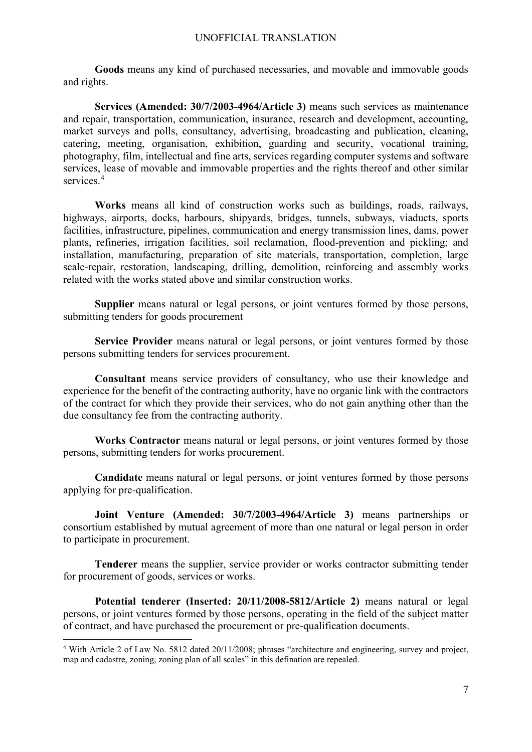**Goods** means any kind of purchased necessaries, and movable and immovable goods and rights.

**Services (Amended: 30/7/2003-4964/Article 3)** means such services as maintenance and repair, transportation, communication, insurance, research and development, accounting, market surveys and polls, consultancy, advertising, broadcasting and publication, cleaning, catering, meeting, organisation, exhibition, guarding and security, vocational training, photography, film, intellectual and fine arts, services regarding computer systems and software services, lease of movable and immovable properties and the rights thereof and other similar services.<sup>[4](#page-6-0)</sup>

**Works** means all kind of construction works such as buildings, roads, railways, highways, airports, docks, harbours, shipyards, bridges, tunnels, subways, viaducts, sports facilities, infrastructure, pipelines, communication and energy transmission lines, dams, power plants, refineries, irrigation facilities, soil reclamation, flood-prevention and pickling; and installation, manufacturing, preparation of site materials, transportation, completion, large scale-repair, restoration, landscaping, drilling, demolition, reinforcing and assembly works related with the works stated above and similar construction works.

**Supplier** means natural or legal persons, or joint ventures formed by those persons, submitting tenders for goods procurement

**Service Provider** means natural or legal persons, or joint ventures formed by those persons submitting tenders for services procurement.

**Consultant** means service providers of consultancy, who use their knowledge and experience for the benefit of the contracting authority, have no organic link with the contractors of the contract for which they provide their services, who do not gain anything other than the due consultancy fee from the contracting authority.

**Works Contractor** means natural or legal persons, or joint ventures formed by those persons, submitting tenders for works procurement.

**Candidate** means natural or legal persons, or joint ventures formed by those persons applying for pre-qualification.

**Joint Venture (Amended: 30/7/2003-4964/Article 3)** means partnerships or consortium established by mutual agreement of more than one natural or legal person in order to participate in procurement.

**Tenderer** means the supplier, service provider or works contractor submitting tender for procurement of goods, services or works.

**Potential tenderer (Inserted: 20/11/2008-5812/Article 2)** means natural or legal persons, or joint ventures formed by those persons, operating in the field of the subject matter of contract, and have purchased the procurement or pre-qualification documents.

<span id="page-6-0"></span> <sup>4</sup> With Article 2 of Law No. 5812 dated 20/11/2008; phrases "architecture and engineering, survey and project, map and cadastre, zoning, zoning plan of all scales" in this defination are repealed.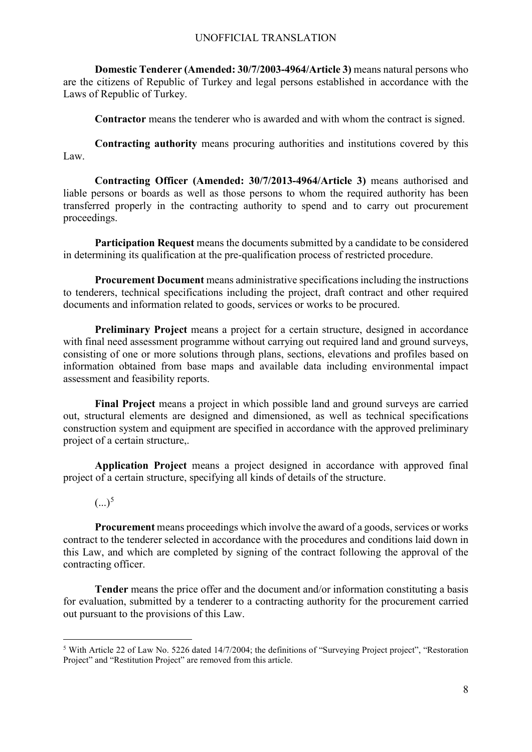**Domestic Tenderer (Amended: 30/7/2003-4964/Article 3)** means natural persons who are the citizens of Republic of Turkey and legal persons established in accordance with the Laws of Republic of Turkey.

**Contractor** means the tenderer who is awarded and with whom the contract is signed.

**Contracting authority** means procuring authorities and institutions covered by this Law.

**Contracting Officer (Amended: 30/7/2013-4964/Article 3)** means authorised and liable persons or boards as well as those persons to whom the required authority has been transferred properly in the contracting authority to spend and to carry out procurement proceedings.

**Participation Request** means the documents submitted by a candidate to be considered in determining its qualification at the pre-qualification process of restricted procedure.

**Procurement Document** means administrative specifications including the instructions to tenderers, technical specifications including the project, draft contract and other required documents and information related to goods, services or works to be procured.

**Preliminary Project** means a project for a certain structure, designed in accordance with final need assessment programme without carrying out required land and ground surveys, consisting of one or more solutions through plans, sections, elevations and profiles based on information obtained from base maps and available data including environmental impact assessment and feasibility reports.

**Final Project** means a project in which possible land and ground surveys are carried out, structural elements are designed and dimensioned, as well as technical specifications construction system and equipment are specified in accordance with the approved preliminary project of a certain structure,.

**Application Project** means a project designed in accordance with approved final project of a certain structure, specifying all kinds of details of the structure.

 $(...)^5$  $(...)^5$ 

**Procurement** means proceedings which involve the award of a goods, services or works contract to the tenderer selected in accordance with the procedures and conditions laid down in this Law, and which are completed by signing of the contract following the approval of the contracting officer.

**Tender** means the price offer and the document and/or information constituting a basis for evaluation, submitted by a tenderer to a contracting authority for the procurement carried out pursuant to the provisions of this Law.

<span id="page-7-0"></span><sup>&</sup>lt;sup>5</sup> With Article 22 of Law No. 5226 dated 14/7/2004; the definitions of "Surveying Project project", "Restoration Project" and "Restitution Project" are removed from this article.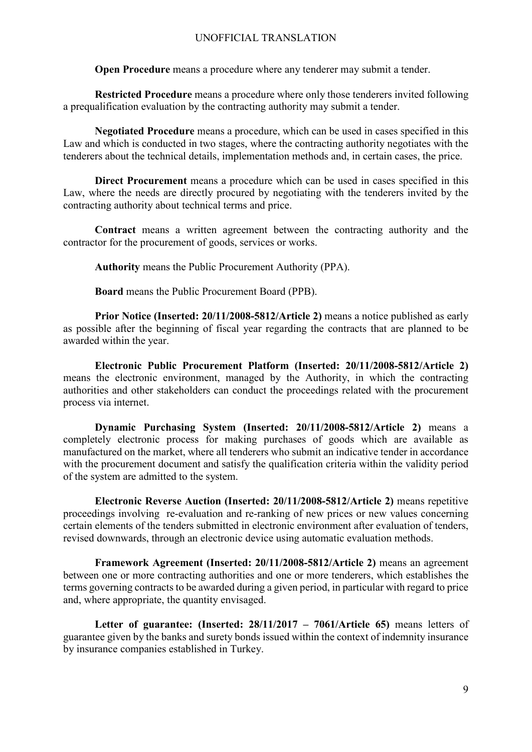**Open Procedure** means a procedure where any tenderer may submit a tender.

**Restricted Procedure** means a procedure where only those tenderers invited following a prequalification evaluation by the contracting authority may submit a tender.

**Negotiated Procedure** means a procedure, which can be used in cases specified in this Law and which is conducted in two stages, where the contracting authority negotiates with the tenderers about the technical details, implementation methods and, in certain cases, the price.

**Direct Procurement** means a procedure which can be used in cases specified in this Law, where the needs are directly procured by negotiating with the tenderers invited by the contracting authority about technical terms and price.

**Contract** means a written agreement between the contracting authority and the contractor for the procurement of goods, services or works.

**Authority** means the Public Procurement Authority (PPA).

**Board** means the Public Procurement Board (PPB).

**Prior Notice (Inserted: 20/11/2008-5812/Article 2)** means a notice published as early as possible after the beginning of fiscal year regarding the contracts that are planned to be awarded within the year.

**Electronic Public Procurement Platform (Inserted: 20/11/2008-5812/Article 2)** means the electronic environment, managed by the Authority, in which the contracting authorities and other stakeholders can conduct the proceedings related with the procurement process via internet.

**Dynamic Purchasing System (Inserted: 20/11/2008-5812/Article 2)** means a completely electronic process for making purchases of goods which are available as manufactured on the market, where all tenderers who submit an indicative tender in accordance with the procurement document and satisfy the qualification criteria within the validity period of the system are admitted to the system.

**Electronic Reverse Auction (Inserted: 20/11/2008-5812/Article 2)** means repetitive proceedings involving re-evaluation and re-ranking of new prices or new values concerning certain elements of the tenders submitted in electronic environment after evaluation of tenders, revised downwards, through an electronic device using automatic evaluation methods.

**Framework Agreement (Inserted: 20/11/2008-5812/Article 2)** means an agreement between one or more contracting authorities and one or more tenderers, which establishes the terms governing contracts to be awarded during a given period, in particular with regard to price and, where appropriate, the quantity envisaged.

**Letter of guarantee: (Inserted: 28/11/2017 – 7061/Article 65)** means letters of guarantee given by the banks and surety bonds issued within the context of indemnity insurance by insurance companies established in Turkey.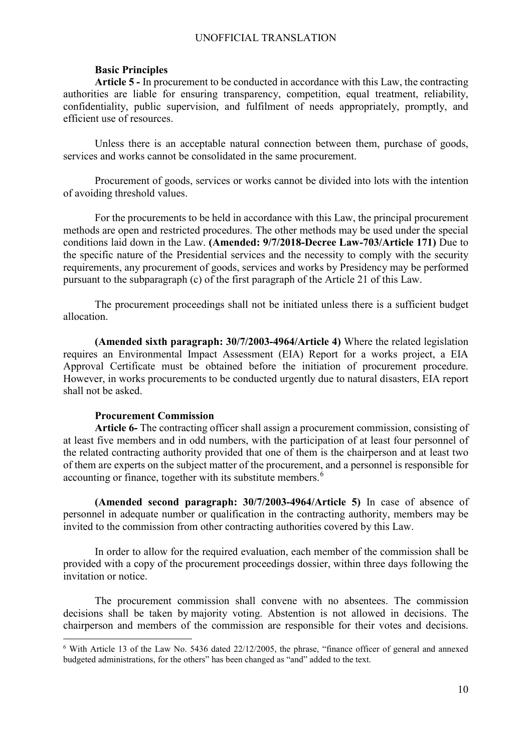### **Basic Principles**

**Article 5 -** In procurement to be conducted in accordance with this Law, the contracting authorities are liable for ensuring transparency, competition, equal treatment, reliability, confidentiality, public supervision, and fulfilment of needs appropriately, promptly, and efficient use of resources.

Unless there is an acceptable natural connection between them, purchase of goods, services and works cannot be consolidated in the same procurement.

Procurement of goods, services or works cannot be divided into lots with the intention of avoiding threshold values.

For the procurements to be held in accordance with this Law, the principal procurement methods are open and restricted procedures. The other methods may be used under the special conditions laid down in the Law. **(Amended: 9/7/2018-Decree Law-703/Article 171)** Due to the specific nature of the Presidential services and the necessity to comply with the security requirements, any procurement of goods, services and works by Presidency may be performed pursuant to the subparagraph (c) of the first paragraph of the Article 21 of this Law.

The procurement proceedings shall not be initiated unless there is a sufficient budget allocation.

**(Amended sixth paragraph: 30/7/2003-4964/Article 4)** Where the related legislation requires an Environmental Impact Assessment (EIA) Report for a works project, a EIA Approval Certificate must be obtained before the initiation of procurement procedure. However, in works procurements to be conducted urgently due to natural disasters, EIA report shall not be asked.

#### **Procurement Commission**

**Article 6-** The contracting officer shall assign a procurement commission, consisting of at least five members and in odd numbers, with the participation of at least four personnel of the related contracting authority provided that one of them is the chairperson and at least two of them are experts on the subject matter of the procurement, and a personnel is responsible for accounting or finance, together with its substitute members.<sup>[6](#page-9-0)</sup>

**(Amended second paragraph: 30/7/2003-4964/Article 5)** In case of absence of personnel in adequate number or qualification in the contracting authority, members may be invited to the commission from other contracting authorities covered by this Law.

In order to allow for the required evaluation, each member of the commission shall be provided with a copy of the procurement proceedings dossier, within three days following the invitation or notice.

The procurement commission shall convene with no absentees. The commission decisions shall be taken by majority voting. Abstention is not allowed in decisions. The chairperson and members of the commission are responsible for their votes and decisions.

<span id="page-9-0"></span> <sup>6</sup> With Article 13 of the Law No. 5436 dated 22/12/2005, the phrase, "finance officer of general and annexed budgeted administrations, for the others" has been changed as "and" added to the text.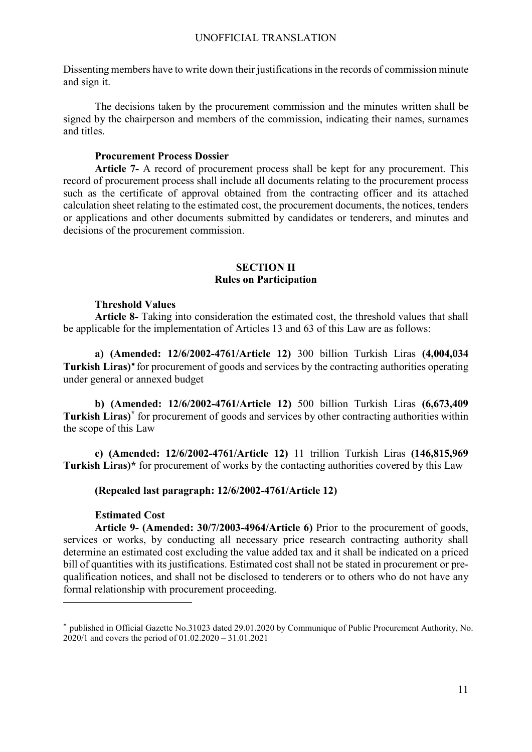Dissenting members have to write down their justifications in the records of commission minute and sign it.

The decisions taken by the procurement commission and the minutes written shall be signed by the chairperson and members of the commission, indicating their names, surnames and titles.

# **Procurement Process Dossier**

**Article 7-** A record of procurement process shall be kept for any procurement. This record of procurement process shall include all documents relating to the procurement process such as the certificate of approval obtained from the contracting officer and its attached calculation sheet relating to the estimated cost, the procurement documents, the notices, tenders or applications and other documents submitted by candidates or tenderers, and minutes and decisions of the procurement commission.

# **SECTION II Rules on Participation**

# **Threshold Values**

**Article 8-** Taking into consideration the estimated cost, the threshold values that shall be applicable for the implementation of Articles 13 and 63 of this Law are as follows:

**a) (Amended: 12/6/2002-4761/Article 12)** 300 billion Turkish Liras **(4,004,034 Turkish Liras)**[∗](#page-10-0) for procurement of goods and services by the contracting authorities operating under general or annexed budget

**b) (Amended: 12/6/2002-4761/Article 12)** 500 billion Turkish Liras **(6,673,409 Turkish Liras)[\\*](#page-10-1)** for procurement of goods and services by other contracting authorities within the scope of this Law

**c) (Amended: 12/6/2002-4761/Article 12)** 11 trillion Turkish Liras **(146,815,969 Turkish Liras)\*** for procurement of works by the contacting authorities covered by this Law

# **(Repealed last paragraph: 12/6/2002-4761/Article 12)**

# **Estimated Cost**

 $\overline{a}$ 

**Article 9- (Amended: 30/7/2003-4964/Article 6)** Prior to the procurement of goods, services or works, by conducting all necessary price research contracting authority shall determine an estimated cost excluding the value added tax and it shall be indicated on a priced bill of quantities with its justifications. Estimated cost shall not be stated in procurement or prequalification notices, and shall not be disclosed to tenderers or to others who do not have any formal relationship with procurement proceeding.

<span id="page-10-1"></span><span id="page-10-0"></span><sup>∗</sup> published in Official Gazette No.31023 dated 29.01.2020 by Communique of Public Procurement Authority, No. 2020/1 and covers the period of 01.02.2020 – 31.01.2021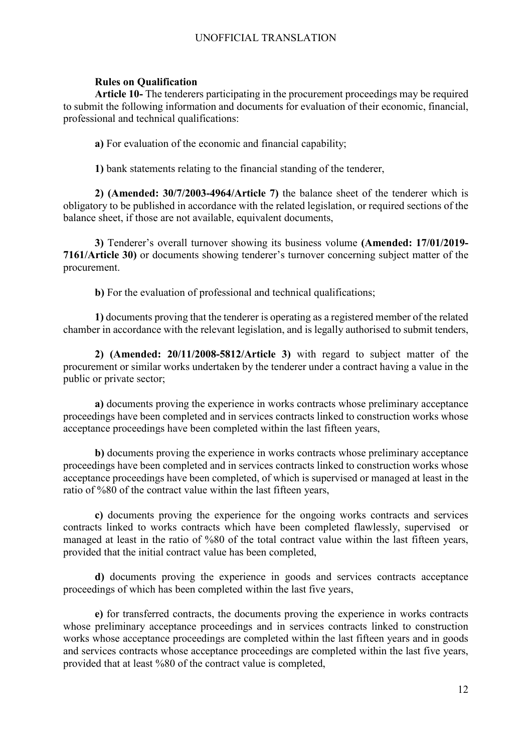# **Rules on Qualification**

**Article 10-** The tenderers participating in the procurement proceedings may be required to submit the following information and documents for evaluation of their economic, financial, professional and technical qualifications:

**a)** For evaluation of the economic and financial capability;

**1)** bank statements relating to the financial standing of the tenderer,

**2) (Amended: 30/7/2003-4964/Article 7)** the balance sheet of the tenderer which is obligatory to be published in accordance with the related legislation, or required sections of the balance sheet, if those are not available, equivalent documents,

**3)** Tenderer's overall turnover showing its business volume **(Amended: 17/01/2019- 7161/Article 30)** or documents showing tenderer's turnover concerning subject matter of the procurement.

**b**) For the evaluation of professional and technical qualifications;

**1)** documents proving that the tenderer is operating as a registered member of the related chamber in accordance with the relevant legislation, and is legally authorised to submit tenders,

**2) (Amended: 20/11/2008-5812/Article 3)** with regard to subject matter of the procurement or similar works undertaken by the tenderer under a contract having a value in the public or private sector;

**a)** documents proving the experience in works contracts whose preliminary acceptance proceedings have been completed and in services contracts linked to construction works whose acceptance proceedings have been completed within the last fifteen years,

**b)** documents proving the experience in works contracts whose preliminary acceptance proceedings have been completed and in services contracts linked to construction works whose acceptance proceedings have been completed, of which is supervised or managed at least in the ratio of %80 of the contract value within the last fifteen years,

**c)** documents proving the experience for the ongoing works contracts and services contracts linked to works contracts which have been completed flawlessly, supervised or managed at least in the ratio of %80 of the total contract value within the last fifteen years, provided that the initial contract value has been completed,

**d)** documents proving the experience in goods and services contracts acceptance proceedings of which has been completed within the last five years,

**e)** for transferred contracts, the documents proving the experience in works contracts whose preliminary acceptance proceedings and in services contracts linked to construction works whose acceptance proceedings are completed within the last fifteen years and in goods and services contracts whose acceptance proceedings are completed within the last five years, provided that at least %80 of the contract value is completed,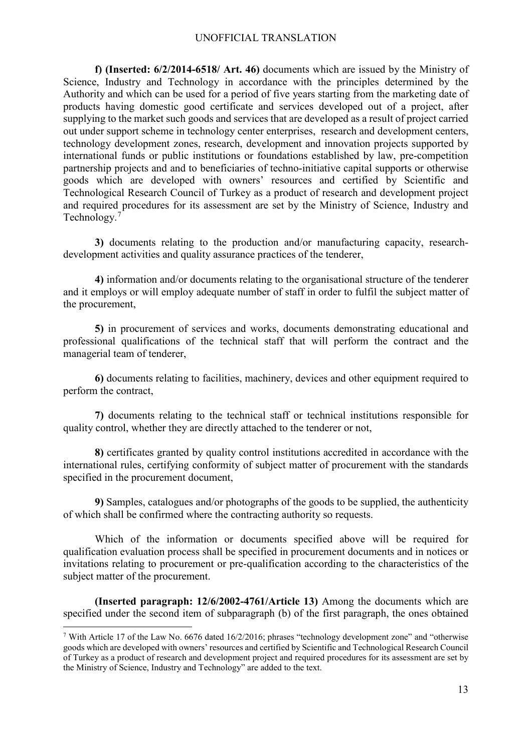**f) (Inserted: 6/2/2014-6518/ Art. 46)** documents which are issued by the Ministry of Science, Industry and Technology in accordance with the principles determined by the Authority and which can be used for a period of five years starting from the marketing date of products having domestic good certificate and services developed out of a project, after supplying to the market such goods and services that are developed as a result of project carried out under support scheme in technology center enterprises, research and development centers, technology development zones, research, development and innovation projects supported by international funds or public institutions or foundations established by law, pre-competition partnership projects and and to beneficiaries of techno-initiative capital supports or otherwise goods which are developed with owners' resources and certified by Scientific and Technological Research Council of Turkey as a product of research and development project and required procedures for its assessment are set by the Ministry of Science, Industry and Technology. [7](#page-12-0)

**3)** documents relating to the production and/or manufacturing capacity, researchdevelopment activities and quality assurance practices of the tenderer,

**4)** information and/or documents relating to the organisational structure of the tenderer and it employs or will employ adequate number of staff in order to fulfil the subject matter of the procurement,

**5)** in procurement of services and works, documents demonstrating educational and professional qualifications of the technical staff that will perform the contract and the managerial team of tenderer,

**6)** documents relating to facilities, machinery, devices and other equipment required to perform the contract,

**7)** documents relating to the technical staff or technical institutions responsible for quality control, whether they are directly attached to the tenderer or not,

**8)** certificates granted by quality control institutions accredited in accordance with the international rules, certifying conformity of subject matter of procurement with the standards specified in the procurement document,

**9)** Samples, catalogues and/or photographs of the goods to be supplied, the authenticity of which shall be confirmed where the contracting authority so requests.

Which of the information or documents specified above will be required for qualification evaluation process shall be specified in procurement documents and in notices or invitations relating to procurement or pre-qualification according to the characteristics of the subject matter of the procurement.

**(Inserted paragraph: 12/6/2002-4761/Article 13)** Among the documents which are specified under the second item of subparagraph (b) of the first paragraph, the ones obtained

<span id="page-12-0"></span> <sup>7</sup> With Article 17 of the Law No. 6676 dated 16/2/2016; phrases "technology development zone" and "otherwise goods which are developed with owners' resources and certified by Scientific and Technological Research Council of Turkey as a product of research and development project and required procedures for its assessment are set by the Ministry of Science, Industry and Technology" are added to the text.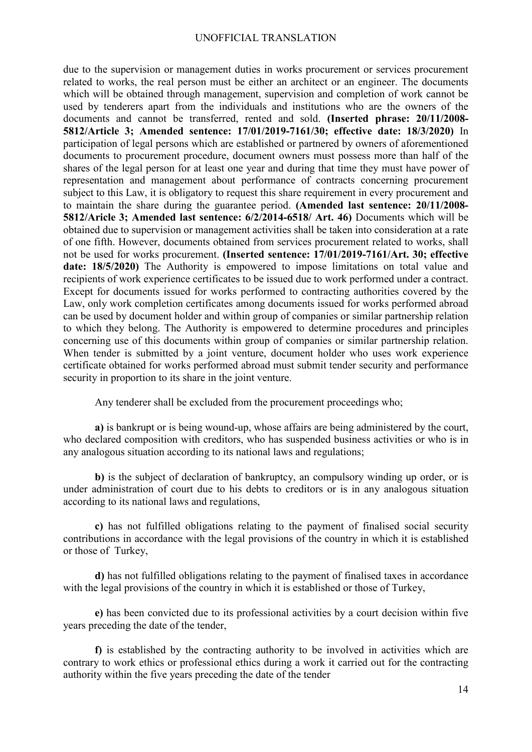due to the supervision or management duties in works procurement or services procurement related to works, the real person must be either an architect or an engineer. The documents which will be obtained through management, supervision and completion of work cannot be used by tenderers apart from the individuals and institutions who are the owners of the documents and cannot be transferred, rented and sold. **(Inserted phrase: 20/11/2008- 5812/Article 3; Amended sentence: 17/01/2019-7161/30; effective date: 18/3/2020)** In participation of legal persons which are established or partnered by owners of aforementioned documents to procurement procedure, document owners must possess more than half of the shares of the legal person for at least one year and during that time they must have power of representation and management about performance of contracts concerning procurement subject to this Law, it is obligatory to request this share requirement in every procurement and to maintain the share during the guarantee period. **(Amended last sentence: 20/11/2008- 5812/Aricle 3; Amended last sentence: 6/2/2014-6518/ Art. 46)** Documents which will be obtained due to supervision or management activities shall be taken into consideration at a rate of one fifth. However, documents obtained from services procurement related to works, shall not be used for works procurement. **(Inserted sentence: 17/01/2019-7161/Art. 30; effective date: 18/5/2020)** The Authority is empowered to impose limitations on total value and recipients of work experience certificates to be issued due to work performed under a contract. Except for documents issued for works performed to contracting authorities covered by the Law, only work completion certificates among documents issued for works performed abroad can be used by document holder and within group of companies or similar partnership relation to which they belong. The Authority is empowered to determine procedures and principles concerning use of this documents within group of companies or similar partnership relation. When tender is submitted by a joint venture, document holder who uses work experience certificate obtained for works performed abroad must submit tender security and performance security in proportion to its share in the joint venture.

Any tenderer shall be excluded from the procurement proceedings who;

**a)** is bankrupt or is being wound-up, whose affairs are being administered by the court, who declared composition with creditors, who has suspended business activities or who is in any analogous situation according to its national laws and regulations;

**b)** is the subject of declaration of bankruptcy, an compulsory winding up order, or is under administration of court due to his debts to creditors or is in any analogous situation according to its national laws and regulations,

**c)** has not fulfilled obligations relating to the payment of finalised social security contributions in accordance with the legal provisions of the country in which it is established or those of Turkey,

**d)** has not fulfilled obligations relating to the payment of finalised taxes in accordance with the legal provisions of the country in which it is established or those of Turkey,

**e)** has been convicted due to its professional activities by a court decision within five years preceding the date of the tender,

**f)** is established by the contracting authority to be involved in activities which are contrary to work ethics or professional ethics during a work it carried out for the contracting authority within the five years preceding the date of the tender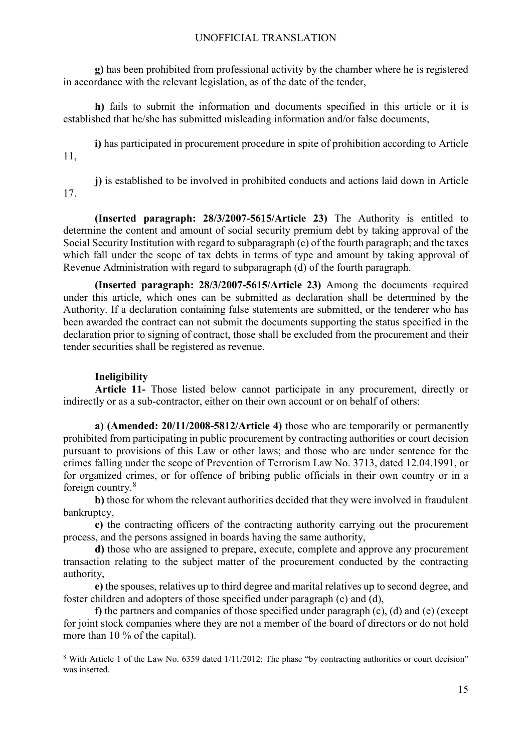**g)** has been prohibited from professional activity by the chamber where he is registered in accordance with the relevant legislation, as of the date of the tender,

**h)** fails to submit the information and documents specified in this article or it is established that he/she has submitted misleading information and/or false documents,

**i)** has participated in procurement procedure in spite of prohibition according to Article 11,

**j)** is established to be involved in prohibited conducts and actions laid down in Article 17.

**(Inserted paragraph: 28/3/2007-5615/Article 23)** The Authority is entitled to determine the content and amount of social security premium debt by taking approval of the Social Security Institution with regard to subparagraph (c) of the fourth paragraph; and the taxes which fall under the scope of tax debts in terms of type and amount by taking approval of Revenue Administration with regard to subparagraph (d) of the fourth paragraph.

**(Inserted paragraph: 28/3/2007-5615/Article 23)** Among the documents required under this article, which ones can be submitted as declaration shall be determined by the Authority. If a declaration containing false statements are submitted, or the tenderer who has been awarded the contract can not submit the documents supporting the status specified in the declaration prior to signing of contract, those shall be excluded from the procurement and their tender securities shall be registered as revenue.

# **Ineligibility**

**Article 11-** Those listed below cannot participate in any procurement, directly or indirectly or as a sub-contractor, either on their own account or on behalf of others:

**a) (Amended: 20/11/2008-5812/Article 4)** those who are temporarily or permanently prohibited from participating in public procurement by contracting authorities or court decision pursuant to provisions of this Law or other laws; and those who are under sentence for the crimes falling under the scope of Prevention of Terrorism Law No. 3713, dated 12.04.1991, or for organized crimes, or for offence of bribing public officials in their own country or in a foreign country.[8](#page-14-0)

**b)** those for whom the relevant authorities decided that they were involved in fraudulent bankruptcy,

**c)** the contracting officers of the contracting authority carrying out the procurement process, and the persons assigned in boards having the same authority,

**d)** those who are assigned to prepare, execute, complete and approve any procurement transaction relating to the subject matter of the procurement conducted by the contracting authority,

**e)** the spouses, relatives up to third degree and marital relatives up to second degree, and foster children and adopters of those specified under paragraph (c) and (d),

**f)** the partners and companies of those specified under paragraph (c), (d) and (e) (except for joint stock companies where they are not a member of the board of directors or do not hold more than 10 % of the capital).

<span id="page-14-0"></span> <sup>8</sup> With Article 1 of the Law No. 6359 dated 1/11/2012; The phase "by contracting authorities or court decision" was inserted.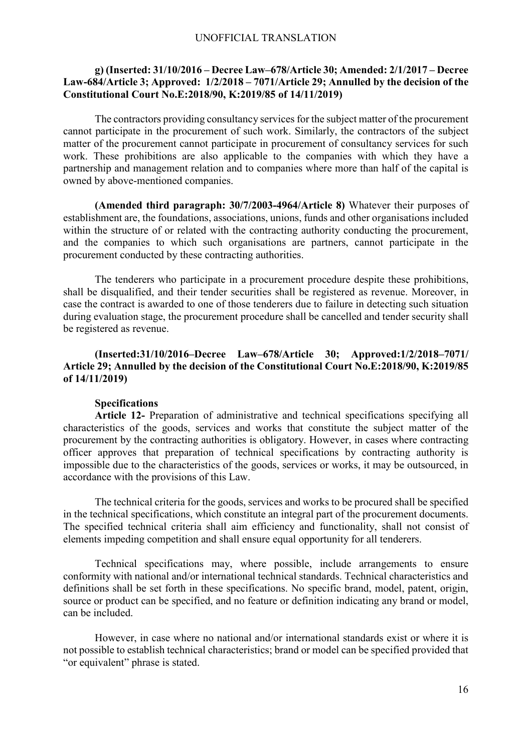## **g) (Inserted: 31/10/2016 – Decree Law–678/Article 30; Amended: 2/1/2017 – Decree Law-684/Article 3; Approved: 1/2/2018 – 7071/Article 29; Annulled by the decision of the Constitutional Court No.E:2018/90, K:2019/85 of 14/11/2019)**

The contractors providing consultancy services for the subject matter of the procurement cannot participate in the procurement of such work. Similarly, the contractors of the subject matter of the procurement cannot participate in procurement of consultancy services for such work. These prohibitions are also applicable to the companies with which they have a partnership and management relation and to companies where more than half of the capital is owned by above-mentioned companies.

**(Amended third paragraph: 30/7/2003-4964/Article 8)** Whatever their purposes of establishment are, the foundations, associations, unions, funds and other organisations included within the structure of or related with the contracting authority conducting the procurement, and the companies to which such organisations are partners, cannot participate in the procurement conducted by these contracting authorities.

The tenderers who participate in a procurement procedure despite these prohibitions, shall be disqualified, and their tender securities shall be registered as revenue. Moreover, in case the contract is awarded to one of those tenderers due to failure in detecting such situation during evaluation stage, the procurement procedure shall be cancelled and tender security shall be registered as revenue.

**(Inserted:31/10/2016–Decree Law–678/Article 30; Approved:1/2/2018–7071/ Article 29; Annulled by the decision of the Constitutional Court No.E:2018/90, K:2019/85 of 14/11/2019)**

#### **Specifications**

**Article 12-** Preparation of administrative and technical specifications specifying all characteristics of the goods, services and works that constitute the subject matter of the procurement by the contracting authorities is obligatory. However, in cases where contracting officer approves that preparation of technical specifications by contracting authority is impossible due to the characteristics of the goods, services or works, it may be outsourced, in accordance with the provisions of this Law.

The technical criteria for the goods, services and works to be procured shall be specified in the technical specifications, which constitute an integral part of the procurement documents. The specified technical criteria shall aim efficiency and functionality, shall not consist of elements impeding competition and shall ensure equal opportunity for all tenderers.

Technical specifications may, where possible, include arrangements to ensure conformity with national and/or international technical standards. Technical characteristics and definitions shall be set forth in these specifications. No specific brand, model, patent, origin, source or product can be specified, and no feature or definition indicating any brand or model, can be included.

However, in case where no national and/or international standards exist or where it is not possible to establish technical characteristics; brand or model can be specified provided that "or equivalent" phrase is stated.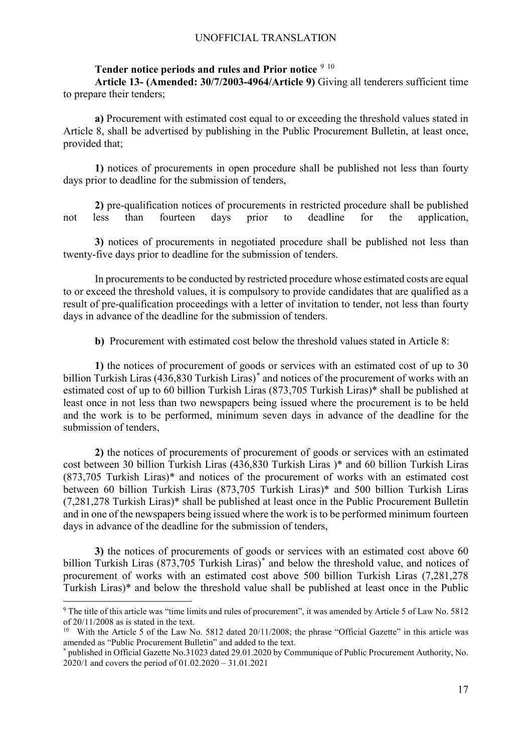## Tender notice periods and rules and Prior notice <sup>[9](#page-16-0) [10](#page-16-1)</sup>

**Article 13- (Amended: 30/7/2003-4964/Article 9)** Giving all tenderers sufficient time to prepare their tenders;

**a)** Procurement with estimated cost equal to or exceeding the threshold values stated in Article 8, shall be advertised by publishing in the Public Procurement Bulletin, at least once, provided that;

**1)** notices of procurements in open procedure shall be published not less than fourty days prior to deadline for the submission of tenders,

**2)** pre-qualification notices of procurements in restricted procedure shall be published not less than fourteen days prior to deadline for the application,

**3)** notices of procurements in negotiated procedure shall be published not less than twenty-five days prior to deadline for the submission of tenders.

In procurements to be conducted by restricted procedure whose estimated costs are equal to or exceed the threshold values, it is compulsory to provide candidates that are qualified as a result of pre-qualification proceedings with a letter of invitation to tender, not less than fourty days in advance of the deadline for the submission of tenders.

**b)** Procurement with estimated cost below the threshold values stated in Article 8:

**1)** the notices of procurement of goods or services with an estimated cost of up to 30 billion Turkish Liras (436,830 Turkish Liras)[\\*](#page-16-2) and notices of the procurement of works with an estimated cost of up to 60 billion Turkish Liras (873,705 Turkish Liras)\* shall be published at least once in not less than two newspapers being issued where the procurement is to be held and the work is to be performed, minimum seven days in advance of the deadline for the submission of tenders,

**2)** the notices of procurements of procurement of goods or services with an estimated cost between 30 billion Turkish Liras (436,830 Turkish Liras )\* and 60 billion Turkish Liras (873,705 Turkish Liras)\* and notices of the procurement of works with an estimated cost between 60 billion Turkish Liras (873,705 Turkish Liras)\* and 500 billion Turkish Liras (7,281,278 Turkish Liras)\* shall be published at least once in the Public Procurement Bulletin and in one of the newspapers being issued where the work is to be performed minimum fourteen days in advance of the deadline for the submission of tenders,

**3)** the notices of procurements of goods or services with an estimated cost above 60 billion Turkish Liras (873,705 Turkish Liras) [\\*](#page-16-3) and below the threshold value, and notices of procurement of works with an estimated cost above 500 billion Turkish Liras (7,281,278 Turkish Liras)\* and below the threshold value shall be published at least once in the Public

<span id="page-16-0"></span> <sup>9</sup> The title of this article was "time limits and rules of procurement", it was amended by Article 5 of Law No. 5812 of 20/11/2008 as is stated in the text.

<span id="page-16-1"></span><sup>&</sup>lt;sup>10</sup> With the Article 5 of the Law No. 5812 dated 20/11/2008; the phrase "Official Gazette" in this article was amended as "Public Procurement Bulletin" and added to the text.

<span id="page-16-3"></span><span id="page-16-2"></span><sup>\*</sup> published in Official Gazette No.31023 dated 29.01.2020 by Communique of Public Procurement Authority, No. 2020/1 and covers the period of 01.02.2020 – 31.01.2021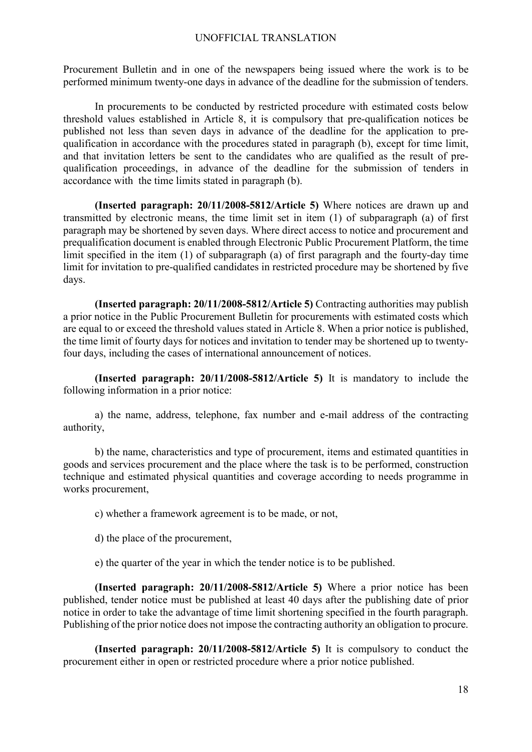Procurement Bulletin and in one of the newspapers being issued where the work is to be performed minimum twenty-one days in advance of the deadline for the submission of tenders.

In procurements to be conducted by restricted procedure with estimated costs below threshold values established in Article 8, it is compulsory that pre-qualification notices be published not less than seven days in advance of the deadline for the application to prequalification in accordance with the procedures stated in paragraph (b), except for time limit, and that invitation letters be sent to the candidates who are qualified as the result of prequalification proceedings, in advance of the deadline for the submission of tenders in accordance with the time limits stated in paragraph (b).

**(Inserted paragraph: 20/11/2008-5812/Article 5)** Where notices are drawn up and transmitted by electronic means, the time limit set in item (1) of subparagraph (a) of first paragraph may be shortened by seven days. Where direct access to notice and procurement and prequalification document is enabled through Electronic Public Procurement Platform, the time limit specified in the item (1) of subparagraph (a) of first paragraph and the fourty-day time limit for invitation to pre-qualified candidates in restricted procedure may be shortened by five days.

**(Inserted paragraph: 20/11/2008-5812/Article 5)** Contracting authorities may publish a prior notice in the Public Procurement Bulletin for procurements with estimated costs which are equal to or exceed the threshold values stated in Article 8. When a prior notice is published, the time limit of fourty days for notices and invitation to tender may be shortened up to twentyfour days, including the cases of international announcement of notices.

**(Inserted paragraph: 20/11/2008-5812/Article 5)** It is mandatory to include the following information in a prior notice:

a) the name, address, telephone, fax number and e-mail address of the contracting authority,

b) the name, characteristics and type of procurement, items and estimated quantities in goods and services procurement and the place where the task is to be performed, construction technique and estimated physical quantities and coverage according to needs programme in works procurement,

c) whether a framework agreement is to be made, or not,

d) the place of the procurement,

e) the quarter of the year in which the tender notice is to be published.

**(Inserted paragraph: 20/11/2008-5812/Article 5)** Where a prior notice has been published, tender notice must be published at least 40 days after the publishing date of prior notice in order to take the advantage of time limit shortening specified in the fourth paragraph. Publishing of the prior notice does not impose the contracting authority an obligation to procure.

**(Inserted paragraph: 20/11/2008-5812/Article 5)** It is compulsory to conduct the procurement either in open or restricted procedure where a prior notice published.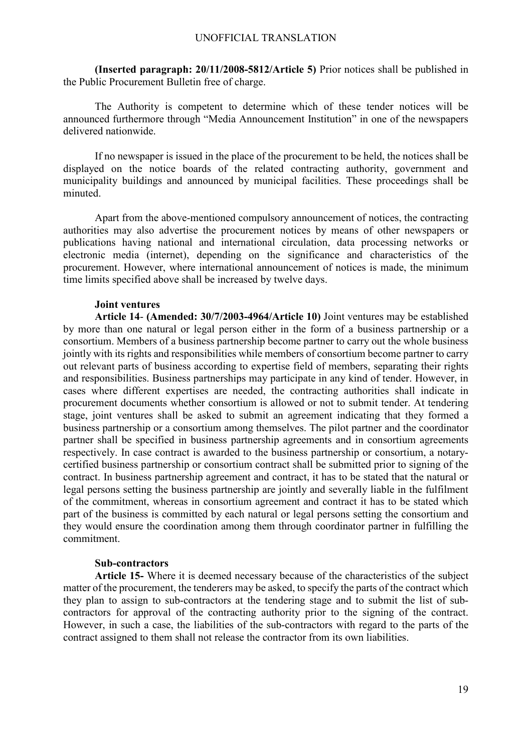**(Inserted paragraph: 20/11/2008-5812/Article 5)** Prior notices shall be published in the Public Procurement Bulletin free of charge.

The Authority is competent to determine which of these tender notices will be announced furthermore through "Media Announcement Institution" in one of the newspapers delivered nationwide.

If no newspaper is issued in the place of the procurement to be held, the notices shall be displayed on the notice boards of the related contracting authority, government and municipality buildings and announced by municipal facilities. These proceedings shall be minuted.

Apart from the above-mentioned compulsory announcement of notices, the contracting authorities may also advertise the procurement notices by means of other newspapers or publications having national and international circulation, data processing networks or electronic media (internet), depending on the significance and characteristics of the procurement. However, where international announcement of notices is made, the minimum time limits specified above shall be increased by twelve days.

#### **Joint ventures**

**Article 14**- **(Amended: 30/7/2003-4964/Article 10)** Joint ventures may be established by more than one natural or legal person either in the form of a business partnership or a consortium. Members of a business partnership become partner to carry out the whole business jointly with its rights and responsibilities while members of consortium become partner to carry out relevant parts of business according to expertise field of members, separating their rights and responsibilities. Business partnerships may participate in any kind of tender. However, in cases where different expertises are needed, the contracting authorities shall indicate in procurement documents whether consortium is allowed or not to submit tender. At tendering stage, joint ventures shall be asked to submit an agreement indicating that they formed a business partnership or a consortium among themselves. The pilot partner and the coordinator partner shall be specified in business partnership agreements and in consortium agreements respectively. In case contract is awarded to the business partnership or consortium, a notarycertified business partnership or consortium contract shall be submitted prior to signing of the contract. In business partnership agreement and contract, it has to be stated that the natural or legal persons setting the business partnership are jointly and severally liable in the fulfilment of the commitment, whereas in consortium agreement and contract it has to be stated which part of the business is committed by each natural or legal persons setting the consortium and they would ensure the coordination among them through coordinator partner in fulfilling the commitment.

#### **Sub-contractors**

**Article 15-** Where it is deemed necessary because of the characteristics of the subject matter of the procurement, the tenderers may be asked, to specify the parts of the contract which they plan to assign to sub-contractors at the tendering stage and to submit the list of subcontractors for approval of the contracting authority prior to the signing of the contract. However, in such a case, the liabilities of the sub-contractors with regard to the parts of the contract assigned to them shall not release the contractor from its own liabilities.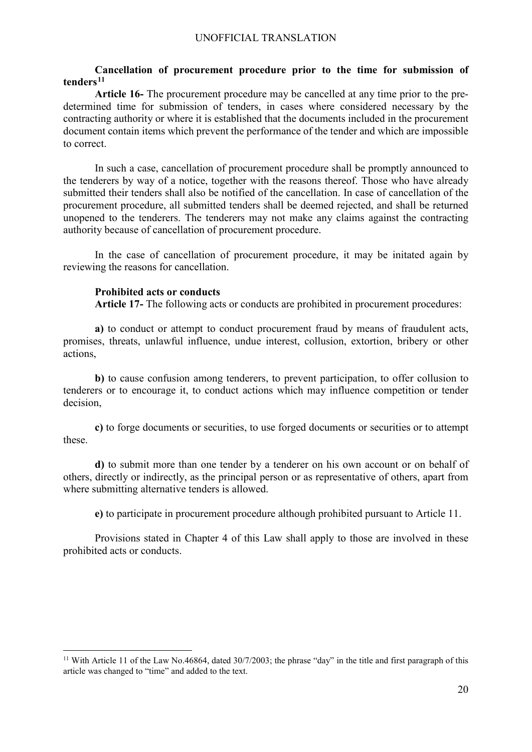# **Cancellation of procurement procedure prior to the time for submission of tenders[11](#page-19-0)**

**Article 16-** The procurement procedure may be cancelled at any time prior to the predetermined time for submission of tenders, in cases where considered necessary by the contracting authority or where it is established that the documents included in the procurement document contain items which prevent the performance of the tender and which are impossible to correct.

In such a case, cancellation of procurement procedure shall be promptly announced to the tenderers by way of a notice, together with the reasons thereof. Those who have already submitted their tenders shall also be notified of the cancellation. In case of cancellation of the procurement procedure, all submitted tenders shall be deemed rejected, and shall be returned unopened to the tenderers. The tenderers may not make any claims against the contracting authority because of cancellation of procurement procedure.

In the case of cancellation of procurement procedure, it may be initated again by reviewing the reasons for cancellation.

# **Prohibited acts or conducts**

**Article 17-** The following acts or conducts are prohibited in procurement procedures:

**a)** to conduct or attempt to conduct procurement fraud by means of fraudulent acts, promises, threats, unlawful influence, undue interest, collusion, extortion, bribery or other actions,

**b)** to cause confusion among tenderers, to prevent participation, to offer collusion to tenderers or to encourage it, to conduct actions which may influence competition or tender decision,

**c)** to forge documents or securities, to use forged documents or securities or to attempt these.

**d)** to submit more than one tender by a tenderer on his own account or on behalf of others, directly or indirectly, as the principal person or as representative of others, apart from where submitting alternative tenders is allowed.

**e)** to participate in procurement procedure although prohibited pursuant to Article 11.

Provisions stated in Chapter 4 of this Law shall apply to those are involved in these prohibited acts or conducts.

<span id="page-19-0"></span><sup>&</sup>lt;sup>11</sup> With Article 11 of the Law No.46864, dated  $30/7/2003$ ; the phrase "day" in the title and first paragraph of this article was changed to "time" and added to the text.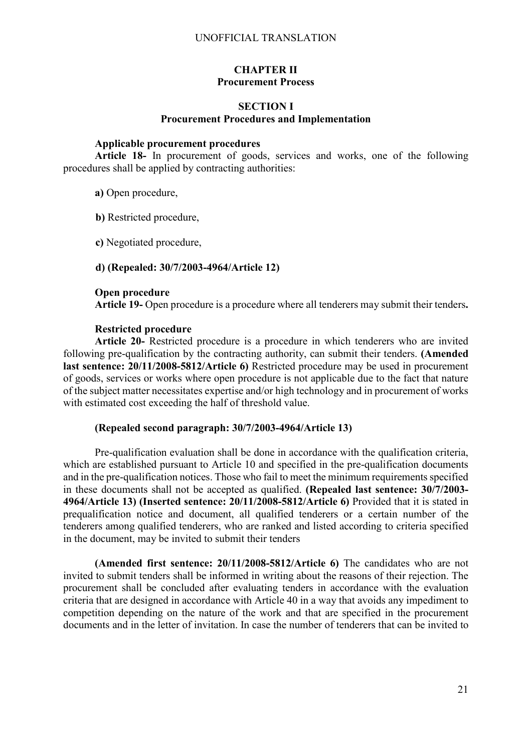# **CHAPTER II Procurement Process**

# **SECTION I Procurement Procedures and Implementation**

# **Applicable procurement procedures**

**Article 18-** In procurement of goods, services and works, one of the following procedures shall be applied by contracting authorities:

**a)** Open procedure,

**b)** Restricted procedure,

**c)** Negotiated procedure,

### **d) (Repealed: 30/7/2003-4964/Article 12)**

### **Open procedure**

**Article 19-** Open procedure is a procedure where all tenderers may submit their tenders**.**

## **Restricted procedure**

**Article 20-** Restricted procedure is a procedure in which tenderers who are invited following pre-qualification by the contracting authority, can submit their tenders. **(Amended last sentence: 20/11/2008-5812/Article 6)** Restricted procedure may be used in procurement of goods, services or works where open procedure is not applicable due to the fact that nature of the subject matter necessitates expertise and/or high technology and in procurement of works with estimated cost exceeding the half of threshold value.

# **(Repealed second paragraph: 30/7/2003-4964/Article 13)**

Pre-qualification evaluation shall be done in accordance with the qualification criteria, which are established pursuant to Article 10 and specified in the pre-qualification documents and in the pre-qualification notices. Those who fail to meet the minimum requirements specified in these documents shall not be accepted as qualified. **(Repealed last sentence: 30/7/2003- 4964/Article 13) (Inserted sentence: 20/11/2008-5812/Article 6)** Provided that it is stated in prequalification notice and document, all qualified tenderers or a certain number of the tenderers among qualified tenderers, who are ranked and listed according to criteria specified in the document, may be invited to submit their tenders

**(Amended first sentence: 20/11/2008-5812/Article 6)** The candidates who are not invited to submit tenders shall be informed in writing about the reasons of their rejection. The procurement shall be concluded after evaluating tenders in accordance with the evaluation criteria that are designed in accordance with Article 40 in a way that avoids any impediment to competition depending on the nature of the work and that are specified in the procurement documents and in the letter of invitation. In case the number of tenderers that can be invited to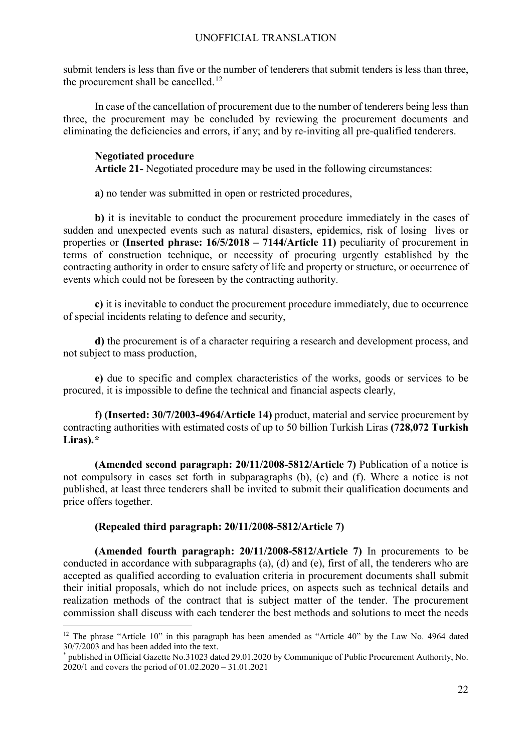submit tenders is less than five or the number of tenderers that submit tenders is less than three, the procurement shall be cancelled.<sup>[12](#page-21-0)</sup>

In case of the cancellation of procurement due to the number of tenderers being less than three, the procurement may be concluded by reviewing the procurement documents and eliminating the deficiencies and errors, if any; and by re-inviting all pre-qualified tenderers.

# **Negotiated procedure**

**Article 21-** Negotiated procedure may be used in the following circumstances:

**a)** no tender was submitted in open or restricted procedures,

**b)** it is inevitable to conduct the procurement procedure immediately in the cases of sudden and unexpected events such as natural disasters, epidemics, risk of losing lives or properties or **(Inserted phrase: 16/5/2018 – 7144/Article 11)** peculiarity of procurement in terms of construction technique, or necessity of procuring urgently established by the contracting authority in order to ensure safety of life and property or structure, or occurrence of events which could not be foreseen by the contracting authority.

**c)** it is inevitable to conduct the procurement procedure immediately, due to occurrence of special incidents relating to defence and security,

**d)** the procurement is of a character requiring a research and development process, and not subject to mass production,

**e)** due to specific and complex characteristics of the works, goods or services to be procured, it is impossible to define the technical and financial aspects clearly,

**f) (Inserted: 30/7/2003-4964/Article 14)** product, material and service procurement by contracting authorities with estimated costs of up to 50 billion Turkish Liras **(728,072 Turkish Liras).[\\*](#page-21-1)**

**(Amended second paragraph: 20/11/2008-5812/Article 7)** Publication of a notice is not compulsory in cases set forth in subparagraphs (b), (c) and (f). Where a notice is not published, at least three tenderers shall be invited to submit their qualification documents and price offers together.

# **(Repealed third paragraph: 20/11/2008-5812/Article 7)**

**(Amended fourth paragraph: 20/11/2008-5812/Article 7)** In procurements to be conducted in accordance with subparagraphs (a), (d) and (e), first of all, the tenderers who are accepted as qualified according to evaluation criteria in procurement documents shall submit their initial proposals, which do not include prices, on aspects such as technical details and realization methods of the contract that is subject matter of the tender. The procurement commission shall discuss with each tenderer the best methods and solutions to meet the needs

<span id="page-21-0"></span><sup>&</sup>lt;sup>12</sup> The phrase "Article 10" in this paragraph has been amended as "Article 40" by the Law No. 4964 dated 30/7/2003 and has been added into the text.

<span id="page-21-1"></span><sup>\*</sup> published in Official Gazette No.31023 dated 29.01.2020 by Communique of Public Procurement Authority, No. 2020/1 and covers the period of 01.02.2020 – 31.01.2021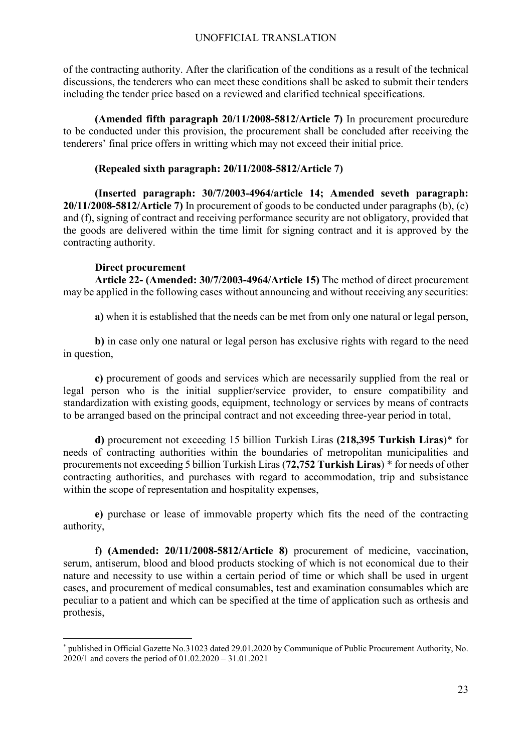of the contracting authority. After the clarification of the conditions as a result of the technical discussions, the tenderers who can meet these conditions shall be asked to submit their tenders including the tender price based on a reviewed and clarified technical specifications.

**(Amended fifth paragraph 20/11/2008-5812/Article 7)** In procurement procuredure to be conducted under this provision, the procurement shall be concluded after receiving the tenderers' final price offers in writting which may not exceed their initial price.

# **(Repealed sixth paragraph: 20/11/2008-5812/Article 7)**

**(Inserted paragraph: 30/7/2003-4964/article 14; Amended seveth paragraph: 20/11/2008-5812/Article 7)** In procurement of goods to be conducted under paragraphs (b), (c) and (f), signing of contract and receiving performance security are not obligatory, provided that the goods are delivered within the time limit for signing contract and it is approved by the contracting authority.

# **Direct procurement**

 $\overline{a}$ 

**Article 22- (Amended: 30/7/2003-4964/Article 15)** The method of direct procurement may be applied in the following cases without announcing and without receiving any securities:

**a)** when it is established that the needs can be met from only one natural or legal person,

**b)** in case only one natural or legal person has exclusive rights with regard to the need in question,

**c)** procurement of goods and services which are necessarily supplied from the real or legal person who is the initial supplier/service provider, to ensure compatibility and standardization with existing goods, equipment, technology or services by means of contracts to be arranged based on the principal contract and not exceeding three-year period in total,

**d)** procurement not exceeding 15 billion Turkish Liras **(218,395 Turkish Liras**)[\\*](#page-22-0) for needs of contracting authorities within the boundaries of metropolitan municipalities and procurements not exceeding 5 billion Turkish Liras (**72,752 Turkish Liras**) [\\*](#page-22-1) for needs of other contracting authorities, and purchases with regard to accommodation, trip and subsistance within the scope of representation and hospitality expenses,

**e)** purchase or lease of immovable property which fits the need of the contracting authority,

**f) (Amended: 20/11/2008-5812/Article 8)** procurement of medicine, vaccination, serum, antiserum, blood and blood products stocking of which is not economical due to their nature and necessity to use within a certain period of time or which shall be used in urgent cases, and procurement of medical consumables, test and examination consumables which are peculiar to a patient and which can be specified at the time of application such as orthesis and prothesis,

<span id="page-22-1"></span><span id="page-22-0"></span><sup>\*</sup> published in Official Gazette No.31023 dated 29.01.2020 by Communique of Public Procurement Authority, No. 2020/1 and covers the period of 01.02.2020 – 31.01.2021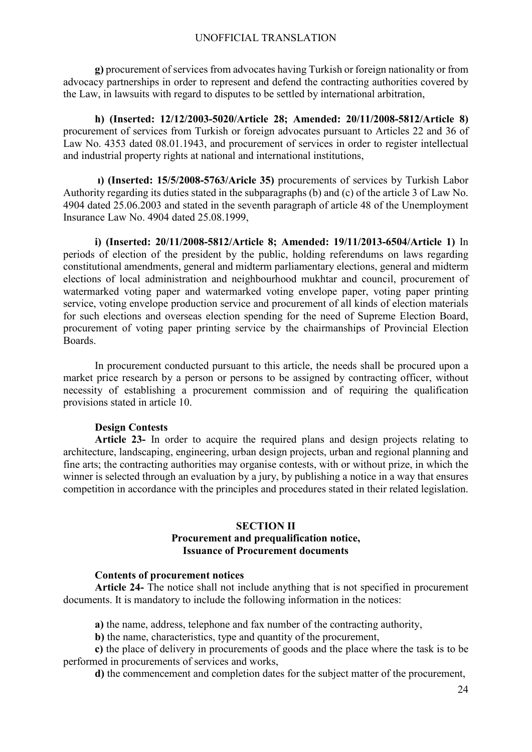**g)** procurement of services from advocates having Turkish or foreign nationality or from advocacy partnerships in order to represent and defend the contracting authorities covered by the Law, in lawsuits with regard to disputes to be settled by international arbitration,

**h) (Inserted: 12/12/2003-5020/Article 28; Amended: 20/11/2008-5812/Article 8)**  procurement of services from Turkish or foreign advocates pursuant to Articles 22 and 36 of Law No. 4353 dated 08.01.1943, and procurement of services in order to register intellectual and industrial property rights at national and international institutions,

**ı) (Inserted: 15/5/2008-5763/Aricle 35)** procurements of services by Turkish Labor Authority regarding its duties stated in the subparagraphs (b) and (c) of the article 3 of Law No. 4904 dated 25.06.2003 and stated in the seventh paragraph of article 48 of the Unemployment Insurance Law No. 4904 dated 25.08.1999,

**i) (Inserted: 20/11/2008-5812/Article 8; Amended: 19/11/2013-6504/Article 1)** In periods of election of the president by the public, holding referendums on laws regarding constitutional amendments, general and midterm parliamentary elections, general and midterm elections of local administration and neighbourhood mukhtar and council, procurement of watermarked voting paper and watermarked voting envelope paper, voting paper printing service, voting envelope production service and procurement of all kinds of election materials for such elections and overseas election spending for the need of Supreme Election Board, procurement of voting paper printing service by the chairmanships of Provincial Election Boards.

In procurement conducted pursuant to this article, the needs shall be procured upon a market price research by a person or persons to be assigned by contracting officer, without necessity of establishing a procurement commission and of requiring the qualification provisions stated in article 10.

### **Design Contests**

**Article 23-** In order to acquire the required plans and design projects relating to architecture, landscaping, engineering, urban design projects, urban and regional planning and fine arts; the contracting authorities may organise contests, with or without prize, in which the winner is selected through an evaluation by a jury, by publishing a notice in a way that ensures competition in accordance with the principles and procedures stated in their related legislation.

## **SECTION II Procurement and prequalification notice, Issuance of Procurement documents**

#### **Contents of procurement notices**

**Article 24-** The notice shall not include anything that is not specified in procurement documents. It is mandatory to include the following information in the notices:

**a)** the name, address, telephone and fax number of the contracting authority,

**b)** the name, characteristics, type and quantity of the procurement,

**c)** the place of delivery in procurements of goods and the place where the task is to be performed in procurements of services and works,

**d)** the commencement and completion dates for the subject matter of the procurement,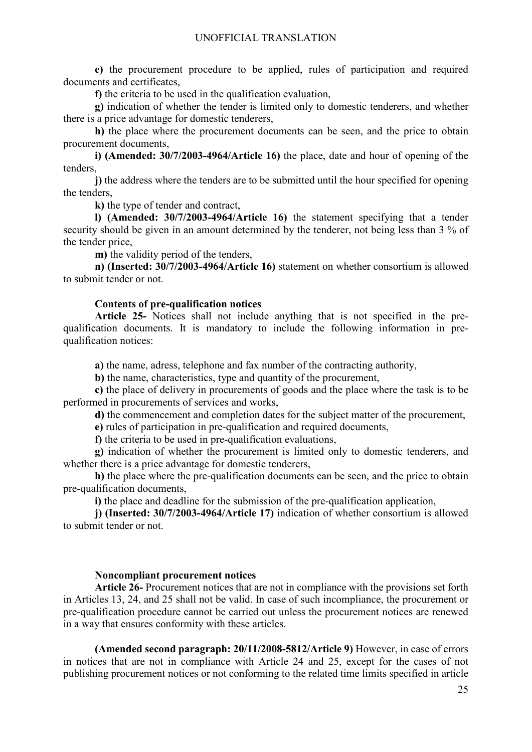**e)** the procurement procedure to be applied, rules of participation and required documents and certificates,

**f)** the criteria to be used in the qualification evaluation,

**g)** indication of whether the tender is limited only to domestic tenderers, and whether there is a price advantage for domestic tenderers,

**h)** the place where the procurement documents can be seen, and the price to obtain procurement documents,

**i) (Amended: 30/7/2003-4964/Article 16)** the place, date and hour of opening of the tenders,

**j)** the address where the tenders are to be submitted until the hour specified for opening the tenders,

**k)** the type of tender and contract,

**l) (Amended: 30/7/2003-4964/Article 16)** the statement specifying that a tender security should be given in an amount determined by the tenderer, not being less than 3 % of the tender price,

**m)** the validity period of the tenders,

**n) (Inserted: 30/7/2003-4964/Article 16)** statement on whether consortium is allowed to submit tender or not.

### **Contents of pre-qualification notices**

**Article 25-** Notices shall not include anything that is not specified in the prequalification documents. It is mandatory to include the following information in prequalification notices:

**a)** the name, adress, telephone and fax number of the contracting authority,

**b)** the name, characteristics, type and quantity of the procurement,

**c)** the place of delivery in procurements of goods and the place where the task is to be performed in procurements of services and works,

**d)** the commencement and completion dates for the subject matter of the procurement,

**e)** rules of participation in pre-qualification and required documents,

**f)** the criteria to be used in pre-qualification evaluations,

**g)** indication of whether the procurement is limited only to domestic tenderers, and whether there is a price advantage for domestic tenderers,

**h)** the place where the pre-qualification documents can be seen, and the price to obtain pre-qualification documents,

**i)** the place and deadline for the submission of the pre-qualification application,

**j) (Inserted: 30/7/2003-4964/Article 17)** indication of whether consortium is allowed to submit tender or not.

### **Noncompliant procurement notices**

**Article 26-** Procurement notices that are not in compliance with the provisions set forth in Articles 13, 24, and 25 shall not be valid. In case of such incompliance, the procurement or pre-qualification procedure cannot be carried out unless the procurement notices are renewed in a way that ensures conformity with these articles.

**(Amended second paragraph: 20/11/2008-5812/Article 9)** However, in case of errors in notices that are not in compliance with Article 24 and 25, except for the cases of not publishing procurement notices or not conforming to the related time limits specified in article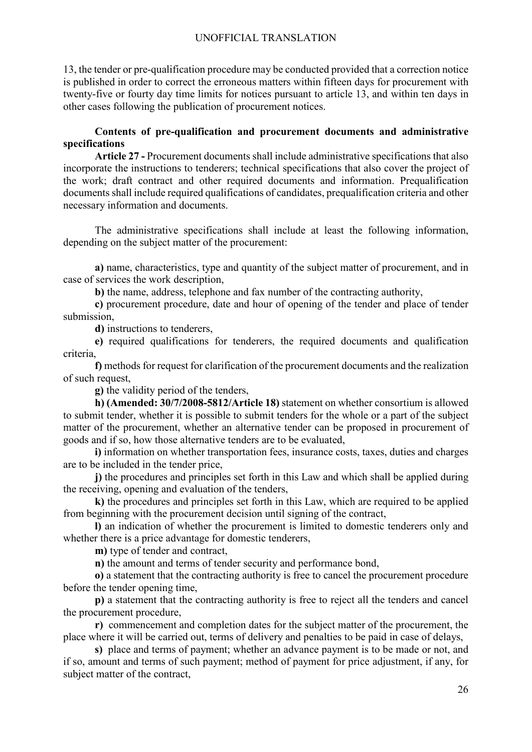13, the tender or pre-qualification procedure may be conducted provided that a correction notice is published in order to correct the erroneous matters within fifteen days for procurement with twenty-five or fourty day time limits for notices pursuant to article 13, and within ten days in other cases following the publication of procurement notices.

# **Contents of pre-qualification and procurement documents and administrative specifications**

**Article 27 -** Procurement documents shall include administrative specifications that also incorporate the instructions to tenderers; technical specifications that also cover the project of the work; draft contract and other required documents and information. Prequalification documents shall include required qualifications of candidates, prequalification criteria and other necessary information and documents.

The administrative specifications shall include at least the following information, depending on the subject matter of the procurement:

**a)** name, characteristics, type and quantity of the subject matter of procurement, and in case of services the work description,

**b)** the name, address, telephone and fax number of the contracting authority,

**c)** procurement procedure, date and hour of opening of the tender and place of tender submission,

**d)** instructions to tenderers,

**e)** required qualifications for tenderers, the required documents and qualification criteria,

**f)** methods for request for clarification of the procurement documents and the realization of such request,

**g)** the validity period of the tenders,

**h) (Amended: 30/7/2008-5812/Article 18)** statement on whether consortium is allowed to submit tender, whether it is possible to submit tenders for the whole or a part of the subject matter of the procurement, whether an alternative tender can be proposed in procurement of goods and if so, how those alternative tenders are to be evaluated,

**i)** information on whether transportation fees, insurance costs, taxes, duties and charges are to be included in the tender price,

**j)** the procedures and principles set forth in this Law and which shall be applied during the receiving, opening and evaluation of the tenders,

**k)** the procedures and principles set forth in this Law, which are required to be applied from beginning with the procurement decision until signing of the contract,

**l)** an indication of whether the procurement is limited to domestic tenderers only and whether there is a price advantage for domestic tenderers,

**m)** type of tender and contract,

**n)** the amount and terms of tender security and performance bond,

**o)** a statement that the contracting authority is free to cancel the procurement procedure before the tender opening time,

**p)** a statement that the contracting authority is free to reject all the tenders and cancel the procurement procedure,

**r)** commencement and completion dates for the subject matter of the procurement, the place where it will be carried out, terms of delivery and penalties to be paid in case of delays,

**s)** place and terms of payment; whether an advance payment is to be made or not, and if so, amount and terms of such payment; method of payment for price adjustment, if any, for subject matter of the contract,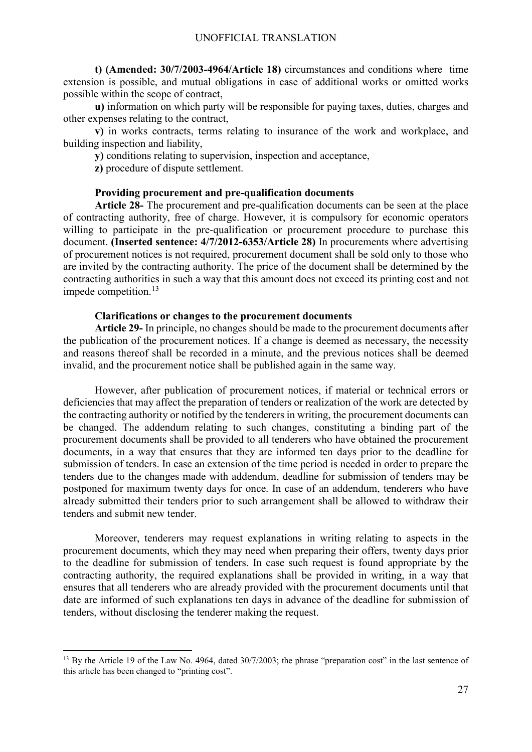**t) (Amended: 30/7/2003-4964/Article 18)** circumstances and conditions where time extension is possible, and mutual obligations in case of additional works or omitted works possible within the scope of contract,

**u)** information on which party will be responsible for paying taxes, duties, charges and other expenses relating to the contract,

**v)** in works contracts, terms relating to insurance of the work and workplace, and building inspection and liability,

**y)** conditions relating to supervision, inspection and acceptance,

**z)** procedure of dispute settlement.

### **Providing procurement and pre-qualification documents**

**Article 28-** The procurement and pre-qualification documents can be seen at the place of contracting authority, free of charge. However, it is compulsory for economic operators willing to participate in the pre-qualification or procurement procedure to purchase this document. **(Inserted sentence: 4/7/2012-6353/Article 28)** In procurements where advertising of procurement notices is not required, procurement document shall be sold only to those who are invited by the contracting authority. The price of the document shall be determined by the contracting authorities in such a way that this amount does not exceed its printing cost and not impede competition. $13$ 

### **Clarifications or changes to the procurement documents**

**Article 29-** In principle, no changes should be made to the procurement documents after the publication of the procurement notices. If a change is deemed as necessary, the necessity and reasons thereof shall be recorded in a minute, and the previous notices shall be deemed invalid, and the procurement notice shall be published again in the same way.

However, after publication of procurement notices, if material or technical errors or deficiencies that may affect the preparation of tenders or realization of the work are detected by the contracting authority or notified by the tenderers in writing, the procurement documents can be changed. The addendum relating to such changes, constituting a binding part of the procurement documents shall be provided to all tenderers who have obtained the procurement documents, in a way that ensures that they are informed ten days prior to the deadline for submission of tenders. In case an extension of the time period is needed in order to prepare the tenders due to the changes made with addendum, deadline for submission of tenders may be postponed for maximum twenty days for once. In case of an addendum, tenderers who have already submitted their tenders prior to such arrangement shall be allowed to withdraw their tenders and submit new tender.

Moreover, tenderers may request explanations in writing relating to aspects in the procurement documents, which they may need when preparing their offers, twenty days prior to the deadline for submission of tenders. In case such request is found appropriate by the contracting authority, the required explanations shall be provided in writing, in a way that ensures that all tenderers who are already provided with the procurement documents until that date are informed of such explanations ten days in advance of the deadline for submission of tenders, without disclosing the tenderer making the request.

<span id="page-26-0"></span><sup>&</sup>lt;sup>13</sup> By the Article 19 of the Law No. 4964, dated 30/7/2003; the phrase "preparation cost" in the last sentence of this article has been changed to "printing cost".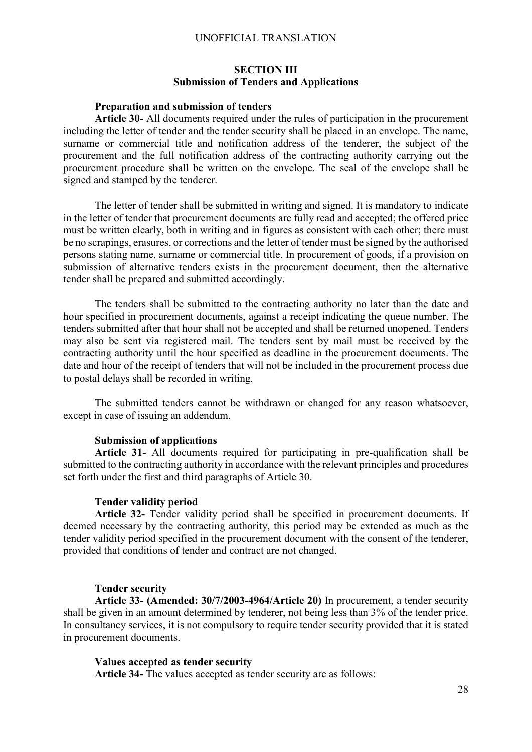# **SECTION III Submission of Tenders and Applications**

### **Preparation and submission of tenders**

**Article 30-** All documents required under the rules of participation in the procurement including the letter of tender and the tender security shall be placed in an envelope. The name, surname or commercial title and notification address of the tenderer, the subject of the procurement and the full notification address of the contracting authority carrying out the procurement procedure shall be written on the envelope. The seal of the envelope shall be signed and stamped by the tenderer.

The letter of tender shall be submitted in writing and signed. It is mandatory to indicate in the letter of tender that procurement documents are fully read and accepted; the offered price must be written clearly, both in writing and in figures as consistent with each other; there must be no scrapings, erasures, or corrections and the letter of tender must be signed by the authorised persons stating name, surname or commercial title. In procurement of goods, if a provision on submission of alternative tenders exists in the procurement document, then the alternative tender shall be prepared and submitted accordingly.

The tenders shall be submitted to the contracting authority no later than the date and hour specified in procurement documents, against a receipt indicating the queue number. The tenders submitted after that hour shall not be accepted and shall be returned unopened. Tenders may also be sent via registered mail. The tenders sent by mail must be received by the contracting authority until the hour specified as deadline in the procurement documents. The date and hour of the receipt of tenders that will not be included in the procurement process due to postal delays shall be recorded in writing.

The submitted tenders cannot be withdrawn or changed for any reason whatsoever, except in case of issuing an addendum.

#### **Submission of applications**

**Article 31-** All documents required for participating in pre-qualification shall be submitted to the contracting authority in accordance with the relevant principles and procedures set forth under the first and third paragraphs of Article 30.

#### **Tender validity period**

**Article 32-** Tender validity period shall be specified in procurement documents. If deemed necessary by the contracting authority, this period may be extended as much as the tender validity period specified in the procurement document with the consent of the tenderer, provided that conditions of tender and contract are not changed.

#### **Tender security**

**Article 33- (Amended: 30/7/2003-4964/Article 20)** In procurement, a tender security shall be given in an amount determined by tenderer, not being less than 3% of the tender price. In consultancy services, it is not compulsory to require tender security provided that it is stated in procurement documents.

#### **Values accepted as tender security**

**Article 34-** The values accepted as tender security are as follows: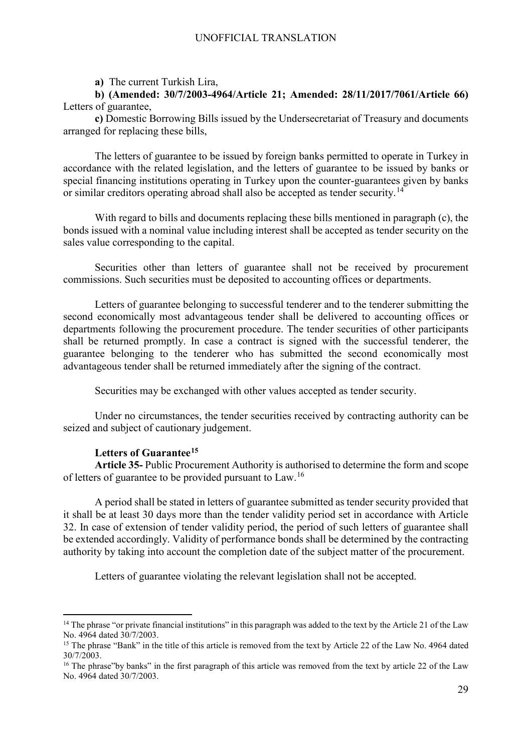**a)** The current Turkish Lira,

**b) (Amended: 30/7/2003-4964/Article 21; Amended: 28/11/2017/7061/Article 66)** Letters of guarantee,

**c)** Domestic Borrowing Bills issued by the Undersecretariat of Treasury and documents arranged for replacing these bills,

The letters of guarantee to be issued by foreign banks permitted to operate in Turkey in accordance with the related legislation, and the letters of guarantee to be issued by banks or special financing institutions operating in Turkey upon the counter-guarantees given by banks or similar creditors operating abroad shall also be accepted as tender security.<sup>[14](#page-28-0)</sup>

With regard to bills and documents replacing these bills mentioned in paragraph (c), the bonds issued with a nominal value including interest shall be accepted as tender security on the sales value corresponding to the capital.

Securities other than letters of guarantee shall not be received by procurement commissions. Such securities must be deposited to accounting offices or departments.

Letters of guarantee belonging to successful tenderer and to the tenderer submitting the second economically most advantageous tender shall be delivered to accounting offices or departments following the procurement procedure. The tender securities of other participants shall be returned promptly. In case a contract is signed with the successful tenderer, the guarantee belonging to the tenderer who has submitted the second economically most advantageous tender shall be returned immediately after the signing of the contract.

Securities may be exchanged with other values accepted as tender security.

Under no circumstances, the tender securities received by contracting authority can be seized and subject of cautionary judgement.

# **Letters of Guarantee[15](#page-28-1)**

**Article 35-** Public Procurement Authority is authorised to determine the form and scope of letters of guarantee to be provided pursuant to Law.[16](#page-28-2)

A period shall be stated in letters of guarantee submitted as tender security provided that it shall be at least 30 days more than the tender validity period set in accordance with Article 32. In case of extension of tender validity period, the period of such letters of guarantee shall be extended accordingly. Validity of performance bonds shall be determined by the contracting authority by taking into account the completion date of the subject matter of the procurement.

Letters of guarantee violating the relevant legislation shall not be accepted.

<span id="page-28-0"></span><sup>&</sup>lt;sup>14</sup> The phrase "or private financial institutions" in this paragraph was added to the text by the Article 21 of the Law No. 4964 dated 30/7/2003.

<span id="page-28-1"></span><sup>&</sup>lt;sup>15</sup> The phrase "Bank" in the title of this article is removed from the text by Article 22 of the Law No. 4964 dated 30/7/2003.

<span id="page-28-2"></span><sup>&</sup>lt;sup>16</sup> The phrase"by banks" in the first paragraph of this article was removed from the text by article 22 of the Law No. 4964 dated 30/7/2003.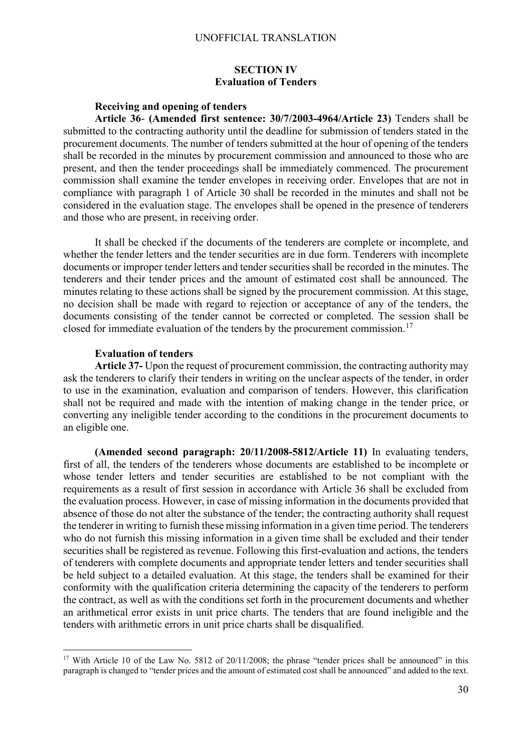# **SECTION IV Evaluation of Tenders**

## **Receiving and opening of tenders**

**Article 36**- **(Amended first sentence: 30/7/2003-4964/Article 23)** Tenders shall be submitted to the contracting authority until the deadline for submission of tenders stated in the procurement documents. The number of tenders submitted at the hour of opening of the tenders shall be recorded in the minutes by procurement commission and announced to those who are present, and then the tender proceedings shall be immediately commenced. The procurement commission shall examine the tender envelopes in receiving order. Envelopes that are not in compliance with paragraph 1 of Article 30 shall be recorded in the minutes and shall not be considered in the evaluation stage. The envelopes shall be opened in the presence of tenderers and those who are present, in receiving order.

It shall be checked if the documents of the tenderers are complete or incomplete, and whether the tender letters and the tender securities are in due form. Tenderers with incomplete documents or improper tender letters and tender securities shall be recorded in the minutes. The tenderers and their tender prices and the amount of estimated cost shall be announced. The minutes relating to these actions shall be signed by the procurement commission. At this stage, no decision shall be made with regard to rejection or acceptance of any of the tenders, the documents consisting of the tender cannot be corrected or completed. The session shall be closed for immediate evaluation of the tenders by the procurement commission.<sup>[17](#page-29-0)</sup>

#### **Evaluation of tenders**

**Article 37-** Upon the request of procurement commission, the contracting authority may ask the tenderers to clarify their tenders in writing on the unclear aspects of the tender, in order to use in the examination, evaluation and comparison of tenders. However, this clarification shall not be required and made with the intention of making change in the tender price, or converting any ineligible tender according to the conditions in the procurement documents to an eligible one.

**(Amended second paragraph: 20/11/2008-5812/Article 11)** In evaluating tenders, first of all, the tenders of the tenderers whose documents are established to be incomplete or whose tender letters and tender securities are established to be not compliant with the requirements as a result of first session in accordance with Article 36 shall be excluded from the evaluation process. However, in case of missing information in the documents provided that absence of those do not alter the substance of the tender; the contracting authority shall request the tenderer in writing to furnish these missing information in a given time period. The tenderers who do not furnish this missing information in a given time shall be excluded and their tender securities shall be registered as revenue. Following this first-evaluation and actions, the tenders of tenderers with complete documents and appropriate tender letters and tender securities shall be held subject to a detailed evaluation. At this stage, the tenders shall be examined for their conformity with the qualification criteria determining the capacity of the tenderers to perform the contract, as well as with the conditions set forth in the procurement documents and whether an arithmetical error exists in unit price charts. The tenders that are found ineligible and the tenders with arithmetic errors in unit price charts shall be disqualified.

<span id="page-29-0"></span><sup>&</sup>lt;sup>17</sup> With Article 10 of the Law No. 5812 of 20/11/2008; the phrase "tender prices shall be announced" in this paragraph is changed to "tender prices and the amount of estimated cost shall be announced" and added to the text.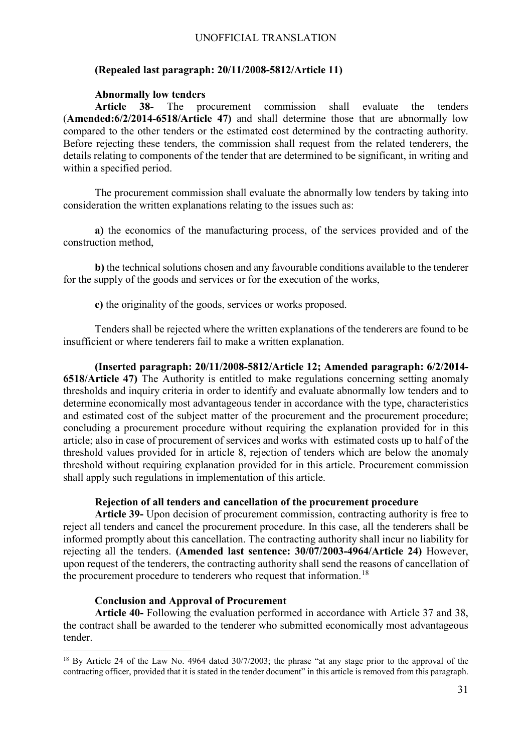### **(Repealed last paragraph: 20/11/2008-5812/Article 11)**

### **Abnormally low tenders**

**Article 38-** The procurement commission shall evaluate the tenders (**Amended:6/2/2014-6518/Article 47)** and shall determine those that are abnormally low compared to the other tenders or the estimated cost determined by the contracting authority. Before rejecting these tenders, the commission shall request from the related tenderers, the details relating to components of the tender that are determined to be significant, in writing and within a specified period.

The procurement commission shall evaluate the abnormally low tenders by taking into consideration the written explanations relating to the issues such as:

**a)** the economics of the manufacturing process, of the services provided and of the construction method,

**b)** the technical solutions chosen and any favourable conditions available to the tenderer for the supply of the goods and services or for the execution of the works,

**c)** the originality of the goods, services or works proposed.

Tenders shall be rejected where the written explanations of the tenderers are found to be insufficient or where tenderers fail to make a written explanation.

**(Inserted paragraph: 20/11/2008-5812/Article 12; Amended paragraph: 6/2/2014- 6518/Article 47)** The Authority is entitled to make regulations concerning setting anomaly thresholds and inquiry criteria in order to identify and evaluate abnormally low tenders and to determine economically most advantageous tender in accordance with the type, characteristics and estimated cost of the subject matter of the procurement and the procurement procedure; concluding a procurement procedure without requiring the explanation provided for in this article; also in case of procurement of services and works with estimated costs up to half of the threshold values provided for in article 8, rejection of tenders which are below the anomaly threshold without requiring explanation provided for in this article. Procurement commission shall apply such regulations in implementation of this article.

#### **Rejection of all tenders and cancellation of the procurement procedure**

**Article 39-** Upon decision of procurement commission, contracting authority is free to reject all tenders and cancel the procurement procedure. In this case, all the tenderers shall be informed promptly about this cancellation. The contracting authority shall incur no liability for rejecting all the tenders. **(Amended last sentence: 30/07/2003-4964/Article 24)** However, upon request of the tenderers, the contracting authority shall send the reasons of cancellation of the procurement procedure to tenderers who request that information.<sup>[18](#page-30-0)</sup>

#### **Conclusion and Approval of Procurement**

**Article 40-** Following the evaluation performed in accordance with Article 37 and 38, the contract shall be awarded to the tenderer who submitted economically most advantageous tender.

<span id="page-30-0"></span><sup>&</sup>lt;sup>18</sup> By Article 24 of the Law No. 4964 dated 30/7/2003; the phrase "at any stage prior to the approval of the contracting officer, provided that it is stated in the tender document" in this article is removed from this paragraph.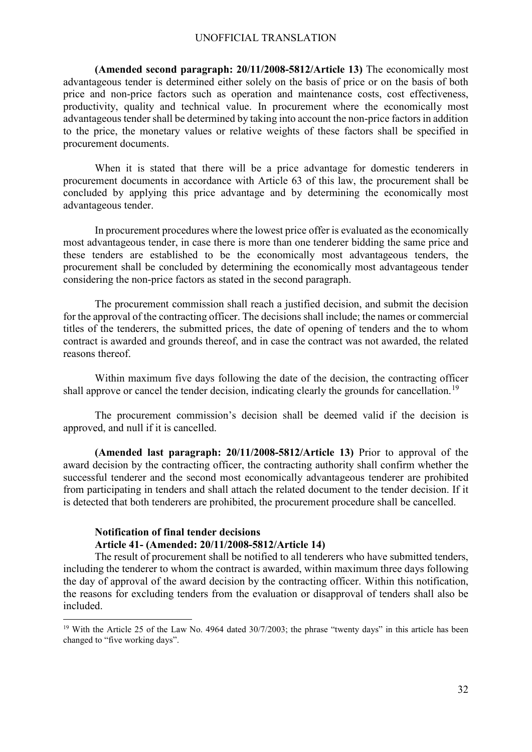**(Amended second paragraph: 20/11/2008-5812/Article 13)** The economically most advantageous tender is determined either solely on the basis of price or on the basis of both price and non-price factors such as operation and maintenance costs, cost effectiveness, productivity, quality and technical value. In procurement where the economically most advantageous tender shall be determined by taking into account the non-price factors in addition to the price, the monetary values or relative weights of these factors shall be specified in procurement documents.

When it is stated that there will be a price advantage for domestic tenderers in procurement documents in accordance with Article 63 of this law, the procurement shall be concluded by applying this price advantage and by determining the economically most advantageous tender.

In procurement procedures where the lowest price offer is evaluated as the economically most advantageous tender, in case there is more than one tenderer bidding the same price and these tenders are established to be the economically most advantageous tenders, the procurement shall be concluded by determining the economically most advantageous tender considering the non-price factors as stated in the second paragraph.

The procurement commission shall reach a justified decision, and submit the decision for the approval of the contracting officer. The decisions shall include; the names or commercial titles of the tenderers, the submitted prices, the date of opening of tenders and the to whom contract is awarded and grounds thereof, and in case the contract was not awarded, the related reasons thereof.

Within maximum five days following the date of the decision, the contracting officer shall approve or cancel the tender decision, indicating clearly the grounds for cancellation.<sup>[19](#page-31-0)</sup>

The procurement commission's decision shall be deemed valid if the decision is approved, and null if it is cancelled.

**(Amended last paragraph: 20/11/2008-5812/Article 13)** Prior to approval of the award decision by the contracting officer, the contracting authority shall confirm whether the successful tenderer and the second most economically advantageous tenderer are prohibited from participating in tenders and shall attach the related document to the tender decision. If it is detected that both tenderers are prohibited, the procurement procedure shall be cancelled.

#### **Notification of final tender decisions Article 41- (Amended: 20/11/2008-5812/Article 14)**

The result of procurement shall be notified to all tenderers who have submitted tenders, including the tenderer to whom the contract is awarded, within maximum three days following the day of approval of the award decision by the contracting officer. Within this notification, the reasons for excluding tenders from the evaluation or disapproval of tenders shall also be included.

<span id="page-31-0"></span><sup>&</sup>lt;sup>19</sup> With the Article 25 of the Law No. 4964 dated 30/7/2003; the phrase "twenty days" in this article has been changed to "five working days".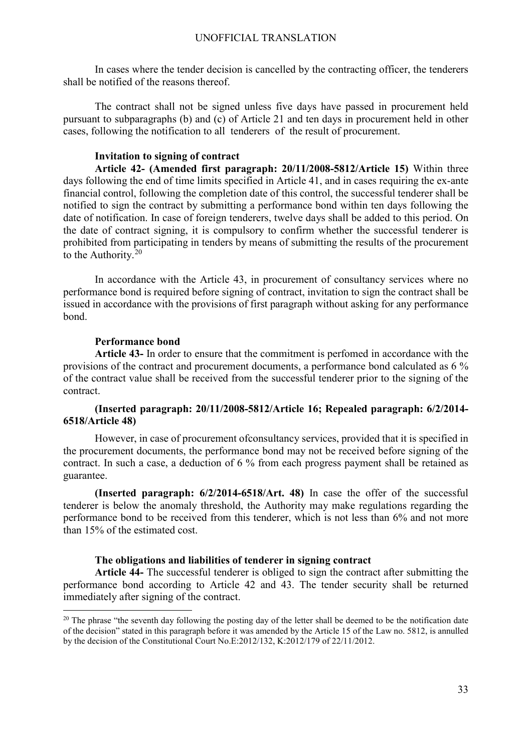In cases where the tender decision is cancelled by the contracting officer, the tenderers shall be notified of the reasons thereof.

The contract shall not be signed unless five days have passed in procurement held pursuant to subparagraphs (b) and (c) of Article 21 and ten days in procurement held in other cases, following the notification to all tenderers of the result of procurement.

## **Invitation to signing of contract**

**Article 42- (Amended first paragraph: 20/11/2008-5812/Article 15)** Within three days following the end of time limits specified in Article 41, and in cases requiring the ex-ante financial control, following the completion date of this control, the successful tenderer shall be notified to sign the contract by submitting a performance bond within ten days following the date of notification. In case of foreign tenderers, twelve days shall be added to this period. On the date of contract signing, it is compulsory to confirm whether the successful tenderer is prohibited from participating in tenders by means of submitting the results of the procurement to the Authority. $20$ 

In accordance with the Article 43, in procurement of consultancy services where no performance bond is required before signing of contract, invitation to sign the contract shall be issued in accordance with the provisions of first paragraph without asking for any performance bond.

#### **Performance bond**

**Article 43-** In order to ensure that the commitment is perfomed in accordance with the provisions of the contract and procurement documents, a performance bond calculated as 6 % of the contract value shall be received from the successful tenderer prior to the signing of the contract.

## **(Inserted paragraph: 20/11/2008-5812/Article 16; Repealed paragraph: 6/2/2014- 6518/Article 48)**

However, in case of procurement ofconsultancy services, provided that it is specified in the procurement documents, the performance bond may not be received before signing of the contract. In such a case, a deduction of 6 % from each progress payment shall be retained as guarantee.

**(Inserted paragraph: 6/2/2014-6518/Art. 48)** In case the offer of the successful tenderer is below the anomaly threshold, the Authority may make regulations regarding the performance bond to be received from this tenderer, which is not less than 6% and not more than 15% of the estimated cost.

#### **The obligations and liabilities of tenderer in signing contract**

**Article 44-** The successful tenderer is obliged to sign the contract after submitting the performance bond according to Article 42 and 43. The tender security shall be returned immediately after signing of the contract.

<span id="page-32-0"></span><sup>&</sup>lt;sup>20</sup> The phrase "the seventh day following the posting day of the letter shall be deemed to be the notification date of the decision" stated in this paragraph before it was amended by the Article 15 of the Law no. 5812, is annulled by the decision of the Constitutional Court No.E:2012/132, K:2012/179 of 22/11/2012.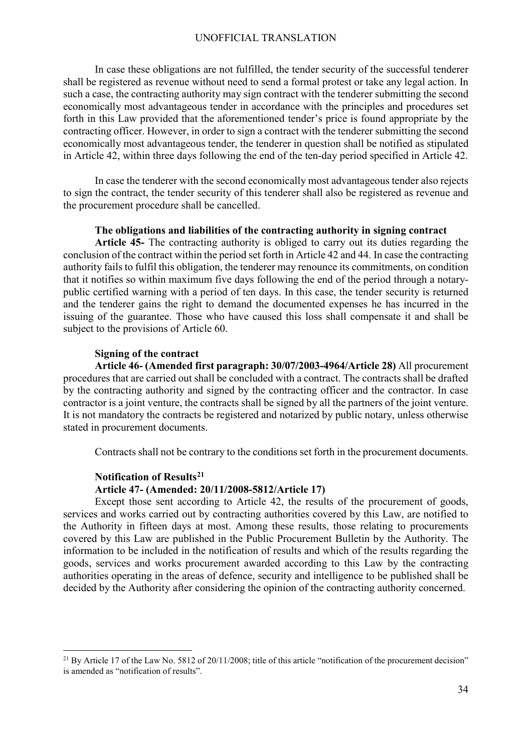In case these obligations are not fulfilled, the tender security of the successful tenderer shall be registered as revenue without need to send a formal protest or take any legal action. In such a case, the contracting authority may sign contract with the tenderer submitting the second economically most advantageous tender in accordance with the principles and procedures set forth in this Law provided that the aforementioned tender's price is found appropriate by the contracting officer. However, in order to sign a contract with the tenderer submitting the second economically most advantageous tender, the tenderer in question shall be notified as stipulated in Article 42, within three days following the end of the ten-day period specified in Article 42.

In case the tenderer with the second economically most advantageous tender also rejects to sign the contract, the tender security of this tenderer shall also be registered as revenue and the procurement procedure shall be cancelled.

### **The obligations and liabilities of the contracting authority in signing contract**

**Article 45-** The contracting authority is obliged to carry out its duties regarding the conclusion of the contract within the period set forth in Article 42 and 44. In case the contracting authority fails to fulfil this obligation, the tenderer may renounce its commitments, on condition that it notifies so within maximum five days following the end of the period through a notarypublic certified warning with a period of ten days. In this case, the tender security is returned and the tenderer gains the right to demand the documented expenses he has incurred in the issuing of the guarantee. Those who have caused this loss shall compensate it and shall be subject to the provisions of Article 60.

#### **Signing of the contract**

**Article 46- (Amended first paragraph: 30/07/2003-4964/Article 28)** All procurement procedures that are carried out shall be concluded with a contract. The contracts shall be drafted by the contracting authority and signed by the contracting officer and the contractor. In case contractor is a joint venture, the contracts shall be signed by all the partners of the joint venture. It is not mandatory the contracts be registered and notarized by public notary, unless otherwise stated in procurement documents.

Contracts shall not be contrary to the conditions set forth in the procurement documents.

#### **Notification of Results[21](#page-33-0)**

#### **Article 47- (Amended: 20/11/2008-5812/Article 17)**

Except those sent according to Article 42, the results of the procurement of goods, services and works carried out by contracting authorities covered by this Law, are notified to the Authority in fifteen days at most. Among these results, those relating to procurements covered by this Law are published in the Public Procurement Bulletin by the Authority. The information to be included in the notification of results and which of the results regarding the goods, services and works procurement awarded according to this Law by the contracting authorities operating in the areas of defence, security and intelligence to be published shall be decided by the Authority after considering the opinion of the contracting authority concerned.

<span id="page-33-0"></span><sup>&</sup>lt;sup>21</sup> By Article 17 of the Law No. 5812 of 20/11/2008; title of this article "notification of the procurement decision" is amended as "notification of results".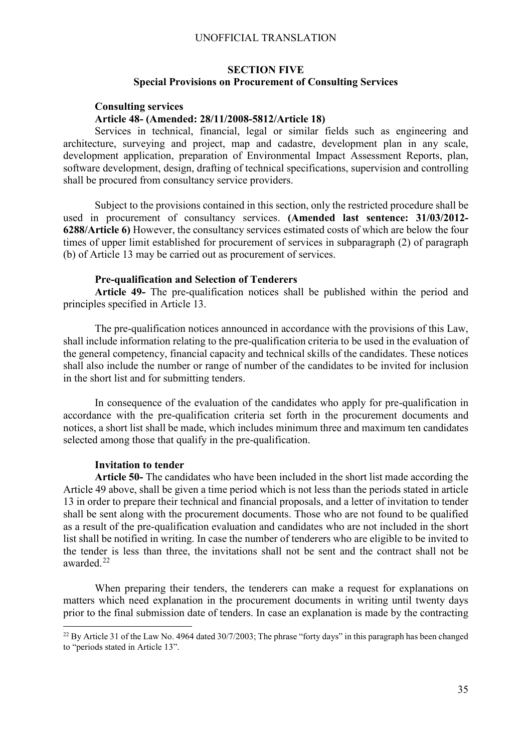# **SECTION FIVE Special Provisions on Procurement of Consulting Services**

### **Consulting services Article 48- (Amended: 28/11/2008-5812/Article 18)**

Services in technical, financial, legal or similar fields such as engineering and architecture, surveying and project, map and cadastre, development plan in any scale, development application, preparation of Environmental Impact Assessment Reports, plan, software development, design, drafting of technical specifications, supervision and controlling shall be procured from consultancy service providers.

Subject to the provisions contained in this section, only the restricted procedure shall be used in procurement of consultancy services. **(Amended last sentence: 31/03/2012- 6288/Article 6)** However, the consultancy services estimated costs of which are below the four times of upper limit established for procurement of services in subparagraph (2) of paragraph (b) of Article 13 may be carried out as procurement of services.

## **Pre-qualification and Selection of Tenderers**

**Article 49-** The pre-qualification notices shall be published within the period and principles specified in Article 13.

The pre-qualification notices announced in accordance with the provisions of this Law, shall include information relating to the pre-qualification criteria to be used in the evaluation of the general competency, financial capacity and technical skills of the candidates. These notices shall also include the number or range of number of the candidates to be invited for inclusion in the short list and for submitting tenders.

In consequence of the evaluation of the candidates who apply for pre-qualification in accordance with the pre-qualification criteria set forth in the procurement documents and notices, a short list shall be made, which includes minimum three and maximum ten candidates selected among those that qualify in the pre-qualification.

#### **Invitation to tender**

**Article 50-** The candidates who have been included in the short list made according the Article 49 above, shall be given a time period which is not less than the periods stated in article 13 in order to prepare their technical and financial proposals, and a letter of invitation to tender shall be sent along with the procurement documents. Those who are not found to be qualified as a result of the pre-qualification evaluation and candidates who are not included in the short list shall be notified in writing. In case the number of tenderers who are eligible to be invited to the tender is less than three, the invitations shall not be sent and the contract shall not be awarded. [22](#page-34-0)

When preparing their tenders, the tenderers can make a request for explanations on matters which need explanation in the procurement documents in writing until twenty days prior to the final submission date of tenders. In case an explanation is made by the contracting

<span id="page-34-0"></span><sup>&</sup>lt;sup>22</sup> By Article 31 of the Law No. 4964 dated 30/7/2003; The phrase "forty days" in this paragraph has been changed to "periods stated in Article 13".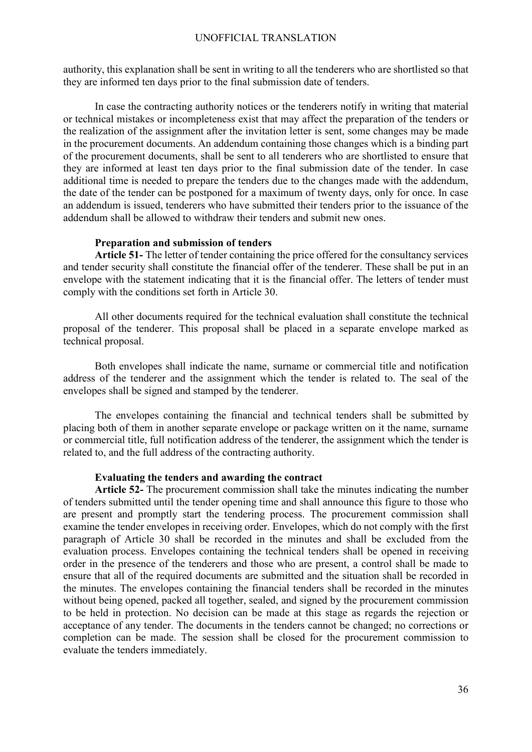authority, this explanation shall be sent in writing to all the tenderers who are shortlisted so that they are informed ten days prior to the final submission date of tenders.

In case the contracting authority notices or the tenderers notify in writing that material or technical mistakes or incompleteness exist that may affect the preparation of the tenders or the realization of the assignment after the invitation letter is sent, some changes may be made in the procurement documents. An addendum containing those changes which is a binding part of the procurement documents, shall be sent to all tenderers who are shortlisted to ensure that they are informed at least ten days prior to the final submission date of the tender. In case additional time is needed to prepare the tenders due to the changes made with the addendum, the date of the tender can be postponed for a maximum of twenty days, only for once. In case an addendum is issued, tenderers who have submitted their tenders prior to the issuance of the addendum shall be allowed to withdraw their tenders and submit new ones.

#### **Preparation and submission of tenders**

**Article 51-** The letter of tender containing the price offered for the consultancy services and tender security shall constitute the financial offer of the tenderer. These shall be put in an envelope with the statement indicating that it is the financial offer. The letters of tender must comply with the conditions set forth in Article 30.

All other documents required for the technical evaluation shall constitute the technical proposal of the tenderer. This proposal shall be placed in a separate envelope marked as technical proposal.

Both envelopes shall indicate the name, surname or commercial title and notification address of the tenderer and the assignment which the tender is related to. The seal of the envelopes shall be signed and stamped by the tenderer.

The envelopes containing the financial and technical tenders shall be submitted by placing both of them in another separate envelope or package written on it the name, surname or commercial title, full notification address of the tenderer, the assignment which the tender is related to, and the full address of the contracting authority.

### **Evaluating the tenders and awarding the contract**

**Article 52-** The procurement commission shall take the minutes indicating the number of tenders submitted until the tender opening time and shall announce this figure to those who are present and promptly start the tendering process. The procurement commission shall examine the tender envelopes in receiving order. Envelopes, which do not comply with the first paragraph of Article 30 shall be recorded in the minutes and shall be excluded from the evaluation process. Envelopes containing the technical tenders shall be opened in receiving order in the presence of the tenderers and those who are present, a control shall be made to ensure that all of the required documents are submitted and the situation shall be recorded in the minutes. The envelopes containing the financial tenders shall be recorded in the minutes without being opened, packed all together, sealed, and signed by the procurement commission to be held in protection. No decision can be made at this stage as regards the rejection or acceptance of any tender. The documents in the tenders cannot be changed; no corrections or completion can be made. The session shall be closed for the procurement commission to evaluate the tenders immediately.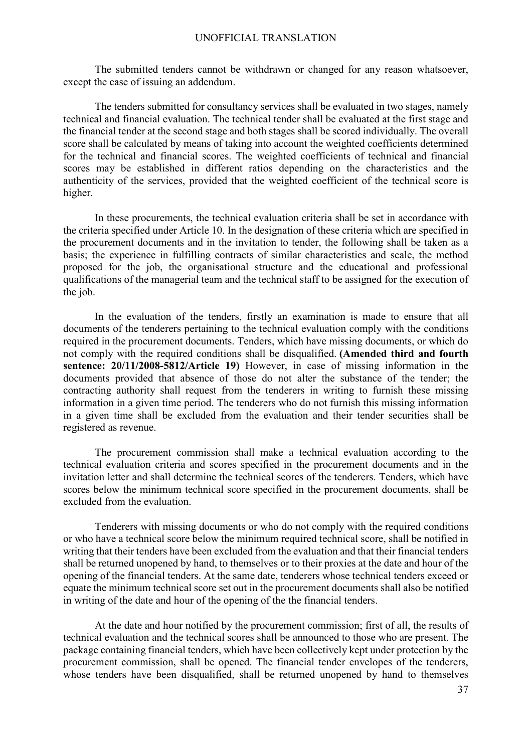The submitted tenders cannot be withdrawn or changed for any reason whatsoever, except the case of issuing an addendum.

The tenders submitted for consultancy services shall be evaluated in two stages, namely technical and financial evaluation. The technical tender shall be evaluated at the first stage and the financial tender at the second stage and both stages shall be scored individually. The overall score shall be calculated by means of taking into account the weighted coefficients determined for the technical and financial scores. The weighted coefficients of technical and financial scores may be established in different ratios depending on the characteristics and the authenticity of the services, provided that the weighted coefficient of the technical score is higher.

In these procurements, the technical evaluation criteria shall be set in accordance with the criteria specified under Article 10. In the designation of these criteria which are specified in the procurement documents and in the invitation to tender, the following shall be taken as a basis; the experience in fulfilling contracts of similar characteristics and scale, the method proposed for the job, the organisational structure and the educational and professional qualifications of the managerial team and the technical staff to be assigned for the execution of the job.

In the evaluation of the tenders, firstly an examination is made to ensure that all documents of the tenderers pertaining to the technical evaluation comply with the conditions required in the procurement documents. Tenders, which have missing documents, or which do not comply with the required conditions shall be disqualified. **(Amended third and fourth sentence: 20/11/2008-5812/Article 19)** However, in case of missing information in the documents provided that absence of those do not alter the substance of the tender; the contracting authority shall request from the tenderers in writing to furnish these missing information in a given time period. The tenderers who do not furnish this missing information in a given time shall be excluded from the evaluation and their tender securities shall be registered as revenue.

The procurement commission shall make a technical evaluation according to the technical evaluation criteria and scores specified in the procurement documents and in the invitation letter and shall determine the technical scores of the tenderers. Tenders, which have scores below the minimum technical score specified in the procurement documents, shall be excluded from the evaluation.

Tenderers with missing documents or who do not comply with the required conditions or who have a technical score below the minimum required technical score, shall be notified in writing that their tenders have been excluded from the evaluation and that their financial tenders shall be returned unopened by hand, to themselves or to their proxies at the date and hour of the opening of the financial tenders. At the same date, tenderers whose technical tenders exceed or equate the minimum technical score set out in the procurement documents shall also be notified in writing of the date and hour of the opening of the the financial tenders.

At the date and hour notified by the procurement commission; first of all, the results of technical evaluation and the technical scores shall be announced to those who are present. The package containing financial tenders, which have been collectively kept under protection by the procurement commission, shall be opened. The financial tender envelopes of the tenderers, whose tenders have been disqualified, shall be returned unopened by hand to themselves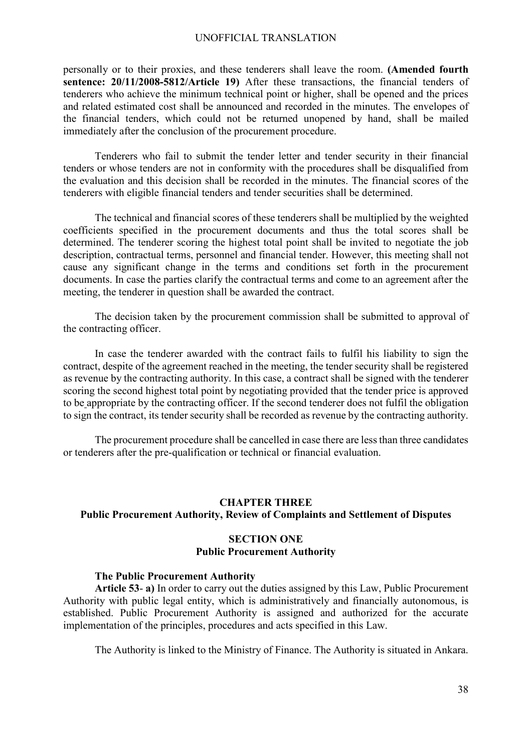personally or to their proxies, and these tenderers shall leave the room. **(Amended fourth sentence: 20/11/2008-5812/Article 19)** After these transactions, the financial tenders of tenderers who achieve the minimum technical point or higher, shall be opened and the prices and related estimated cost shall be announced and recorded in the minutes. The envelopes of the financial tenders, which could not be returned unopened by hand, shall be mailed immediately after the conclusion of the procurement procedure.

Tenderers who fail to submit the tender letter and tender security in their financial tenders or whose tenders are not in conformity with the procedures shall be disqualified from the evaluation and this decision shall be recorded in the minutes. The financial scores of the tenderers with eligible financial tenders and tender securities shall be determined.

The technical and financial scores of these tenderers shall be multiplied by the weighted coefficients specified in the procurement documents and thus the total scores shall be determined. The tenderer scoring the highest total point shall be invited to negotiate the job description, contractual terms, personnel and financial tender. However, this meeting shall not cause any significant change in the terms and conditions set forth in the procurement documents. In case the parties clarify the contractual terms and come to an agreement after the meeting, the tenderer in question shall be awarded the contract.

The decision taken by the procurement commission shall be submitted to approval of the contracting officer.

In case the tenderer awarded with the contract fails to fulfil his liability to sign the contract, despite of the agreement reached in the meeting, the tender security shall be registered as revenue by the contracting authority. In this case, a contract shall be signed with the tenderer scoring the second highest total point by negotiating provided that the tender price is approved to be appropriate by the contracting officer. If the second tenderer does not fulfil the obligation to sign the contract, its tender security shall be recorded as revenue by the contracting authority.

The procurement procedure shall be cancelled in case there are less than three candidates or tenderers after the pre-qualification or technical or financial evaluation.

#### **CHAPTER THREE**

## **Public Procurement Authority, Review of Complaints and Settlement of Disputes**

## **SECTION ONE Public Procurement Authority**

#### **The Public Procurement Authority**

**Article 53**- **a)** In order to carry out the duties assigned by this Law, Public Procurement Authority with public legal entity, which is administratively and financially autonomous, is established. Public Procurement Authority is assigned and authorized for the accurate implementation of the principles, procedures and acts specified in this Law.

The Authority is linked to the Ministry of Finance. The Authority is situated in Ankara.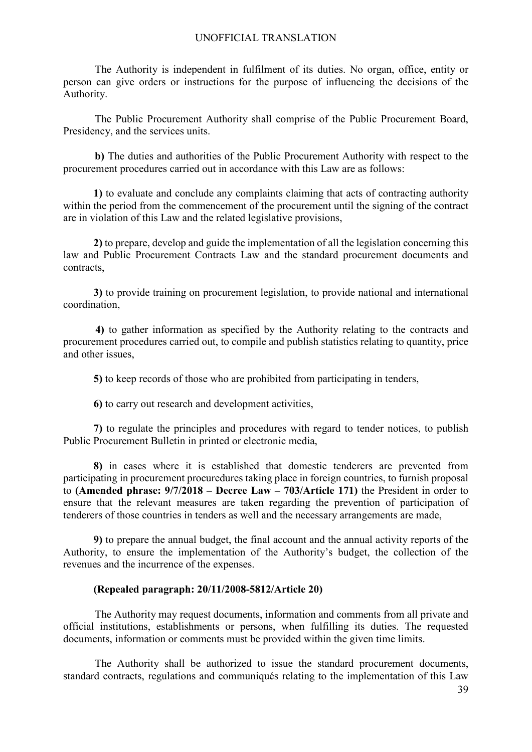The Authority is independent in fulfilment of its duties. No organ, office, entity or person can give orders or instructions for the purpose of influencing the decisions of the Authority.

The Public Procurement Authority shall comprise of the Public Procurement Board, Presidency, and the services units.

**b)** The duties and authorities of the Public Procurement Authority with respect to the procurement procedures carried out in accordance with this Law are as follows:

**1)** to evaluate and conclude any complaints claiming that acts of contracting authority within the period from the commencement of the procurement until the signing of the contract are in violation of this Law and the related legislative provisions,

**2)** to prepare, develop and guide the implementation of all the legislation concerning this law and Public Procurement Contracts Law and the standard procurement documents and contracts,

**3)** to provide training on procurement legislation, to provide national and international coordination,

**4)** to gather information as specified by the Authority relating to the contracts and procurement procedures carried out, to compile and publish statistics relating to quantity, price and other issues,

**5)** to keep records of those who are prohibited from participating in tenders,

**6)** to carry out research and development activities,

**7)** to regulate the principles and procedures with regard to tender notices, to publish Public Procurement Bulletin in printed or electronic media,

**8)** in cases where it is established that domestic tenderers are prevented from participating in procurement procuredures taking place in foreign countries, to furnish proposal to **(Amended phrase: 9/7/2018 – Decree Law – 703/Article 171)** the President in order to ensure that the relevant measures are taken regarding the prevention of participation of tenderers of those countries in tenders as well and the necessary arrangements are made,

**9)** to prepare the annual budget, the final account and the annual activity reports of the Authority, to ensure the implementation of the Authority's budget, the collection of the revenues and the incurrence of the expenses.

## **(Repealed paragraph: 20/11/2008-5812/Article 20)**

The Authority may request documents, information and comments from all private and official institutions, establishments or persons, when fulfilling its duties. The requested documents, information or comments must be provided within the given time limits.

The Authority shall be authorized to issue the standard procurement documents, standard contracts, regulations and communiqués relating to the implementation of this Law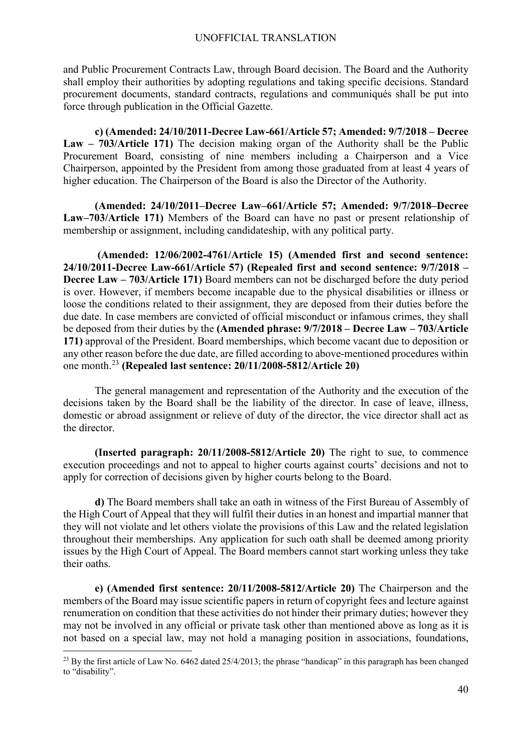and Public Procurement Contracts Law, through Board decision. The Board and the Authority shall employ their authorities by adopting regulations and taking specific decisions. Standard procurement documents, standard contracts, regulations and communiqués shall be put into force through publication in the Official Gazette.

**c) (Amended: 24/10/2011-Decree Law-661/Article 57; Amended: 9/7/2018 – Decree Law – 703/Article 171)** The decision making organ of the Authority shall be the Public Procurement Board, consisting of nine members including a Chairperson and a Vice Chairperson, appointed by the President from among those graduated from at least 4 years of higher education. The Chairperson of the Board is also the Director of the Authority.

**(Amended: 24/10/2011–Decree Law–661/Article 57; Amended: 9/7/2018–Decree Law–703/Article 171)** Members of the Board can have no past or present relationship of membership or assignment, including candidateship, with any political party.

**(Amended: 12/06/2002-4761/Article 15) (Amended first and second sentence: 24/10/2011-Decree Law-661/Article 57) (Repealed first and second sentence: 9/7/2018 – Decree Law – 703/Article 171)** Board members can not be discharged before the duty period is over. However, if members become incapable due to the physical disabilities or illness or loose the conditions related to their assignment, they are deposed from their duties before the due date. In case members are convicted of official misconduct or infamous crimes, they shall be deposed from their duties by the **(Amended phrase: 9/7/2018 – Decree Law – 703/Article 171)** approval of the President. Board memberships, which become vacant due to deposition or any other reason before the due date, are filled according to above-mentioned procedures within one month.[23](#page-39-0) **(Repealed last sentence: 20/11/2008-5812/Article 20)** 

The general management and representation of the Authority and the execution of the decisions taken by the Board shall be the liability of the director. In case of leave, illness, domestic or abroad assignment or relieve of duty of the director, the vice director shall act as the director.

**(Inserted paragraph: 20/11/2008-5812/Article 20)** The right to sue, to commence execution proceedings and not to appeal to higher courts against courts' decisions and not to apply for correction of decisions given by higher courts belong to the Board.

**d)** The Board members shall take an oath in witness of the First Bureau of Assembly of the High Court of Appeal that they will fulfil their duties in an honest and impartial manner that they will not violate and let others violate the provisions of this Law and the related legislation throughout their memberships. Any application for such oath shall be deemed among priority issues by the High Court of Appeal. The Board members cannot start working unless they take their oaths.

**e) (Amended first sentence: 20/11/2008-5812/Article 20)** The Chairperson and the members of the Board may issue scientific papers in return of copyright fees and lecture against renumeration on condition that these activities do not hinder their primary duties; however they may not be involved in any official or private task other than mentioned above as long as it is not based on a special law, may not hold a managing position in associations, foundations,

<span id="page-39-0"></span><sup>&</sup>lt;sup>23</sup> By the first article of Law No. 6462 dated  $25/4/2013$ ; the phrase "handicap" in this paragraph has been changed to "disability".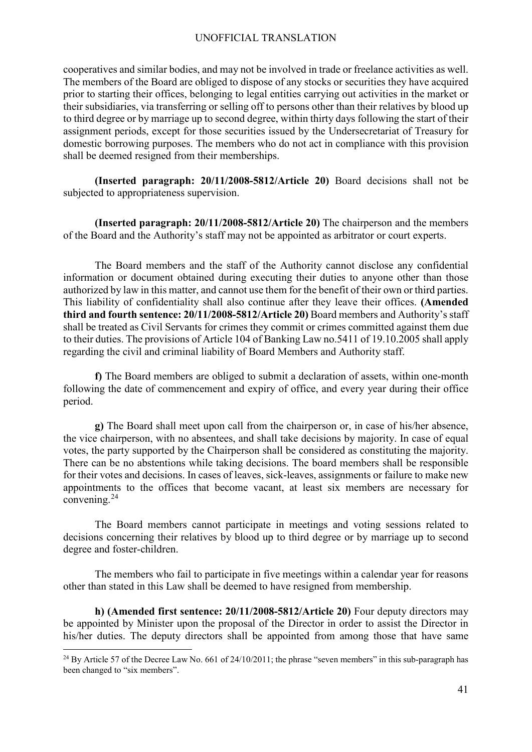cooperatives and similar bodies, and may not be involved in trade or freelance activities as well. The members of the Board are obliged to dispose of any stocks or securities they have acquired prior to starting their offices, belonging to legal entities carrying out activities in the market or their subsidiaries, via transferring or selling off to persons other than their relatives by blood up to third degree or by marriage up to second degree, within thirty days following the start of their assignment periods, except for those securities issued by the Undersecretariat of Treasury for domestic borrowing purposes. The members who do not act in compliance with this provision shall be deemed resigned from their memberships.

**(Inserted paragraph: 20/11/2008-5812/Article 20)** Board decisions shall not be subjected to appropriateness supervision.

**(Inserted paragraph: 20/11/2008-5812/Article 20)** The chairperson and the members of the Board and the Authority's staff may not be appointed as arbitrator or court experts.

The Board members and the staff of the Authority cannot disclose any confidential information or document obtained during executing their duties to anyone other than those authorized by law in this matter, and cannot use them for the benefit of their own or third parties. This liability of confidentiality shall also continue after they leave their offices. **(Amended third and fourth sentence: 20/11/2008-5812/Article 20)** Board members and Authority's staff shall be treated as Civil Servants for crimes they commit or crimes committed against them due to their duties. The provisions of Article 104 of Banking Law no.5411 of 19.10.2005 shall apply regarding the civil and criminal liability of Board Members and Authority staff.

**f)** The Board members are obliged to submit a declaration of assets, within one-month following the date of commencement and expiry of office, and every year during their office period.

**g)** The Board shall meet upon call from the chairperson or, in case of his/her absence, the vice chairperson, with no absentees, and shall take decisions by majority. In case of equal votes, the party supported by the Chairperson shall be considered as constituting the majority. There can be no abstentions while taking decisions. The board members shall be responsible for their votes and decisions. In cases of leaves, sick-leaves, assignments or failure to make new appointments to the offices that become vacant, at least six members are necessary for convening.[24](#page-40-0)

The Board members cannot participate in meetings and voting sessions related to decisions concerning their relatives by blood up to third degree or by marriage up to second degree and foster-children.

The members who fail to participate in five meetings within a calendar year for reasons other than stated in this Law shall be deemed to have resigned from membership.

**h) (Amended first sentence: 20/11/2008-5812/Article 20)** Four deputy directors may be appointed by Minister upon the proposal of the Director in order to assist the Director in his/her duties. The deputy directors shall be appointed from among those that have same

<span id="page-40-0"></span><sup>&</sup>lt;sup>24</sup> By Article 57 of the Decree Law No. 661 of  $24/10/2011$ ; the phrase "seven members" in this sub-paragraph has been changed to "six members".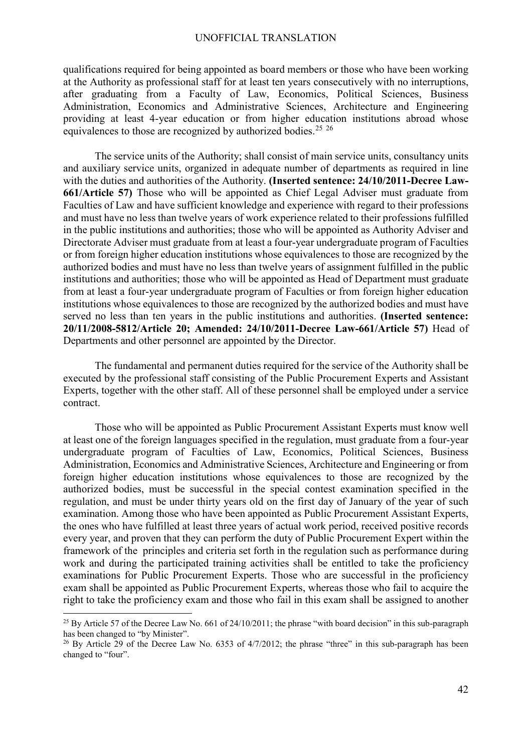qualifications required for being appointed as board members or those who have been working at the Authority as professional staff for at least ten years consecutively with no interruptions, after graduating from a Faculty of Law, Economics, Political Sciences, Business Administration, Economics and Administrative Sciences, Architecture and Engineering providing at least 4-year education or from higher education institutions abroad whose equivalences to those are recognized by authorized bodies.<sup>[25](#page-41-0) [26](#page-41-1)</sup>

The service units of the Authority; shall consist of main service units, consultancy units and auxiliary service units, organized in adequate number of departments as required in line with the duties and authorities of the Authority. **(Inserted sentence: 24/10/2011-Decree Law-661/Article 57)** Those who will be appointed as Chief Legal Adviser must graduate from Faculties of Law and have sufficient knowledge and experience with regard to their professions and must have no less than twelve years of work experience related to their professions fulfilled in the public institutions and authorities; those who will be appointed as Authority Adviser and Directorate Adviser must graduate from at least a four-year undergraduate program of Faculties or from foreign higher education institutions whose equivalences to those are recognized by the authorized bodies and must have no less than twelve years of assignment fulfilled in the public institutions and authorities; those who will be appointed as Head of Department must graduate from at least a four-year undergraduate program of Faculties or from foreign higher education institutions whose equivalences to those are recognized by the authorized bodies and must have served no less than ten years in the public institutions and authorities. **(Inserted sentence: 20/11/2008-5812/Article 20; Amended: 24/10/2011-Decree Law-661/Article 57)** Head of Departments and other personnel are appointed by the Director.

The fundamental and permanent duties required for the service of the Authority shall be executed by the professional staff consisting of the Public Procurement Experts and Assistant Experts, together with the other staff. All of these personnel shall be employed under a service contract.

Those who will be appointed as Public Procurement Assistant Experts must know well at least one of the foreign languages specified in the regulation, must graduate from a four-year undergraduate program of Faculties of Law, Economics, Political Sciences, Business Administration, Economics and Administrative Sciences, Architecture and Engineering or from foreign higher education institutions whose equivalences to those are recognized by the authorized bodies, must be successful in the special contest examination specified in the regulation, and must be under thirty years old on the first day of January of the year of such examination. Among those who have been appointed as Public Procurement Assistant Experts, the ones who have fulfilled at least three years of actual work period, received positive records every year, and proven that they can perform the duty of Public Procurement Expert within the framework of the principles and criteria set forth in the regulation such as performance during work and during the participated training activities shall be entitled to take the proficiency examinations for Public Procurement Experts. Those who are successful in the proficiency exam shall be appointed as Public Procurement Experts, whereas those who fail to acquire the right to take the proficiency exam and those who fail in this exam shall be assigned to another

<span id="page-41-0"></span><sup>&</sup>lt;sup>25</sup> By Article 57 of the Decree Law No. 661 of  $24/10/2011$ ; the phrase "with board decision" in this sub-paragraph has been changed to "by Minister".

<span id="page-41-1"></span><sup>&</sup>lt;sup>26</sup> By Article 29 of the Decree Law No. 6353 of  $4/7/2012$ ; the phrase "three" in this sub-paragraph has been changed to "four".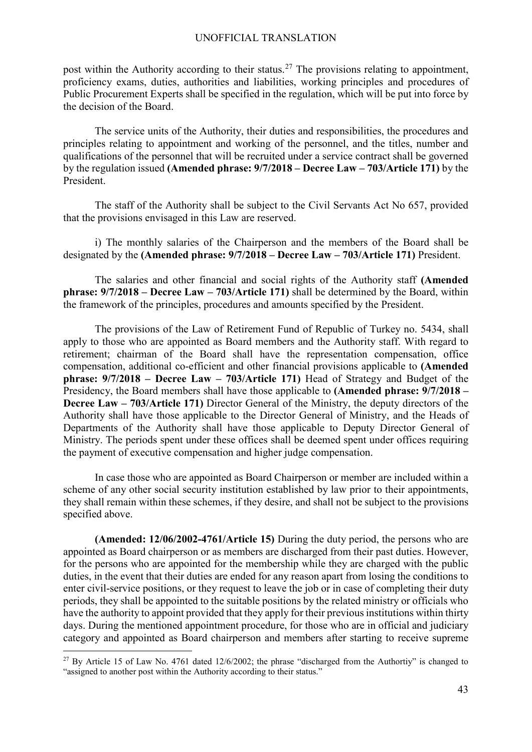post within the Authority according to their status.<sup>[27](#page-42-0)</sup> The provisions relating to appointment, proficiency exams, duties, authorities and liabilities, working principles and procedures of Public Procurement Experts shall be specified in the regulation, which will be put into force by the decision of the Board.

The service units of the Authority, their duties and responsibilities, the procedures and principles relating to appointment and working of the personnel, and the titles, number and qualifications of the personnel that will be recruited under a service contract shall be governed by the regulation issued **(Amended phrase: 9/7/2018 – Decree Law – 703/Article 171)** by the President.

The staff of the Authority shall be subject to the Civil Servants Act No 657, provided that the provisions envisaged in this Law are reserved.

i) The monthly salaries of the Chairperson and the members of the Board shall be designated by the **(Amended phrase: 9/7/2018 – Decree Law – 703/Article 171)** President.

The salaries and other financial and social rights of the Authority staff **(Amended phrase: 9/7/2018 – Decree Law – 703/Article 171)** shall be determined by the Board, within the framework of the principles, procedures and amounts specified by the President.

The provisions of the Law of Retirement Fund of Republic of Turkey no. 5434, shall apply to those who are appointed as Board members and the Authority staff. With regard to retirement; chairman of the Board shall have the representation compensation, office compensation, additional co-efficient and other financial provisions applicable to **(Amended phrase: 9/7/2018 – Decree Law – 703/Article 171)** Head of Strategy and Budget of the Presidency, the Board members shall have those applicable to **(Amended phrase: 9/7/2018 – Decree Law – 703/Article 171)** Director General of the Ministry, the deputy directors of the Authority shall have those applicable to the Director General of Ministry, and the Heads of Departments of the Authority shall have those applicable to Deputy Director General of Ministry. The periods spent under these offices shall be deemed spent under offices requiring the payment of executive compensation and higher judge compensation.

In case those who are appointed as Board Chairperson or member are included within a scheme of any other social security institution established by law prior to their appointments, they shall remain within these schemes, if they desire, and shall not be subject to the provisions specified above.

**(Amended: 12/06/2002-4761/Article 15)** During the duty period, the persons who are appointed as Board chairperson or as members are discharged from their past duties. However, for the persons who are appointed for the membership while they are charged with the public duties, in the event that their duties are ended for any reason apart from losing the conditions to enter civil-service positions, or they request to leave the job or in case of completing their duty periods, they shall be appointed to the suitable positions by the related ministry or officials who have the authority to appoint provided that they apply for their previous institutions within thirty days. During the mentioned appointment procedure, for those who are in official and judiciary category and appointed as Board chairperson and members after starting to receive supreme

<span id="page-42-0"></span><sup>&</sup>lt;sup>27</sup> By Article 15 of Law No. 4761 dated 12/6/2002; the phrase "discharged from the Authortiy" is changed to "assigned to another post within the Authority according to their status."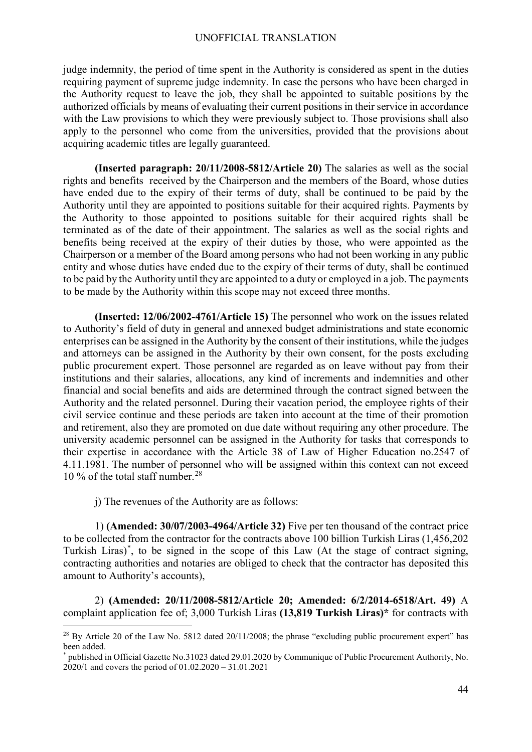judge indemnity, the period of time spent in the Authority is considered as spent in the duties requiring payment of supreme judge indemnity. In case the persons who have been charged in the Authority request to leave the job, they shall be appointed to suitable positions by the authorized officials by means of evaluating their current positions in their service in accordance with the Law provisions to which they were previously subject to. Those provisions shall also apply to the personnel who come from the universities, provided that the provisions about acquiring academic titles are legally guaranteed.

 **(Inserted paragraph: 20/11/2008-5812/Article 20)** The salaries as well as the social rights and benefits received by the Chairperson and the members of the Board, whose duties have ended due to the expiry of their terms of duty, shall be continued to be paid by the Authority until they are appointed to positions suitable for their acquired rights. Payments by the Authority to those appointed to positions suitable for their acquired rights shall be terminated as of the date of their appointment. The salaries as well as the social rights and benefits being received at the expiry of their duties by those, who were appointed as the Chairperson or a member of the Board among persons who had not been working in any public entity and whose duties have ended due to the expiry of their terms of duty, shall be continued to be paid by the Authority until they are appointed to a duty or employed in a job. The payments to be made by the Authority within this scope may not exceed three months.

 **(Inserted: 12/06/2002-4761/Article 15)** The personnel who work on the issues related to Authority's field of duty in general and annexed budget administrations and state economic enterprises can be assigned in the Authority by the consent of their institutions, while the judges and attorneys can be assigned in the Authority by their own consent, for the posts excluding public procurement expert. Those personnel are regarded as on leave without pay from their institutions and their salaries, allocations, any kind of increments and indemnities and other financial and social benefits and aids are determined through the contract signed between the Authority and the related personnel. During their vacation period, the employee rights of their civil service continue and these periods are taken into account at the time of their promotion and retirement, also they are promoted on due date without requiring any other procedure. The university academic personnel can be assigned in the Authority for tasks that corresponds to their expertise in accordance with the Article 38 of Law of Higher Education no.2547 of 4.11.1981. The number of personnel who will be assigned within this context can not exceed 10 % of the total staff number.<sup>[28](#page-43-0)</sup>

j) The revenues of the Authority are as follows:

 $\overline{a}$ 

1) **(Amended: 30/07/2003-4964/Article 32)** Five per ten thousand of the contract price to be collected from the contractor for the contracts above 100 billion Turkish Liras (1,456,202 Turkish Liras) [\\*](#page-43-1) , to be signed in the scope of this Law (At the stage of contract signing, contracting authorities and notaries are obliged to check that the contractor has deposited this amount to Authority's accounts),

2) **(Amended: 20/11/2008-5812/Article 20; Amended: 6/2/2014-6518/Art. 49)** A complaint application fee of; 3,000 Turkish Liras **(13,819 Turkish Liras)\*** for contracts with

<span id="page-43-0"></span><sup>&</sup>lt;sup>28</sup> By Article 20 of the Law No. 5812 dated 20/11/2008; the phrase "excluding public procurement expert" has been added.

<span id="page-43-1"></span><sup>\*</sup> published in Official Gazette No.31023 dated 29.01.2020 by Communique of Public Procurement Authority, No. 2020/1 and covers the period of 01.02.2020 – 31.01.2021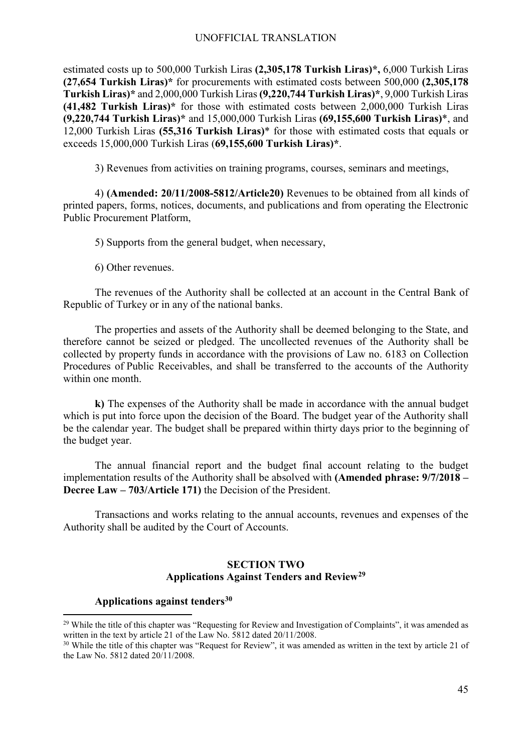estimated costs up to 500,000 Turkish Liras **(2,305,178 Turkish Liras)\*,** 6,000 Turkish Liras **(27,654 Turkish Liras)\*** for procurements with estimated costs between 500,000 **(2,305,178 Turkish Liras)\*** and 2,000,000 Turkish Liras **(9,220,744 Turkish Liras)\***, 9,000 Turkish Liras **(41,482 Turkish Liras)\*** for those with estimated costs between 2,000,000 Turkish Liras **(9,220,744 Turkish Liras)\*** and 15,000,000 Turkish Liras **(69,155,600 Turkish Liras)**\*, and 12,000 Turkish Liras **(55,316 Turkish Liras)**\* for those with estimated costs that equals or exceeds 15,000,000 Turkish Liras (**69,155,600 Turkish Liras)\***.

3) Revenues from activities on training programs, courses, seminars and meetings,

4) **(Amended: 20/11/2008-5812/Article20)** Revenues to be obtained from all kinds of printed papers, forms, notices, documents, and publications and from operating the Electronic Public Procurement Platform,

5) Supports from the general budget, when necessary,

6) Other revenues.

The revenues of the Authority shall be collected at an account in the Central Bank of Republic of Turkey or in any of the national banks.

The properties and assets of the Authority shall be deemed belonging to the State, and therefore cannot be seized or pledged. The uncollected revenues of the Authority shall be collected by property funds in accordance with the provisions of Law no. 6183 on Collection Procedures of Public Receivables, and shall be transferred to the accounts of the Authority within one month.

**k)** The expenses of the Authority shall be made in accordance with the annual budget which is put into force upon the decision of the Board. The budget year of the Authority shall be the calendar year. The budget shall be prepared within thirty days prior to the beginning of the budget year.

The annual financial report and the budget final account relating to the budget implementation results of the Authority shall be absolved with **(Amended phrase: 9/7/2018 – Decree Law – 703/Article 171)** the Decision of the President.

Transactions and works relating to the annual accounts, revenues and expenses of the Authority shall be audited by the Court of Accounts.

## **SECTION TWO Applications Against Tenders and Review[29](#page-44-0)**

## **Applications against tenders[30](#page-44-1)**

<span id="page-44-0"></span><sup>&</sup>lt;sup>29</sup> While the title of this chapter was "Requesting for Review and Investigation of Complaints", it was amended as written in the text by article 21 of the Law No. 5812 dated 20/11/2008.

<span id="page-44-1"></span><sup>&</sup>lt;sup>30</sup> While the title of this chapter was "Request for Review", it was amended as written in the text by article 21 of the Law No. 5812 dated 20/11/2008.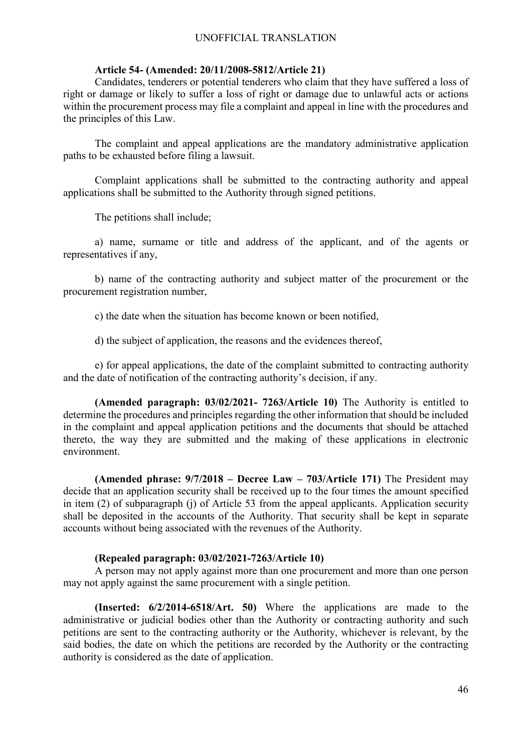#### **Article 54- (Amended: 20/11/2008-5812/Article 21)**

Candidates, tenderers or potential tenderers who claim that they have suffered a loss of right or damage or likely to suffer a loss of right or damage due to unlawful acts or actions within the procurement process may file a complaint and appeal in line with the procedures and the principles of this Law.

The complaint and appeal applications are the mandatory administrative application paths to be exhausted before filing a lawsuit.

Complaint applications shall be submitted to the contracting authority and appeal applications shall be submitted to the Authority through signed petitions.

The petitions shall include;

a) name, surname or title and address of the applicant, and of the agents or representatives if any,

b) name of the contracting authority and subject matter of the procurement or the procurement registration number,

c) the date when the situation has become known or been notified,

d) the subject of application, the reasons and the evidences thereof,

e) for appeal applications, the date of the complaint submitted to contracting authority and the date of notification of the contracting authority's decision, if any.

**(Amended paragraph: 03/02/2021- 7263/Article 10)** The Authority is entitled to determine the procedures and principles regarding the other information that should be included in the complaint and appeal application petitions and the documents that should be attached thereto, the way they are submitted and the making of these applications in electronic environment.

**(Amended phrase: 9/7/2018 – Decree Law – 703/Article 171)** The President may decide that an application security shall be received up to the four times the amount specified in item (2) of subparagraph (j) of Article 53 from the appeal applicants. Application security shall be deposited in the accounts of the Authority. That security shall be kept in separate accounts without being associated with the revenues of the Authority.

#### **(Repealed paragraph: 03/02/2021-7263/Article 10)**

A person may not apply against more than one procurement and more than one person may not apply against the same procurement with a single petition.

**(Inserted: 6/2/2014-6518/Art. 50)** Where the applications are made to the administrative or judicial bodies other than the Authority or contracting authority and such petitions are sent to the contracting authority or the Authority, whichever is relevant, by the said bodies, the date on which the petitions are recorded by the Authority or the contracting authority is considered as the date of application.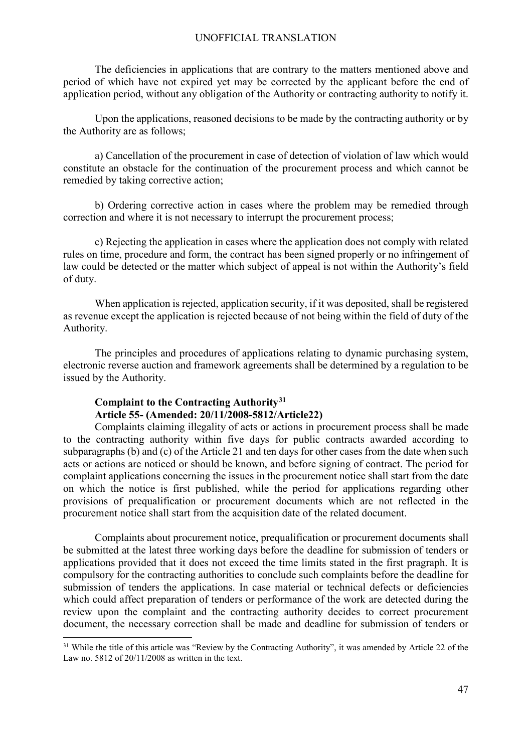The deficiencies in applications that are contrary to the matters mentioned above and period of which have not expired yet may be corrected by the applicant before the end of application period, without any obligation of the Authority or contracting authority to notify it.

Upon the applications, reasoned decisions to be made by the contracting authority or by the Authority are as follows;

a) Cancellation of the procurement in case of detection of violation of law which would constitute an obstacle for the continuation of the procurement process and which cannot be remedied by taking corrective action;

b) Ordering corrective action in cases where the problem may be remedied through correction and where it is not necessary to interrupt the procurement process;

c) Rejecting the application in cases where the application does not comply with related rules on time, procedure and form, the contract has been signed properly or no infringement of law could be detected or the matter which subject of appeal is not within the Authority's field of duty.

When application is rejected, application security, if it was deposited, shall be registered as revenue except the application is rejected because of not being within the field of duty of the Authority.

The principles and procedures of applications relating to dynamic purchasing system, electronic reverse auction and framework agreements shall be determined by a regulation to be issued by the Authority.

## **Complaint to the Contracting Authority[31](#page-46-0) Article 55- (Amended: 20/11/2008-5812/Article22)**

Complaints claiming illegality of acts or actions in procurement process shall be made to the contracting authority within five days for public contracts awarded according to subparagraphs (b) and (c) of the Article 21 and ten days for other cases from the date when such acts or actions are noticed or should be known, and before signing of contract. The period for complaint applications concerning the issues in the procurement notice shall start from the date on which the notice is first published, while the period for applications regarding other provisions of prequalification or procurement documents which are not reflected in the procurement notice shall start from the acquisition date of the related document.

Complaints about procurement notice, prequalification or procurement documents shall be submitted at the latest three working days before the deadline for submission of tenders or applications provided that it does not exceed the time limits stated in the first pragraph. It is compulsory for the contracting authorities to conclude such complaints before the deadline for submission of tenders the applications. In case material or technical defects or deficiencies which could affect preparation of tenders or performance of the work are detected during the review upon the complaint and the contracting authority decides to correct procurement document, the necessary correction shall be made and deadline for submission of tenders or

<span id="page-46-0"></span><sup>&</sup>lt;sup>31</sup> While the title of this article was "Review by the Contracting Authority", it was amended by Article 22 of the Law no. 5812 of 20/11/2008 as written in the text.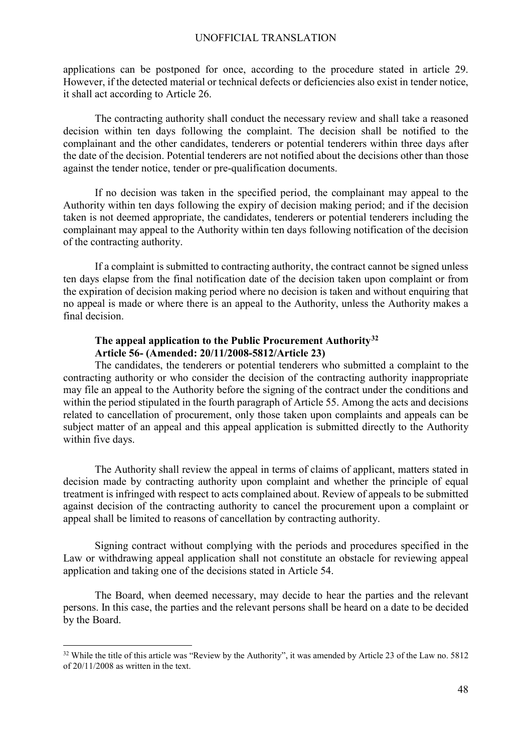applications can be postponed for once, according to the procedure stated in article 29. However, if the detected material or technical defects or deficiencies also exist in tender notice, it shall act according to Article 26.

The contracting authority shall conduct the necessary review and shall take a reasoned decision within ten days following the complaint. The decision shall be notified to the complainant and the other candidates, tenderers or potential tenderers within three days after the date of the decision. Potential tenderers are not notified about the decisions other than those against the tender notice, tender or pre-qualification documents.

If no decision was taken in the specified period, the complainant may appeal to the Authority within ten days following the expiry of decision making period; and if the decision taken is not deemed appropriate, the candidates, tenderers or potential tenderers including the complainant may appeal to the Authority within ten days following notification of the decision of the contracting authority.

If a complaint is submitted to contracting authority, the contract cannot be signed unless ten days elapse from the final notification date of the decision taken upon complaint or from the expiration of decision making period where no decision is taken and without enquiring that no appeal is made or where there is an appeal to the Authority, unless the Authority makes a final decision.

## **The appeal application to the Public Procurement Authority[32](#page-47-0) Article 56- (Amended: 20/11/2008-5812/Article 23)**

The candidates, the tenderers or potential tenderers who submitted a complaint to the contracting authority or who consider the decision of the contracting authority inappropriate may file an appeal to the Authority before the signing of the contract under the conditions and within the period stipulated in the fourth paragraph of Article 55. Among the acts and decisions related to cancellation of procurement, only those taken upon complaints and appeals can be subject matter of an appeal and this appeal application is submitted directly to the Authority within five days.

The Authority shall review the appeal in terms of claims of applicant, matters stated in decision made by contracting authority upon complaint and whether the principle of equal treatment is infringed with respect to acts complained about. Review of appeals to be submitted against decision of the contracting authority to cancel the procurement upon a complaint or appeal shall be limited to reasons of cancellation by contracting authority.

Signing contract without complying with the periods and procedures specified in the Law or withdrawing appeal application shall not constitute an obstacle for reviewing appeal application and taking one of the decisions stated in Article 54.

The Board, when deemed necessary, may decide to hear the parties and the relevant persons. In this case, the parties and the relevant persons shall be heard on a date to be decided by the Board.

<span id="page-47-0"></span><sup>&</sup>lt;sup>32</sup> While the title of this article was "Review by the Authority", it was amended by Article 23 of the Law no. 5812 of 20/11/2008 as written in the text.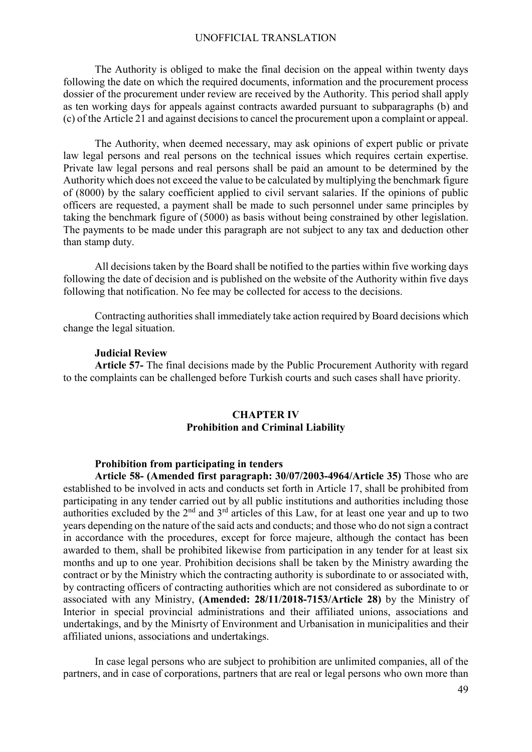The Authority is obliged to make the final decision on the appeal within twenty days following the date on which the required documents, information and the procurement process dossier of the procurement under review are received by the Authority. This period shall apply as ten working days for appeals against contracts awarded pursuant to subparagraphs (b) and (c) of the Article 21 and against decisionsto cancel the procurement upon a complaint or appeal.

The Authority, when deemed necessary, may ask opinions of expert public or private law legal persons and real persons on the technical issues which requires certain expertise. Private law legal persons and real persons shall be paid an amount to be determined by the Authority which does not exceed the value to be calculated by multiplying the benchmark figure of (8000) by the salary coefficient applied to civil servant salaries. If the opinions of public officers are requested, a payment shall be made to such personnel under same principles by taking the benchmark figure of (5000) as basis without being constrained by other legislation. The payments to be made under this paragraph are not subject to any tax and deduction other than stamp duty.

All decisions taken by the Board shall be notified to the parties within five working days following the date of decision and is published on the website of the Authority within five days following that notification. No fee may be collected for access to the decisions.

Contracting authorities shall immediately take action required by Board decisions which change the legal situation.

#### **Judicial Review**

**Article 57-** The final decisions made by the Public Procurement Authority with regard to the complaints can be challenged before Turkish courts and such cases shall have priority.

## **CHAPTER IV Prohibition and Criminal Liability**

## **Prohibition from participating in tenders**

**Article 58- (Amended first paragraph: 30/07/2003-4964/Article 35)** Those who are established to be involved in acts and conducts set forth in Article 17, shall be prohibited from participating in any tender carried out by all public institutions and authorities including those authorities excluded by the  $2<sup>nd</sup>$  and  $3<sup>rd</sup>$  articles of this Law, for at least one year and up to two years depending on the nature of the said acts and conducts; and those who do notsign a contract in accordance with the procedures, except for force majeure, although the contact has been awarded to them, shall be prohibited likewise from participation in any tender for at least six months and up to one year. Prohibition decisions shall be taken by the Ministry awarding the contract or by the Ministry which the contracting authority is subordinate to or associated with, by contracting officers of contracting authorities which are not considered as subordinate to or associated with any Ministry, **(Amended: 28/11/2018-7153/Article 28)** by the Ministry of Interior in special provincial administrations and their affiliated unions, associations and undertakings, and by the Minisrty of Environment and Urbanisation in municipalities and their affiliated unions, associations and undertakings.

In case legal persons who are subject to prohibition are unlimited companies, all of the partners, and in case of corporations, partners that are real or legal persons who own more than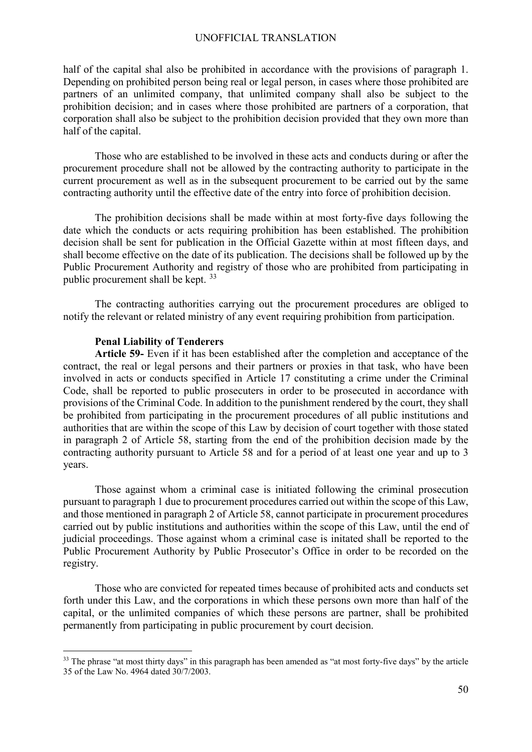half of the capital shal also be prohibited in accordance with the provisions of paragraph 1. Depending on prohibited person being real or legal person, in cases where those prohibited are partners of an unlimited company, that unlimited company shall also be subject to the prohibition decision; and in cases where those prohibited are partners of a corporation, that corporation shall also be subject to the prohibition decision provided that they own more than half of the capital.

Those who are established to be involved in these acts and conducts during or after the procurement procedure shall not be allowed by the contracting authority to participate in the current procurement as well as in the subsequent procurement to be carried out by the same contracting authority until the effective date of the entry into force of prohibition decision.

The prohibition decisions shall be made within at most forty-five days following the date which the conducts or acts requiring prohibition has been established. The prohibition decision shall be sent for publication in the Official Gazette within at most fifteen days, and shall become effective on the date of its publication. The decisions shall be followed up by the Public Procurement Authority and registry of those who are prohibited from participating in public procurement shall be kept. [33](#page-49-0)

The contracting authorities carrying out the procurement procedures are obliged to notify the relevant or related ministry of any event requiring prohibition from participation.

#### **Penal Liability of Tenderers**

**Article 59-** Even if it has been established after the completion and acceptance of the contract, the real or legal persons and their partners or proxies in that task, who have been involved in acts or conducts specified in Article 17 constituting a crime under the Criminal Code, shall be reported to public prosecuters in order to be prosecuted in accordance with provisions of the Criminal Code. In addition to the punishment rendered by the court, they shall be prohibited from participating in the procurement procedures of all public institutions and authorities that are within the scope of this Law by decision of court together with those stated in paragraph 2 of Article 58, starting from the end of the prohibition decision made by the contracting authority pursuant to Article 58 and for a period of at least one year and up to 3 years.

Those against whom a criminal case is initiated following the criminal prosecution pursuant to paragraph 1 due to procurement procedures carried out within the scope of this Law, and those mentioned in paragraph 2 of Article 58, cannot participate in procurement procedures carried out by public institutions and authorities within the scope of this Law, until the end of judicial proceedings. Those against whom a criminal case is initated shall be reported to the Public Procurement Authority by Public Prosecutor's Office in order to be recorded on the registry.

Those who are convicted for repeated times because of prohibited acts and conducts set forth under this Law, and the corporations in which these persons own more than half of the capital, or the unlimited companies of which these persons are partner, shall be prohibited permanently from participating in public procurement by court decision.

<span id="page-49-0"></span><sup>&</sup>lt;sup>33</sup> The phrase "at most thirty days" in this paragraph has been amended as "at most forty-five days" by the article 35 of the Law No. 4964 dated 30/7/2003.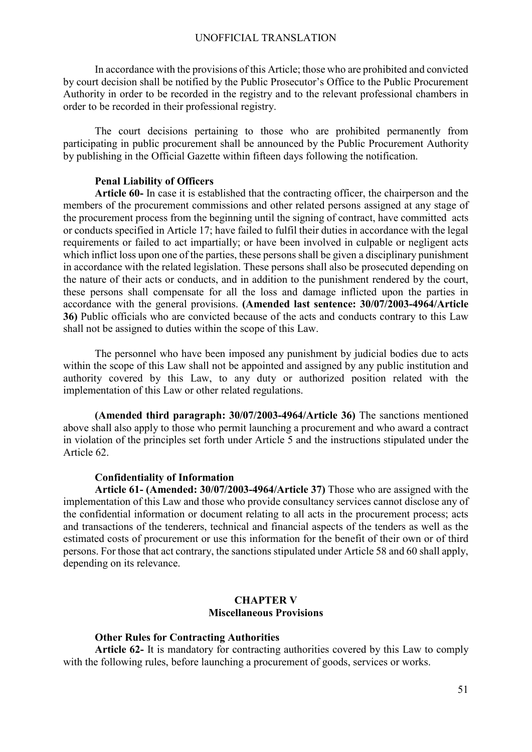In accordance with the provisions of this Article; those who are prohibited and convicted by court decision shall be notified by the Public Prosecutor's Office to the Public Procurement Authority in order to be recorded in the registry and to the relevant professional chambers in order to be recorded in their professional registry.

The court decisions pertaining to those who are prohibited permanently from participating in public procurement shall be announced by the Public Procurement Authority by publishing in the Official Gazette within fifteen days following the notification.

## **Penal Liability of Officers**

**Article 60-** In case it is established that the contracting officer, the chairperson and the members of the procurement commissions and other related persons assigned at any stage of the procurement process from the beginning until the signing of contract, have committed acts or conducts specified in Article 17; have failed to fulfil their duties in accordance with the legal requirements or failed to act impartially; or have been involved in culpable or negligent acts which inflict loss upon one of the parties, these persons shall be given a disciplinary punishment in accordance with the related legislation. These persons shall also be prosecuted depending on the nature of their acts or conducts, and in addition to the punishment rendered by the court, these persons shall compensate for all the loss and damage inflicted upon the parties in accordance with the general provisions. **(Amended last sentence: 30/07/2003-4964/Article 36)** Public officials who are convicted because of the acts and conducts contrary to this Law shall not be assigned to duties within the scope of this Law.

The personnel who have been imposed any punishment by judicial bodies due to acts within the scope of this Law shall not be appointed and assigned by any public institution and authority covered by this Law, to any duty or authorized position related with the implementation of this Law or other related regulations.

**(Amended third paragraph: 30/07/2003-4964/Article 36)** The sanctions mentioned above shall also apply to those who permit launching a procurement and who award a contract in violation of the principles set forth under Article 5 and the instructions stipulated under the Article 62.

#### **Confidentiality of Information**

**Article 61- (Amended: 30/07/2003-4964/Article 37)** Those who are assigned with the implementation of this Law and those who provide consultancy services cannot disclose any of the confidential information or document relating to all acts in the procurement process; acts and transactions of the tenderers, technical and financial aspects of the tenders as well as the estimated costs of procurement or use this information for the benefit of their own or of third persons. For those that act contrary, the sanctions stipulated under Article 58 and 60 shall apply, depending on its relevance.

## **CHAPTER V Miscellaneous Provisions**

#### **Other Rules for Contracting Authorities**

**Article 62-** It is mandatory for contracting authorities covered by this Law to comply with the following rules, before launching a procurement of goods, services or works.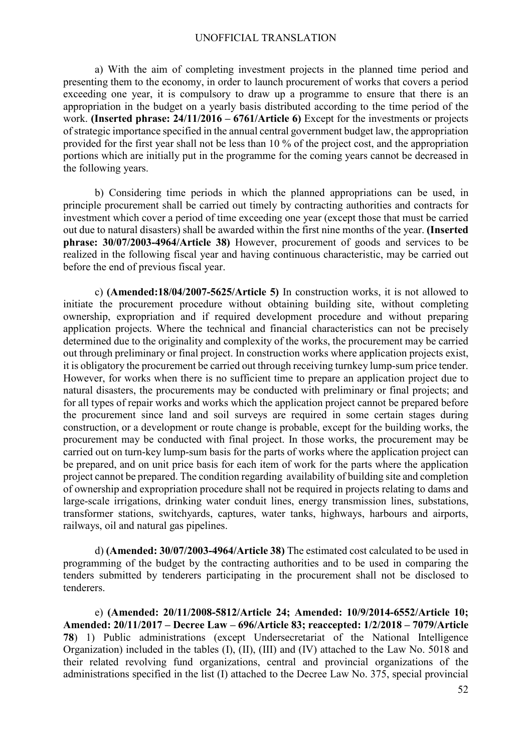a) With the aim of completing investment projects in the planned time period and presenting them to the economy, in order to launch procurement of works that covers a period exceeding one year, it is compulsory to draw up a programme to ensure that there is an appropriation in the budget on a yearly basis distributed according to the time period of the work. **(Inserted phrase: 24/11/2016 – 6761/Article 6)** Except for the investments or projects of strategic importance specified in the annual central government budget law, the appropriation provided for the first year shall not be less than 10 % of the project cost, and the appropriation portions which are initially put in the programme for the coming years cannot be decreased in the following years.

b) Considering time periods in which the planned appropriations can be used, in principle procurement shall be carried out timely by contracting authorities and contracts for investment which cover a period of time exceeding one year (except those that must be carried out due to natural disasters) shall be awarded within the first nine months of the year. **(Inserted phrase: 30/07/2003-4964/Article 38)** However, procurement of goods and services to be realized in the following fiscal year and having continuous characteristic, may be carried out before the end of previous fiscal year.

c) **(Amended:18/04/2007-5625/Article 5)** In construction works, it is not allowed to initiate the procurement procedure without obtaining building site, without completing ownership, expropriation and if required development procedure and without preparing application projects. Where the technical and financial characteristics can not be precisely determined due to the originality and complexity of the works, the procurement may be carried out through preliminary or final project. In construction works where application projects exist, it is obligatory the procurement be carried out through receiving turnkey lump-sum price tender. However, for works when there is no sufficient time to prepare an application project due to natural disasters, the procurements may be conducted with preliminary or final projects; and for all types of repair works and works which the application project cannot be prepared before the procurement since land and soil surveys are required in some certain stages during construction, or a development or route change is probable, except for the building works, the procurement may be conducted with final project. In those works, the procurement may be carried out on turn-key lump-sum basis for the parts of works where the application project can be prepared, and on unit price basis for each item of work for the parts where the application project cannot be prepared. The condition regarding availability of building site and completion of ownership and expropriation procedure shall not be required in projects relating to dams and large-scale irrigations, drinking water conduit lines, energy transmission lines, substations, transformer stations, switchyards, captures, water tanks, highways, harbours and airports, railways, oil and natural gas pipelines.

d) **(Amended: 30/07/2003-4964/Article 38)** The estimated cost calculated to be used in programming of the budget by the contracting authorities and to be used in comparing the tenders submitted by tenderers participating in the procurement shall not be disclosed to tenderers.

e) **(Amended: 20/11/2008-5812/Article 24; Amended: 10/9/2014-6552/Article 10; Amended: 20/11/2017 – Decree Law – 696/Article 83; reaccepted: 1/2/2018 – 7079/Article 78**) 1) Public administrations (except Undersecretariat of the National Intelligence Organization) included in the tables (I), (II), (III) and (IV) attached to the Law No. 5018 and their related revolving fund organizations, central and provincial organizations of the administrations specified in the list (I) attached to the Decree Law No. 375, special provincial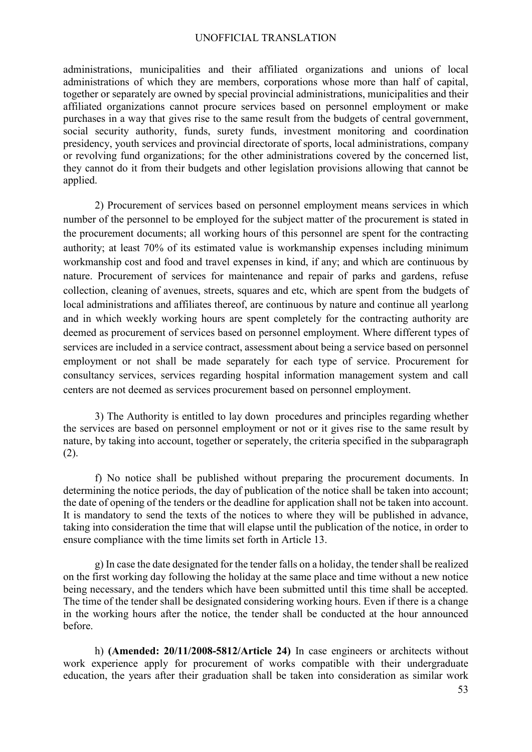administrations, municipalities and their affiliated organizations and unions of local administrations of which they are members, corporations whose more than half of capital, together or separately are owned by special provincial administrations, municipalities and their affiliated organizations cannot procure services based on personnel employment or make purchases in a way that gives rise to the same result from the budgets of central government, social security authority, funds, surety funds, investment monitoring and coordination presidency, youth services and provincial directorate of sports, local administrations, company or revolving fund organizations; for the other administrations covered by the concerned list, they cannot do it from their budgets and other legislation provisions allowing that cannot be applied.

2) Procurement of services based on personnel employment means services in which number of the personnel to be employed for the subject matter of the procurement is stated in the procurement documents; all working hours of this personnel are spent for the contracting authority; at least 70% of its estimated value is workmanship expenses including minimum workmanship cost and food and travel expenses in kind, if any; and which are continuous by nature. Procurement of services for maintenance and repair of parks and gardens, refuse collection, cleaning of avenues, streets, squares and etc, which are spent from the budgets of local administrations and affiliates thereof, are continuous by nature and continue all yearlong and in which weekly working hours are spent completely for the contracting authority are deemed as procurement of services based on personnel employment. Where different types of services are included in a service contract, assessment about being a service based on personnel employment or not shall be made separately for each type of service. Procurement for consultancy services, services regarding hospital information management system and call centers are not deemed as services procurement based on personnel employment.

3) The Authority is entitled to lay down procedures and principles regarding whether the services are based on personnel employment or not or it gives rise to the same result by nature, by taking into account, together or seperately, the criteria specified in the subparagraph (2).

f) No notice shall be published without preparing the procurement documents. In determining the notice periods, the day of publication of the notice shall be taken into account; the date of opening of the tenders or the deadline for application shall not be taken into account. It is mandatory to send the texts of the notices to where they will be published in advance, taking into consideration the time that will elapse until the publication of the notice, in order to ensure compliance with the time limits set forth in Article 13.

g) In case the date designated for the tender falls on a holiday, the tendershall be realized on the first working day following the holiday at the same place and time without a new notice being necessary, and the tenders which have been submitted until this time shall be accepted. The time of the tender shall be designated considering working hours. Even if there is a change in the working hours after the notice, the tender shall be conducted at the hour announced before.

h) **(Amended: 20/11/2008-5812/Article 24)** In case engineers or architects without work experience apply for procurement of works compatible with their undergraduate education, the years after their graduation shall be taken into consideration as similar work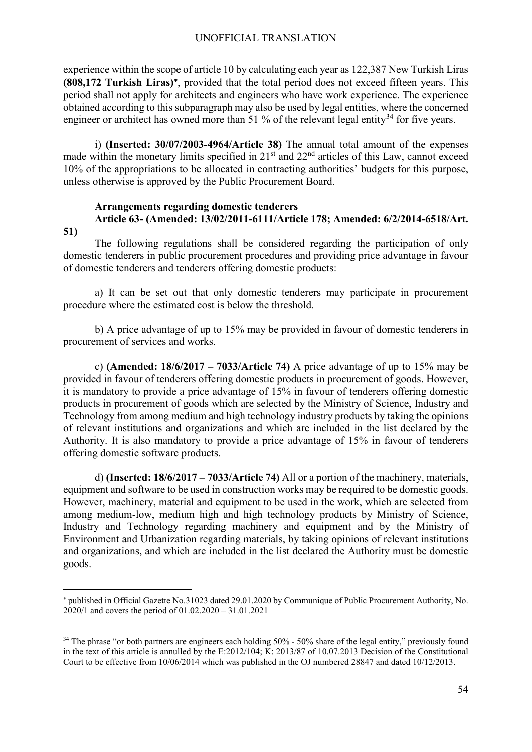experience within the scope of article 10 by calculating each year as 122,387 New Turkish Liras **(808,172 Turkish Liras)**[∗](#page-53-0), provided that the total period does not exceed fifteen years. This period shall not apply for architects and engineers who have work experience. The experience obtained according to this subparagraph may also be used by legal entities, where the concerned engineer or architect has owned more than 51 % of the relevant legal entity<sup>[34](#page-53-1)</sup> for five years.

i) **(Inserted: 30/07/2003-4964/Article 38)** The annual total amount of the expenses made within the monetary limits specified in  $21<sup>st</sup>$  and  $22<sup>nd</sup>$  articles of this Law, cannot exceed 10% of the appropriations to be allocated in contracting authorities' budgets for this purpose, unless otherwise is approved by the Public Procurement Board.

# **Arrangements regarding domestic tenderers Article 63- (Amended: 13/02/2011-6111/Article 178; Amended: 6/2/2014-6518/Art.**

**51)** 

 $\overline{a}$ 

The following regulations shall be considered regarding the participation of only domestic tenderers in public procurement procedures and providing price advantage in favour of domestic tenderers and tenderers offering domestic products:

a) It can be set out that only domestic tenderers may participate in procurement procedure where the estimated cost is below the threshold.

b) A price advantage of up to 15% may be provided in favour of domestic tenderers in procurement of services and works.

c) **(Amended: 18/6/2017 – 7033/Article 74)** A price advantage of up to 15% may be provided in favour of tenderers offering domestic products in procurement of goods. However, it is mandatory to provide a price advantage of 15% in favour of tenderers offering domestic products in procurement of goods which are selected by the Ministry of Science, Industry and Technology from among medium and high technology industry products by taking the opinions of relevant institutions and organizations and which are included in the list declared by the Authority. It is also mandatory to provide a price advantage of 15% in favour of tenderers offering domestic software products.

d) **(Inserted: 18/6/2017 – 7033/Article 74)** All or a portion of the machinery, materials, equipment and software to be used in construction works may be required to be domestic goods. However, machinery, material and equipment to be used in the work, which are selected from among medium-low, medium high and high technology products by Ministry of Science, Industry and Technology regarding machinery and equipment and by the Ministry of Environment and Urbanization regarding materials, by taking opinions of relevant institutions and organizations, and which are included in the list declared the Authority must be domestic goods.

<span id="page-53-0"></span><sup>∗</sup> published in Official Gazette No.31023 dated 29.01.2020 by Communique of Public Procurement Authority, No. 2020/1 and covers the period of 01.02.2020 – 31.01.2021

<span id="page-53-1"></span><sup>&</sup>lt;sup>34</sup> The phrase "or both partners are engineers each holding 50% - 50% share of the legal entity," previously found in the text of this article is annulled by the E:2012/104; K: 2013/87 of 10.07.2013 Decision of the Constitutional Court to be effective from 10/06/2014 which was published in the OJ numbered 28847 and dated 10/12/2013.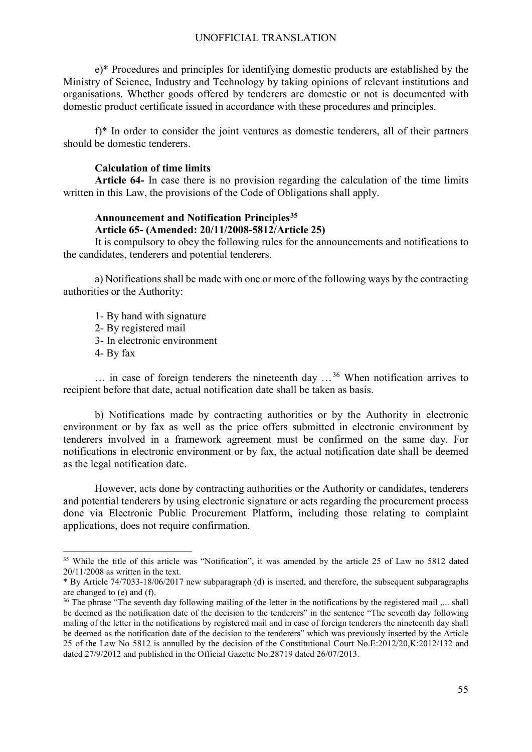e)\* Procedures and principles for identifying domestic products are established by the Ministry of Science, Industry and Technology by taking opinions of relevant institutions and organisations. Whether goods offered by tenderers are domestic or not is documented with domestic product certificate issued in accordance with these procedures and principles.

f)\* In order to consider the joint ventures as domestic tenderers, all of their partners should be domestic tenderers.

### **Calculation of time limits**

**Article 64-** In case there is no provision regarding the calculation of the time limits written in this Law, the provisions of the Code of Obligations shall apply.

## **Announcement and Notification Principles[35](#page-54-0) Article 65- (Amended: 20/11/2008-5812/Article 25)**

It is compulsory to obey the following rules for the announcements and notifications to the candidates, tenderers and potential tenderers.

a) Notifications shall be made with one or more of the following ways by the contracting authorities or the Authority:

1- By hand with signature 2- By registered mail 3- In electronic environment 4- By fax

 $\ldots$  in case of foreign tenderers the nineteenth day  $\ldots$ <sup>[36](#page-54-1)</sup> When notification arrives to recipient before that date, actual notification date shall be taken as basis.

b) Notifications made by contracting authorities or by the Authority in electronic environment or by fax as well as the price offers submitted in electronic environment by tenderers involved in a framework agreement must be confirmed on the same day. For notifications in electronic environment or by fax, the actual notification date shall be deemed as the legal notification date.

However, acts done by contracting authorities or the Authority or candidates, tenderers and potential tenderers by using electronic signature or acts regarding the procurement process done via Electronic Public Procurement Platform, including those relating to complaint applications, does not require confirmation.

<span id="page-54-0"></span><sup>&</sup>lt;sup>35</sup> While the title of this article was "Notification", it was amended by the article 25 of Law no 5812 dated 20/11/2008 as written in the text.

<sup>\*</sup> By Article 74/7033-18/06/2017 new subparagraph (d) is inserted, and therefore, the subsequent subparagraphs are changed to (e) and (f).

<span id="page-54-1"></span><sup>&</sup>lt;sup>36</sup> The phrase "The seventh day following mailing of the letter in the notifications by the registered mail ,... shall be deemed as the notification date of the decision to the tenderers" in the sentence "The seventh day following maling of the letter in the notifications by registered mail and in case of foreign tenderers the nineteenth day shall be deemed as the notification date of the decision to the tenderers" which was previously inserted by the Article 25 of the Law No 5812 is annulled by the decision of the Constitutional Court No.E:2012/20,K:2012/132 and dated 27/9/2012 and published in the Official Gazette No.28719 dated 26/07/2013.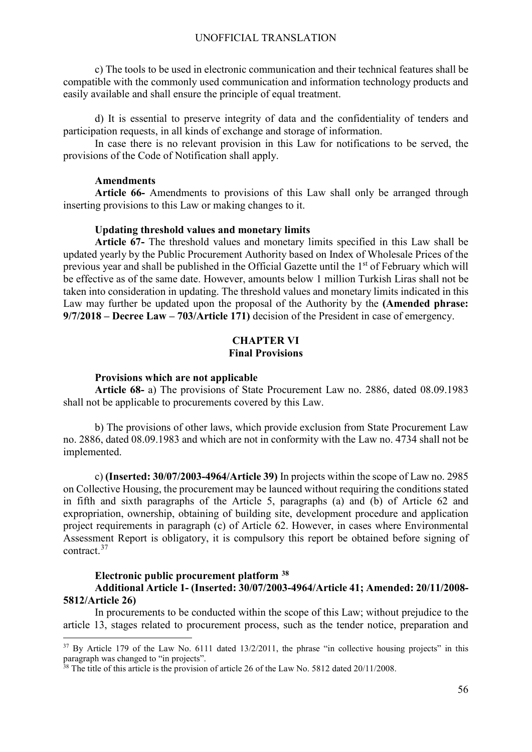c) The tools to be used in electronic communication and their technical features shall be compatible with the commonly used communication and information technology products and easily available and shall ensure the principle of equal treatment.

d) It is essential to preserve integrity of data and the confidentiality of tenders and participation requests, in all kinds of exchange and storage of information.

In case there is no relevant provision in this Law for notifications to be served, the provisions of the Code of Notification shall apply.

## **Amendments**

**Article 66-** Amendments to provisions of this Law shall only be arranged through inserting provisions to this Law or making changes to it.

#### **Updating threshold values and monetary limits**

**Article 67-** The threshold values and monetary limits specified in this Law shall be updated yearly by the Public Procurement Authority based on Index of Wholesale Prices of the previous year and shall be published in the Official Gazette until the 1<sup>st</sup> of February which will be effective as of the same date. However, amounts below 1 million Turkish Liras shall not be taken into consideration in updating. The threshold values and monetary limits indicated in this Law may further be updated upon the proposal of the Authority by the **(Amended phrase: 9/7/2018 – Decree Law – 703/Article 171)** decision of the President in case of emergency.

## **CHAPTER VI Final Provisions**

#### **Provisions which are not applicable**

**Article 68-** a) The provisions of State Procurement Law no. 2886, dated 08.09.1983 shall not be applicable to procurements covered by this Law.

b) The provisions of other laws, which provide exclusion from State Procurement Law no. 2886, dated 08.09.1983 and which are not in conformity with the Law no. 4734 shall not be implemented.

c) **(Inserted: 30/07/2003-4964/Article 39)** In projects within the scope of Law no. 2985 on Collective Housing, the procurement may be launced without requiring the conditions stated in fifth and sixth paragraphs of the Article 5, paragraphs (a) and (b) of Article 62 and expropriation, ownership, obtaining of building site, development procedure and application project requirements in paragraph (c) of Article 62. However, in cases where Environmental Assessment Report is obligatory, it is compulsory this report be obtained before signing of contract.[37](#page-55-0)

## **Electronic public procurement platform [38](#page-55-1) Additional Article 1- (Inserted: 30/07/2003-4964/Article 41; Amended: 20/11/2008- 5812/Article 26)**

In procurements to be conducted within the scope of this Law; without prejudice to the article 13, stages related to procurement process, such as the tender notice, preparation and

<span id="page-55-0"></span> $37$  By Article 179 of the Law No. 6111 dated 13/2/2011, the phrase "in collective housing projects" in this paragraph was changed to "in projects".

<span id="page-55-1"></span><sup>&</sup>lt;sup>38</sup> The title of this article is the provision of article 26 of the Law No. 5812 dated 20/11/2008.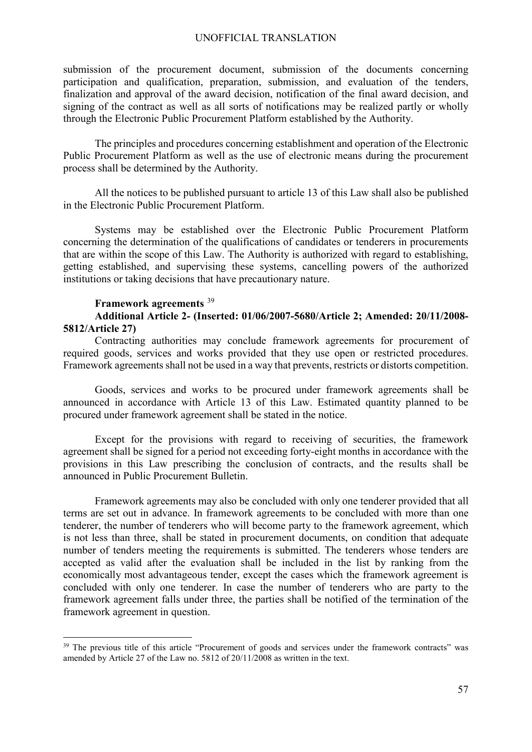submission of the procurement document, submission of the documents concerning participation and qualification, preparation, submission, and evaluation of the tenders, finalization and approval of the award decision, notification of the final award decision, and signing of the contract as well as all sorts of notifications may be realized partly or wholly through the Electronic Public Procurement Platform established by the Authority.

The principles and procedures concerning establishment and operation of the Electronic Public Procurement Platform as well as the use of electronic means during the procurement process shall be determined by the Authority.

All the notices to be published pursuant to article 13 of this Law shall also be published in the Electronic Public Procurement Platform.

Systems may be established over the Electronic Public Procurement Platform concerning the determination of the qualifications of candidates or tenderers in procurements that are within the scope of this Law. The Authority is authorized with regard to establishing, getting established, and supervising these systems, cancelling powers of the authorized institutions or taking decisions that have precautionary nature.

## **Framework agreements** [39](#page-56-0)

## **Additional Article 2- (Inserted: 01/06/2007-5680/Article 2; Amended: 20/11/2008- 5812/Article 27)**

Contracting authorities may conclude framework agreements for procurement of required goods, services and works provided that they use open or restricted procedures. Framework agreements shall not be used in a way that prevents, restricts or distorts competition.

Goods, services and works to be procured under framework agreements shall be announced in accordance with Article 13 of this Law. Estimated quantity planned to be procured under framework agreement shall be stated in the notice.

Except for the provisions with regard to receiving of securities, the framework agreement shall be signed for a period not exceeding forty-eight months in accordance with the provisions in this Law prescribing the conclusion of contracts, and the results shall be announced in Public Procurement Bulletin.

Framework agreements may also be concluded with only one tenderer provided that all terms are set out in advance. In framework agreements to be concluded with more than one tenderer, the number of tenderers who will become party to the framework agreement, which is not less than three, shall be stated in procurement documents, on condition that adequate number of tenders meeting the requirements is submitted. The tenderers whose tenders are accepted as valid after the evaluation shall be included in the list by ranking from the economically most advantageous tender, except the cases which the framework agreement is concluded with only one tenderer. In case the number of tenderers who are party to the framework agreement falls under three, the parties shall be notified of the termination of the framework agreement in question.

<span id="page-56-0"></span><sup>&</sup>lt;sup>39</sup> The previous title of this article "Procurement of goods and services under the framework contracts" was amended by Article 27 of the Law no. 5812 of 20/11/2008 as written in the text.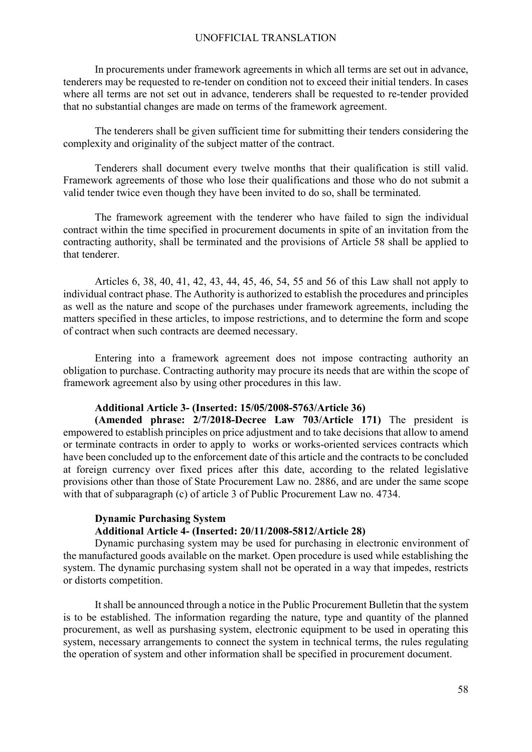In procurements under framework agreements in which all terms are set out in advance, tenderers may be requested to re-tender on condition not to exceed their initial tenders. In cases where all terms are not set out in advance, tenderers shall be requested to re-tender provided that no substantial changes are made on terms of the framework agreement.

The tenderers shall be given sufficient time for submitting their tenders considering the complexity and originality of the subject matter of the contract.

Tenderers shall document every twelve months that their qualification is still valid. Framework agreements of those who lose their qualifications and those who do not submit a valid tender twice even though they have been invited to do so, shall be terminated.

The framework agreement with the tenderer who have failed to sign the individual contract within the time specified in procurement documents in spite of an invitation from the contracting authority, shall be terminated and the provisions of Article 58 shall be applied to that tenderer.

Articles 6, 38, 40, 41, 42, 43, 44, 45, 46, 54, 55 and 56 of this Law shall not apply to individual contract phase. The Authority is authorized to establish the procedures and principles as well as the nature and scope of the purchases under framework agreements, including the matters specified in these articles, to impose restrictions, and to determine the form and scope of contract when such contracts are deemed necessary.

Entering into a framework agreement does not impose contracting authority an obligation to purchase. Contracting authority may procure its needs that are within the scope of framework agreement also by using other procedures in this law.

## **Additional Article 3- (Inserted: 15/05/2008-5763/Article 36)**

**(Amended phrase: 2/7/2018-Decree Law 703/Article 171)** The president is empowered to establish principles on price adjustment and to take decisions that allow to amend or terminate contracts in order to apply to works or works-oriented services contracts which have been concluded up to the enforcement date of this article and the contracts to be concluded at foreign currency over fixed prices after this date, according to the related legislative provisions other than those of State Procurement Law no. 2886, and are under the same scope with that of subparagraph (c) of article 3 of Public Procurement Law no. 4734.

## **Dynamic Purchasing System**

## **Additional Article 4- (Inserted: 20/11/2008-5812/Article 28)**

Dynamic purchasing system may be used for purchasing in electronic environment of the manufactured goods available on the market. Open procedure is used while establishing the system. The dynamic purchasing system shall not be operated in a way that impedes, restricts or distorts competition.

It shall be announced through a notice in the Public Procurement Bulletin that the system is to be established. The information regarding the nature, type and quantity of the planned procurement, as well as purshasing system, electronic equipment to be used in operating this system, necessary arrangements to connect the system in technical terms, the rules regulating the operation of system and other information shall be specified in procurement document.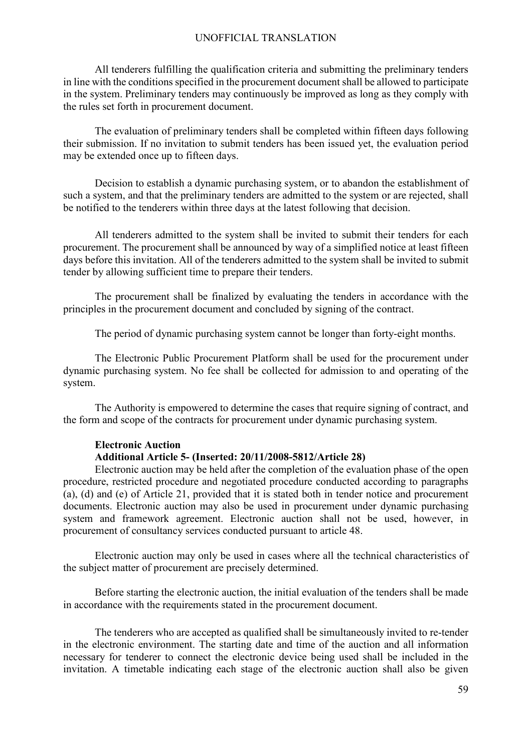All tenderers fulfilling the qualification criteria and submitting the preliminary tenders in line with the conditions specified in the procurement document shall be allowed to participate in the system. Preliminary tenders may continuously be improved as long as they comply with the rules set forth in procurement document.

The evaluation of preliminary tenders shall be completed within fifteen days following their submission. If no invitation to submit tenders has been issued yet, the evaluation period may be extended once up to fifteen days.

Decision to establish a dynamic purchasing system, or to abandon the establishment of such a system, and that the preliminary tenders are admitted to the system or are rejected, shall be notified to the tenderers within three days at the latest following that decision.

All tenderers admitted to the system shall be invited to submit their tenders for each procurement. The procurement shall be announced by way of a simplified notice at least fifteen days before this invitation. All of the tenderers admitted to the system shall be invited to submit tender by allowing sufficient time to prepare their tenders.

The procurement shall be finalized by evaluating the tenders in accordance with the principles in the procurement document and concluded by signing of the contract.

The period of dynamic purchasing system cannot be longer than forty-eight months.

The Electronic Public Procurement Platform shall be used for the procurement under dynamic purchasing system. No fee shall be collected for admission to and operating of the system.

The Authority is empowered to determine the cases that require signing of contract, and the form and scope of the contracts for procurement under dynamic purchasing system.

## **Electronic Auction Additional Article 5- (Inserted: 20/11/2008-5812/Article 28)**

Electronic auction may be held after the completion of the evaluation phase of the open procedure, restricted procedure and negotiated procedure conducted according to paragraphs (a), (d) and (e) of Article 21, provided that it is stated both in tender notice and procurement documents. Electronic auction may also be used in procurement under dynamic purchasing system and framework agreement. Electronic auction shall not be used, however, in procurement of consultancy services conducted pursuant to article 48.

Electronic auction may only be used in cases where all the technical characteristics of the subject matter of procurement are precisely determined.

Before starting the electronic auction, the initial evaluation of the tenders shall be made in accordance with the requirements stated in the procurement document.

The tenderers who are accepted as qualified shall be simultaneously invited to re-tender in the electronic environment. The starting date and time of the auction and all information necessary for tenderer to connect the electronic device being used shall be included in the invitation. A timetable indicating each stage of the electronic auction shall also be given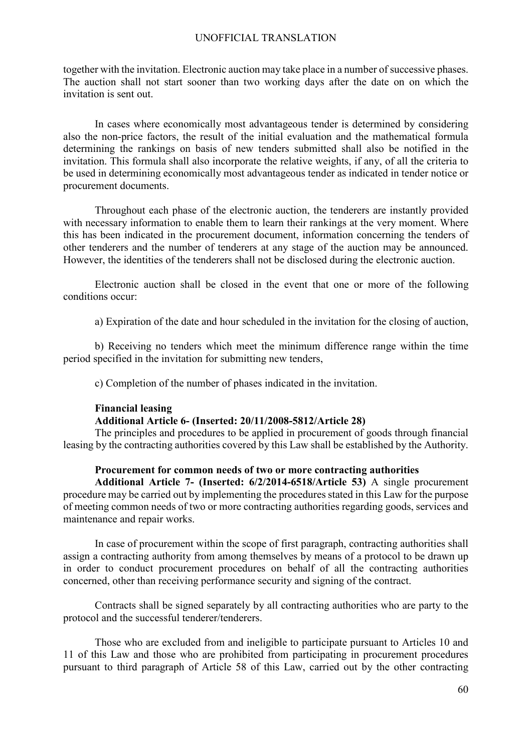together with the invitation. Electronic auction may take place in a number of successive phases. The auction shall not start sooner than two working days after the date on on which the invitation is sent out.

In cases where economically most advantageous tender is determined by considering also the non-price factors, the result of the initial evaluation and the mathematical formula determining the rankings on basis of new tenders submitted shall also be notified in the invitation. This formula shall also incorporate the relative weights, if any, of all the criteria to be used in determining economically most advantageous tender as indicated in tender notice or procurement documents.

Throughout each phase of the electronic auction, the tenderers are instantly provided with necessary information to enable them to learn their rankings at the very moment. Where this has been indicated in the procurement document, information concerning the tenders of other tenderers and the number of tenderers at any stage of the auction may be announced. However, the identities of the tenderers shall not be disclosed during the electronic auction.

Electronic auction shall be closed in the event that one or more of the following conditions occur:

a) Expiration of the date and hour scheduled in the invitation for the closing of auction,

b) Receiving no tenders which meet the minimum difference range within the time period specified in the invitation for submitting new tenders,

c) Completion of the number of phases indicated in the invitation.

## **Financial leasing**

## **Additional Article 6- (Inserted: 20/11/2008-5812/Article 28)**

The principles and procedures to be applied in procurement of goods through financial leasing by the contracting authorities covered by this Law shall be established by the Authority.

## **Procurement for common needs of two or more contracting authorities**

**Additional Article 7- (Inserted: 6/2/2014-6518/Article 53)** A single procurement procedure may be carried out by implementing the procedures stated in this Law for the purpose of meeting common needs of two or more contracting authorities regarding goods, services and maintenance and repair works.

In case of procurement within the scope of first paragraph, contracting authorities shall assign a contracting authority from among themselves by means of a protocol to be drawn up in order to conduct procurement procedures on behalf of all the contracting authorities concerned, other than receiving performance security and signing of the contract.

Contracts shall be signed separately by all contracting authorities who are party to the protocol and the successful tenderer/tenderers.

Those who are excluded from and ineligible to participate pursuant to Articles 10 and 11 of this Law and those who are prohibited from participating in procurement procedures pursuant to third paragraph of Article 58 of this Law, carried out by the other contracting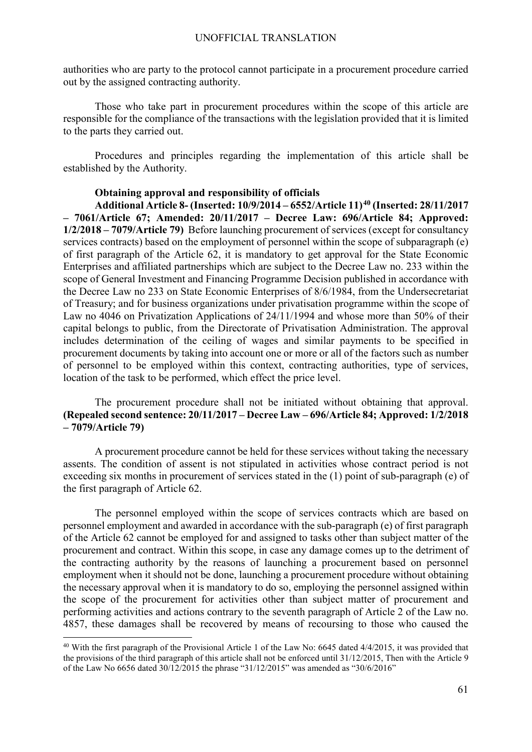authorities who are party to the protocol cannot participate in a procurement procedure carried out by the assigned contracting authority.

Those who take part in procurement procedures within the scope of this article are responsible for the compliance of the transactions with the legislation provided that it is limited to the parts they carried out.

Procedures and principles regarding the implementation of this article shall be established by the Authority.

### **Obtaining approval and responsibility of officials**

**Additional Article 8- (Inserted: 10/9/2014 – 6552/Article 11)[40](#page-60-0) (Inserted: 28/11/2017 – 7061/Article 67; Amended: 20/11/2017 – Decree Law: 696/Article 84; Approved: 1/2/2018 – 7079/Article 79)** Before launching procurement of services (except for consultancy services contracts) based on the employment of personnel within the scope of subparagraph (e) of first paragraph of the Article 62, it is mandatory to get approval for the State Economic Enterprises and affiliated partnerships which are subject to the Decree Law no. 233 within the scope of General Investment and Financing Programme Decision published in accordance with the Decree Law no 233 on State Economic Enterprises of 8/6/1984, from the Undersecretariat of Treasury; and for business organizations under privatisation programme within the scope of Law no 4046 on Privatization Applications of 24/11/1994 and whose more than 50% of their capital belongs to public, from the Directorate of Privatisation Administration. The approval includes determination of the ceiling of wages and similar payments to be specified in procurement documents by taking into account one or more or all of the factors such as number of personnel to be employed within this context, contracting authorities, type of services, location of the task to be performed, which effect the price level.

## The procurement procedure shall not be initiated without obtaining that approval. **(Repealed second sentence: 20/11/2017 – Decree Law – 696/Article 84; Approved: 1/2/2018 – 7079/Article 79)**

A procurement procedure cannot be held for these services without taking the necessary assents. The condition of assent is not stipulated in activities whose contract period is not exceeding six months in procurement of services stated in the (1) point of sub-paragraph (e) of the first paragraph of Article 62.

The personnel employed within the scope of services contracts which are based on personnel employment and awarded in accordance with the sub-paragraph (e) of first paragraph of the Article 62 cannot be employed for and assigned to tasks other than subject matter of the procurement and contract. Within this scope, in case any damage comes up to the detriment of the contracting authority by the reasons of launching a procurement based on personnel employment when it should not be done, launching a procurement procedure without obtaining the necessary approval when it is mandatory to do so, employing the personnel assigned within the scope of the procurement for activities other than subject matter of procurement and performing activities and actions contrary to the seventh paragraph of Article 2 of the Law no. 4857, these damages shall be recovered by means of recoursing to those who caused the

<span id="page-60-0"></span><sup>&</sup>lt;sup>40</sup> With the first paragraph of the Provisional Article 1 of the Law No: 6645 dated 4/4/2015, it was provided that the provisions of the third paragraph of this article shall not be enforced until 31/12/2015, Then with the Article 9 of the Law No 6656 dated 30/12/2015 the phrase "31/12/2015" was amended as "30/6/2016"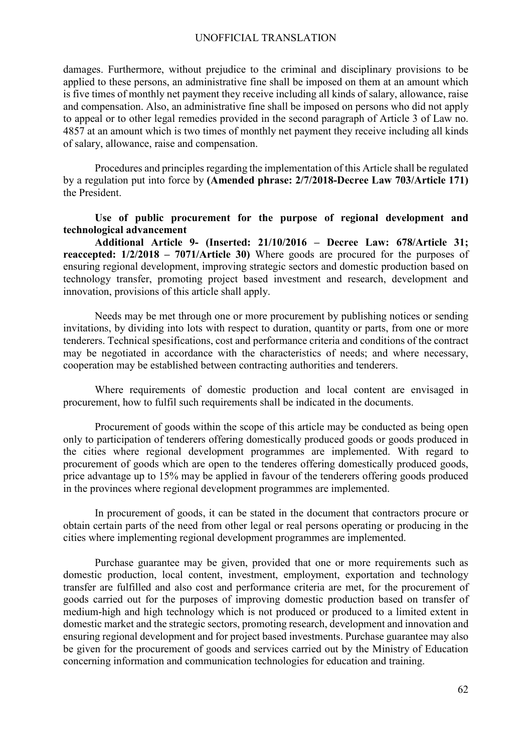damages. Furthermore, without prejudice to the criminal and disciplinary provisions to be applied to these persons, an administrative fine shall be imposed on them at an amount which is five times of monthly net payment they receive including all kinds of salary, allowance, raise and compensation. Also, an administrative fine shall be imposed on persons who did not apply to appeal or to other legal remedies provided in the second paragraph of Article 3 of Law no. 4857 at an amount which is two times of monthly net payment they receive including all kinds of salary, allowance, raise and compensation.

Procedures and principles regarding the implementation of this Article shall be regulated by a regulation put into force by **(Amended phrase: 2/7/2018-Decree Law 703/Article 171)** the President.

## **Use of public procurement for the purpose of regional development and technological advancement**

**Additional Article 9- (Inserted: 21/10/2016 – Decree Law: 678/Article 31; reaccepted: 1/2/2018 – 7071/Article 30)** Where goods are procured for the purposes of ensuring regional development, improving strategic sectors and domestic production based on technology transfer, promoting project based investment and research, development and innovation, provisions of this article shall apply.

Needs may be met through one or more procurement by publishing notices or sending invitations, by dividing into lots with respect to duration, quantity or parts, from one or more tenderers. Technical spesifications, cost and performance criteria and conditions of the contract may be negotiated in accordance with the characteristics of needs; and where necessary, cooperation may be established between contracting authorities and tenderers.

Where requirements of domestic production and local content are envisaged in procurement, how to fulfil such requirements shall be indicated in the documents.

Procurement of goods within the scope of this article may be conducted as being open only to participation of tenderers offering domestically produced goods or goods produced in the cities where regional development programmes are implemented. With regard to procurement of goods which are open to the tenderes offering domestically produced goods, price advantage up to 15% may be applied in favour of the tenderers offering goods produced in the provinces where regional development programmes are implemented.

In procurement of goods, it can be stated in the document that contractors procure or obtain certain parts of the need from other legal or real persons operating or producing in the cities where implementing regional development programmes are implemented.

Purchase guarantee may be given, provided that one or more requirements such as domestic production, local content, investment, employment, exportation and technology transfer are fulfilled and also cost and performance criteria are met, for the procurement of goods carried out for the purposes of improving domestic production based on transfer of medium-high and high technology which is not produced or produced to a limited extent in domestic market and the strategic sectors, promoting research, development and innovation and ensuring regional development and for project based investments. Purchase guarantee may also be given for the procurement of goods and services carried out by the Ministry of Education concerning information and communication technologies for education and training.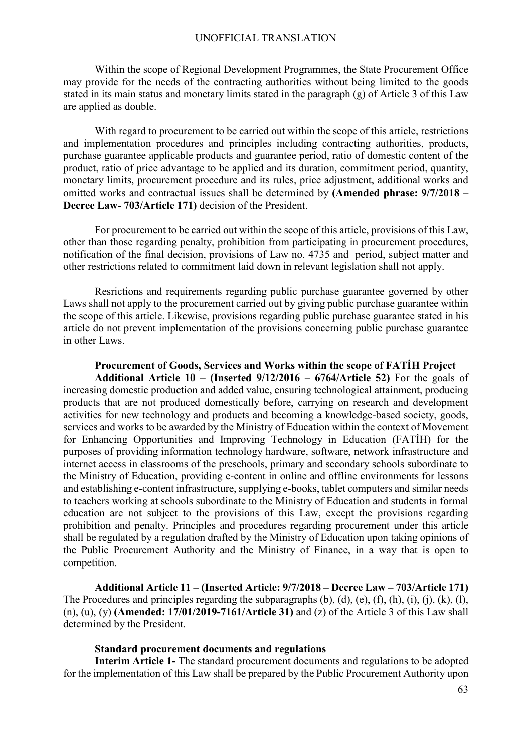Within the scope of Regional Development Programmes, the State Procurement Office may provide for the needs of the contracting authorities without being limited to the goods stated in its main status and monetary limits stated in the paragraph (g) of Article 3 of this Law are applied as double.

With regard to procurement to be carried out within the scope of this article, restrictions and implementation procedures and principles including contracting authorities, products, purchase guarantee applicable products and guarantee period, ratio of domestic content of the product, ratio of price advantage to be applied and its duration, commitment period, quantity, monetary limits, procurement procedure and its rules, price adjustment, additional works and omitted works and contractual issues shall be determined by **(Amended phrase: 9/7/2018 – Decree Law- 703/Article 171)** decision of the President.

For procurement to be carried out within the scope of this article, provisions of this Law, other than those regarding penalty, prohibition from participating in procurement procedures, notification of the final decision, provisions of Law no. 4735 and period, subject matter and other restrictions related to commitment laid down in relevant legislation shall not apply.

Resrictions and requirements regarding public purchase guarantee governed by other Laws shall not apply to the procurement carried out by giving public purchase guarantee within the scope of this article. Likewise, provisions regarding public purchase guarantee stated in his article do not prevent implementation of the provisions concerning public purchase guarantee in other Laws.

#### **Procurement of Goods, Services and Works within the scope of FATİH Project**

**Additional Article 10 – (Inserted 9/12/2016 – 6764/Article 52)** For the goals of increasing domestic production and added value, ensuring technological attainment, producing products that are not produced domestically before, carrying on research and development activities for new technology and products and becoming a knowledge-based society, goods, services and works to be awarded by the Ministry of Education within the context of Movement for Enhancing Opportunities and Improving Technology in Education (FATİH) for the purposes of providing information technology hardware, software, network infrastructure and internet access in classrooms of the preschools, primary and secondary schools subordinate to the Ministry of Education, providing e-content in online and offline environments for lessons and establishing e-content infrastructure, supplying e-books, tablet computers and similar needs to teachers working at schools subordinate to the Ministry of Education and students in formal education are not subject to the provisions of this Law, except the provisions regarding prohibition and penalty. Principles and procedures regarding procurement under this article shall be regulated by a regulation drafted by the Ministry of Education upon taking opinions of the Public Procurement Authority and the Ministry of Finance, in a way that is open to competition.

**Additional Article 11 – (Inserted Article: 9/7/2018 – Decree Law – 703/Article 171)**  The Procedures and principles regarding the subparagraphs  $(b)$ ,  $(d)$ ,  $(e)$ ,  $(f)$ ,  $(h)$ ,  $(i)$ ,  $(i)$ ,  $(k)$ ,  $(l)$ , (n), (u), (y) **(Amended: 17/01/2019-7161/Article 31)** and (z) of the Article 3 of this Law shall determined by the President.

#### **Standard procurement documents and regulations**

**Interim Article 1-** The standard procurement documents and regulations to be adopted for the implementation of this Law shall be prepared by the Public Procurement Authority upon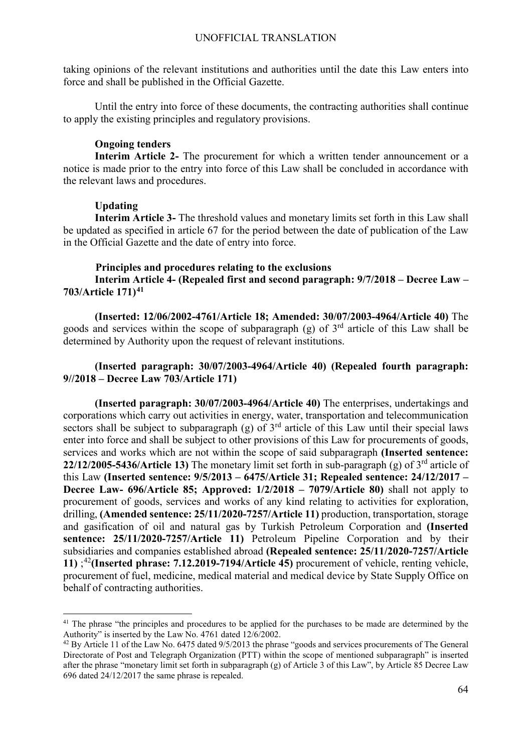taking opinions of the relevant institutions and authorities until the date this Law enters into force and shall be published in the Official Gazette.

Until the entry into force of these documents, the contracting authorities shall continue to apply the existing principles and regulatory provisions.

## **Ongoing tenders**

**Interim Article 2-** The procurement for which a written tender announcement or a notice is made prior to the entry into force of this Law shall be concluded in accordance with the relevant laws and procedures.

## **Updating**

**Interim Article 3-** The threshold values and monetary limits set forth in this Law shall be updated as specified in article 67 for the period between the date of publication of the Law in the Official Gazette and the date of entry into force.

## **Principles and procedures relating to the exclusions**

**Interim Article 4- (Repealed first and second paragraph: 9/7/2018 – Decree Law – 703/Article 171)[41](#page-63-0)**

**(Inserted: 12/06/2002-4761/Article 18; Amended: 30/07/2003-4964/Article 40)** The goods and services within the scope of subparagraph (g) of  $3<sup>rd</sup>$  article of this Law shall be determined by Authority upon the request of relevant institutions.

## **(Inserted paragraph: 30/07/2003-4964/Article 40) (Repealed fourth paragraph: 9//2018 – Decree Law 703/Article 171)**

**(Inserted paragraph: 30/07/2003-4964/Article 40)** The enterprises, undertakings and corporations which carry out activities in energy, water, transportation and telecommunication sectors shall be subject to subparagraph (g) of  $3<sup>rd</sup>$  article of this Law until their special laws enter into force and shall be subject to other provisions of this Law for procurements of goods, services and works which are not within the scope of said subparagraph **(Inserted sentence: 22/12/2005-5436/Article 13)** The monetary limit set forth in sub-paragraph (g) of 3rd article of this Law **(Inserted sentence: 9/5/2013 – 6475/Article 31; Repealed sentence: 24/12/2017 – Decree Law- 696/Article 85; Approved: 1/2/2018 – 7079/Article 80)** shall not apply to procurement of goods, services and works of any kind relating to activities for exploration, drilling, **(Amended sentence: 25/11/2020-7257/Article 11)** production, transportation, storage and gasification of oil and natural gas by Turkish Petroleum Corporation and **(Inserted sentence: 25/11/2020-7257/Article 11)** Petroleum Pipeline Corporation and by their subsidiaries and companies established abroad **(Repealed sentence: 25/11/2020-7257/Article 11)** ; [42](#page-63-1)**(Inserted phrase: 7.12.2019-7194/Article 45)** procurement of vehicle, renting vehicle, procurement of fuel, medicine, medical material and medical device by State Supply Office on behalf of contracting authorities.

<span id="page-63-0"></span><sup>&</sup>lt;sup>41</sup> The phrase "the principles and procedures to be applied for the purchases to be made are determined by the Authority" is inserted by the Law No. 4761 dated 12/6/2002.

<span id="page-63-1"></span> $^{42}$  By Article 11 of the Law No. 6475 dated 9/5/2013 the phrase "goods and services procurements of The General Directorate of Post and Telegraph Organization (PTT) within the scope of mentioned subparagraph" is inserted after the phrase "monetary limit set forth in subparagraph (g) of Article 3 of this Law", by Article 85 Decree Law 696 dated 24/12/2017 the same phrase is repealed.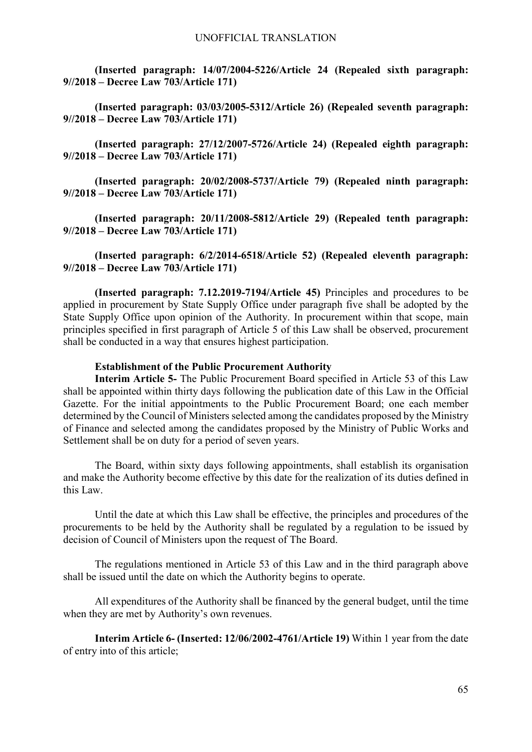**(Inserted paragraph: 14/07/2004-5226/Article 24 (Repealed sixth paragraph: 9//2018 – Decree Law 703/Article 171)**

**(Inserted paragraph: 03/03/2005-5312/Article 26) (Repealed seventh paragraph: 9//2018 – Decree Law 703/Article 171)**

**(Inserted paragraph: 27/12/2007-5726/Article 24) (Repealed eighth paragraph: 9//2018 – Decree Law 703/Article 171)**

**(Inserted paragraph: 20/02/2008-5737/Article 79) (Repealed ninth paragraph: 9//2018 – Decree Law 703/Article 171)**

**(Inserted paragraph: 20/11/2008-5812/Article 29) (Repealed tenth paragraph: 9//2018 – Decree Law 703/Article 171)**

**(Inserted paragraph: 6/2/2014-6518/Article 52) (Repealed eleventh paragraph: 9//2018 – Decree Law 703/Article 171)**

**(Inserted paragraph: 7.12.2019-7194/Article 45)** Principles and procedures to be applied in procurement by State Supply Office under paragraph five shall be adopted by the State Supply Office upon opinion of the Authority. In procurement within that scope, main principles specified in first paragraph of Article 5 of this Law shall be observed, procurement shall be conducted in a way that ensures highest participation.

## **Establishment of the Public Procurement Authority**

**Interim Article 5-** The Public Procurement Board specified in Article 53 of this Law shall be appointed within thirty days following the publication date of this Law in the Official Gazette. For the initial appointments to the Public Procurement Board; one each member determined by the Council of Ministers selected among the candidates proposed by the Ministry of Finance and selected among the candidates proposed by the Ministry of Public Works and Settlement shall be on duty for a period of seven years.

The Board, within sixty days following appointments, shall establish its organisation and make the Authority become effective by this date for the realization of its duties defined in this Law.

Until the date at which this Law shall be effective, the principles and procedures of the procurements to be held by the Authority shall be regulated by a regulation to be issued by decision of Council of Ministers upon the request of The Board.

The regulations mentioned in Article 53 of this Law and in the third paragraph above shall be issued until the date on which the Authority begins to operate.

All expenditures of the Authority shall be financed by the general budget, until the time when they are met by Authority's own revenues.

**Interim Article 6- (Inserted: 12/06/2002-4761/Article 19)** Within 1 year from the date of entry into of this article;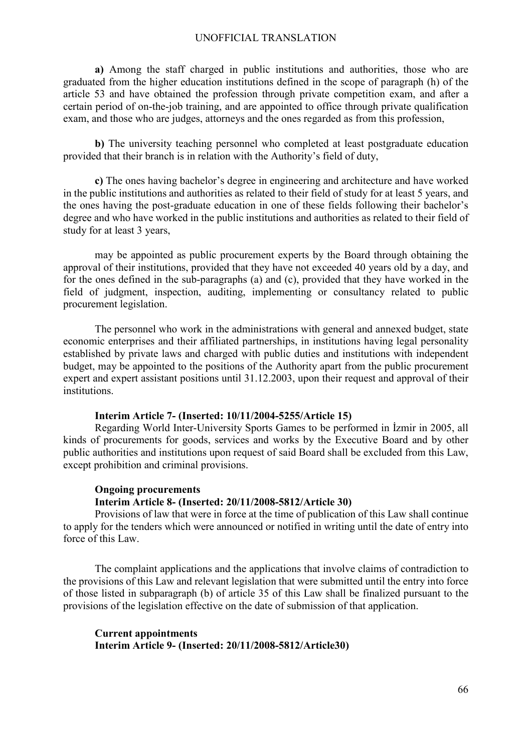**a)** Among the staff charged in public institutions and authorities, those who are graduated from the higher education institutions defined in the scope of paragraph (h) of the article 53 and have obtained the profession through private competition exam, and after a certain period of on-the-job training, and are appointed to office through private qualification exam, and those who are judges, attorneys and the ones regarded as from this profession,

**b)** The university teaching personnel who completed at least postgraduate education provided that their branch is in relation with the Authority's field of duty,

**c)** The ones having bachelor's degree in engineering and architecture and have worked in the public institutions and authorities as related to their field of study for at least 5 years, and the ones having the post-graduate education in one of these fields following their bachelor's degree and who have worked in the public institutions and authorities as related to their field of study for at least 3 years,

may be appointed as public procurement experts by the Board through obtaining the approval of their institutions, provided that they have not exceeded 40 years old by a day, and for the ones defined in the sub-paragraphs (a) and (c), provided that they have worked in the field of judgment, inspection, auditing, implementing or consultancy related to public procurement legislation.

The personnel who work in the administrations with general and annexed budget, state economic enterprises and their affiliated partnerships, in institutions having legal personality established by private laws and charged with public duties and institutions with independent budget, may be appointed to the positions of the Authority apart from the public procurement expert and expert assistant positions until 31.12.2003, upon their request and approval of their institutions.

### **Interim Article 7- (Inserted: 10/11/2004-5255/Article 15)**

Regarding World Inter-University Sports Games to be performed in İzmir in 2005, all kinds of procurements for goods, services and works by the Executive Board and by other public authorities and institutions upon request of said Board shall be excluded from this Law, except prohibition and criminal provisions.

#### **Ongoing procurements**

#### **Interim Article 8- (Inserted: 20/11/2008-5812/Article 30)**

Provisions of law that were in force at the time of publication of this Law shall continue to apply for the tenders which were announced or notified in writing until the date of entry into force of this Law.

The complaint applications and the applications that involve claims of contradiction to the provisions of this Law and relevant legislation that were submitted until the entry into force of those listed in subparagraph (b) of article 35 of this Law shall be finalized pursuant to the provisions of the legislation effective on the date of submission of that application.

## **Current appointments Interim Article 9- (Inserted: 20/11/2008-5812/Article30)**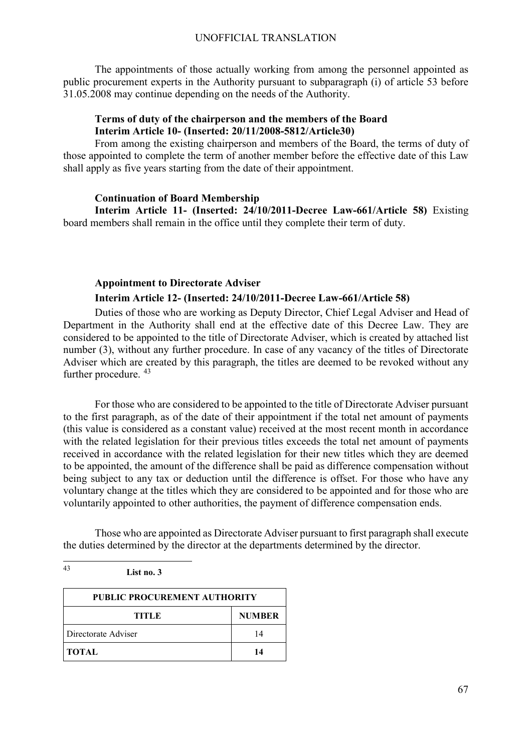The appointments of those actually working from among the personnel appointed as public procurement experts in the Authority pursuant to subparagraph (i) of article 53 before 31.05.2008 may continue depending on the needs of the Authority.

## **Terms of duty of the chairperson and the members of the Board Interim Article 10- (Inserted: 20/11/2008-5812/Article30)**

From among the existing chairperson and members of the Board, the terms of duty of those appointed to complete the term of another member before the effective date of this Law shall apply as five years starting from the date of their appointment.

## **Continuation of Board Membership**

**Interim Article 11- (Inserted: 24/10/2011-Decree Law-661/Article 58)** Existing board members shall remain in the office until they complete their term of duty.

## **Appointment to Directorate Adviser Interim Article 12- (Inserted: 24/10/2011-Decree Law-661/Article 58)**

Duties of those who are working as Deputy Director, Chief Legal Adviser and Head of Department in the Authority shall end at the effective date of this Decree Law. They are considered to be appointed to the title of Directorate Adviser, which is created by attached list number (3), without any further procedure. In case of any vacancy of the titles of Directorate Adviser which are created by this paragraph, the titles are deemed to be revoked without any further procedure.  $43$ 

For those who are considered to be appointed to the title of Directorate Adviser pursuant to the first paragraph, as of the date of their appointment if the total net amount of payments (this value is considered as a constant value) received at the most recent month in accordance with the related legislation for their previous titles exceeds the total net amount of payments received in accordance with the related legislation for their new titles which they are deemed to be appointed, the amount of the difference shall be paid as difference compensation without being subject to any tax or deduction until the difference is offset. For those who have any voluntary change at the titles which they are considered to be appointed and for those who are voluntarily appointed to other authorities, the payment of difference compensation ends.

Those who are appointed as Directorate Adviser pursuant to first paragraph shall execute the duties determined by the director at the departments determined by the director.

## <span id="page-66-0"></span>43 **List no. 3**

| <b>PUBLIC PROCUREMENT AUTHORITY</b> |               |
|-------------------------------------|---------------|
| TITLE                               | <b>NUMBER</b> |
| Directorate Adviser                 | 14            |
| <b>TOTAL</b>                        | 14            |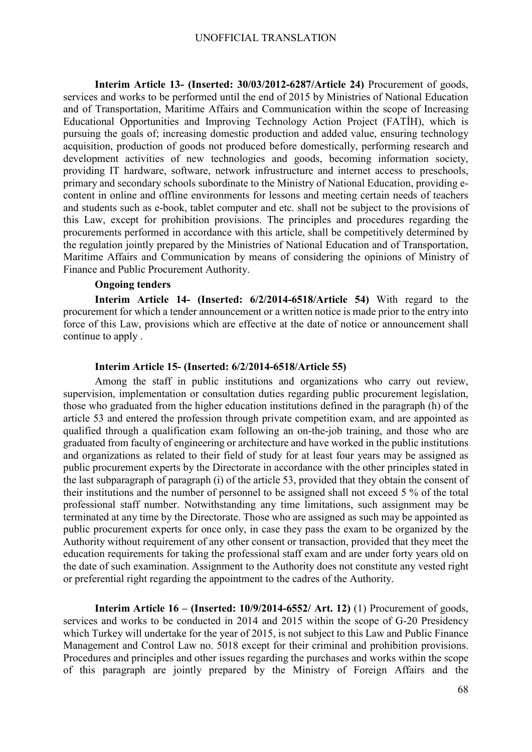**Interim Article 13- (Inserted: 30/03/2012-6287/Article 24)** Procurement of goods, services and works to be performed until the end of 2015 by Ministries of National Education and of Transportation, Maritime Affairs and Communication within the scope of Increasing Educational Opportunities and Improving Technology Action Project (FATİH), which is pursuing the goals of; increasing domestic production and added value, ensuring technology acquisition, production of goods not produced before domestically, performing research and development activities of new technologies and goods, becoming information society, providing IT hardware, software, network infrustructure and internet access to preschools, primary and secondary schools subordinate to the Ministry of National Education, providing econtent in online and offline environments for lessons and meeting certain needs of teachers and students such as e-book, tablet computer and etc. shall not be subject to the provisions of this Law, except for prohibition provisions. The principles and procedures regarding the procurements performed in accordance with this article, shall be competitively determined by the regulation jointly prepared by the Ministries of National Education and of Transportation, Maritime Affairs and Communication by means of considering the opinions of Ministry of Finance and Public Procurement Authority.

#### **Ongoing tenders**

**Interim Article 14- (Inserted: 6/2/2014-6518/Article 54)** With regard to the procurement for which a tender announcement or a written notice is made prior to the entry into force of this Law, provisions which are effective at the date of notice or announcement shall continue to apply .

## **Interim Article 15- (Inserted: 6/2/2014-6518/Article 55)**

Among the staff in public institutions and organizations who carry out review, supervision, implementation or consultation duties regarding public procurement legislation, those who graduated from the higher education institutions defined in the paragraph (h) of the article 53 and entered the profession through private competition exam, and are appointed as qualified through a qualification exam following an on-the-job training, and those who are graduated from faculty of engineering or architecture and have worked in the public institutions and organizations as related to their field of study for at least four years may be assigned as public procurement experts by the Directorate in accordance with the other principles stated in the last subparagraph of paragraph (i) of the article 53, provided that they obtain the consent of their institutions and the number of personnel to be assigned shall not exceed 5 % of the total professional staff number. Notwithstanding any time limitations, such assignment may be terminated at any time by the Directorate. Those who are assigned as such may be appointed as public procurement experts for once only, in case they pass the exam to be organized by the Authority without requirement of any other consent or transaction, provided that they meet the education requirements for taking the professional staff exam and are under forty years old on the date of such examination. Assignment to the Authority does not constitute any vested right or preferential right regarding the appointment to the cadres of the Authority.

**Interim Article 16 – (Inserted: 10/9/2014-6552/ Art. 12)** (1) Procurement of goods, services and works to be conducted in 2014 and 2015 within the scope of G-20 Presidency which Turkey will undertake for the year of 2015, is not subject to this Law and Public Finance Management and Control Law no. 5018 except for their criminal and prohibition provisions. Procedures and principles and other issues regarding the purchases and works within the scope of this paragraph are jointly prepared by the Ministry of Foreign Affairs and the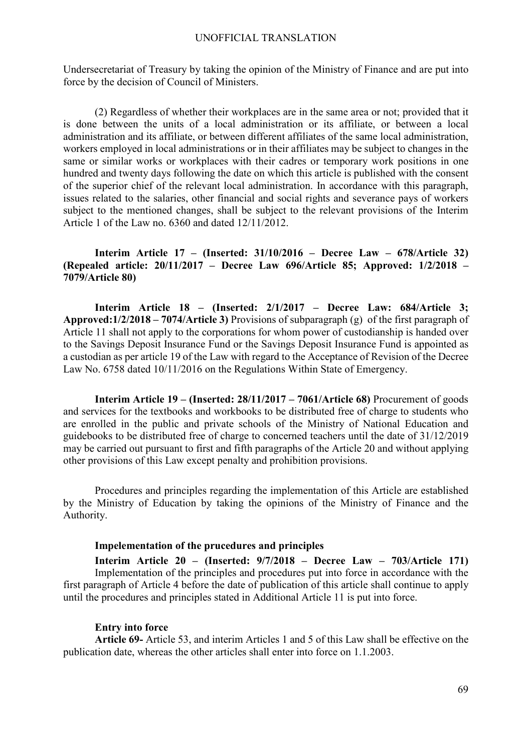Undersecretariat of Treasury by taking the opinion of the Ministry of Finance and are put into force by the decision of Council of Ministers.

(2) Regardless of whether their workplaces are in the same area or not; provided that it is done between the units of a local administration or its affiliate, or between a local administration and its affiliate, or between different affiliates of the same local administration, workers employed in local administrations or in their affiliates may be subject to changes in the same or similar works or workplaces with their cadres or temporary work positions in one hundred and twenty days following the date on which this article is published with the consent of the superior chief of the relevant local administration. In accordance with this paragraph, issues related to the salaries, other financial and social rights and severance pays of workers subject to the mentioned changes, shall be subject to the relevant provisions of the Interim Article 1 of the Law no. 6360 and dated 12/11/2012.

**Interim Article 17 – (Inserted: 31/10/2016 – Decree Law – 678/Article 32) (Repealed article: 20/11/2017 – Decree Law 696/Article 85; Approved: 1/2/2018 – 7079/Article 80)**

**Interim Article 18 – (Inserted: 2/1/2017 – Decree Law: 684/Article 3; Approved:1/2/2018 – 7074/Article 3)** Provisions of subparagraph (g) of the first paragraph of Article 11 shall not apply to the corporations for whom power of custodianship is handed over to the Savings Deposit Insurance Fund or the Savings Deposit Insurance Fund is appointed as a custodian as per article 19 of the Law with regard to the Acceptance of Revision of the Decree Law No. 6758 dated 10/11/2016 on the Regulations Within State of Emergency.

**Interim Article 19 – (Inserted: 28/11/2017 – 7061/Article 68)** Procurement of goods and services for the textbooks and workbooks to be distributed free of charge to students who are enrolled in the public and private schools of the Ministry of National Education and guidebooks to be distributed free of charge to concerned teachers until the date of 31/12/2019 may be carried out pursuant to first and fifth paragraphs of the Article 20 and without applying other provisions of this Law except penalty and prohibition provisions.

Procedures and principles regarding the implementation of this Article are established by the Ministry of Education by taking the opinions of the Ministry of Finance and the Authority.

#### **Impelementation of the prucedures and principles**

**Interim Article 20 – (Inserted: 9/7/2018 – Decree Law – 703/Article 171)**  Implementation of the principles and procedures put into force in accordance with the first paragraph of Article 4 before the date of publication of this article shall continue to apply until the procedures and principles stated in Additional Article 11 is put into force.

#### **Entry into force**

**Article 69-** Article 53, and interim Articles 1 and 5 of this Law shall be effective on the publication date, whereas the other articles shall enter into force on 1.1.2003.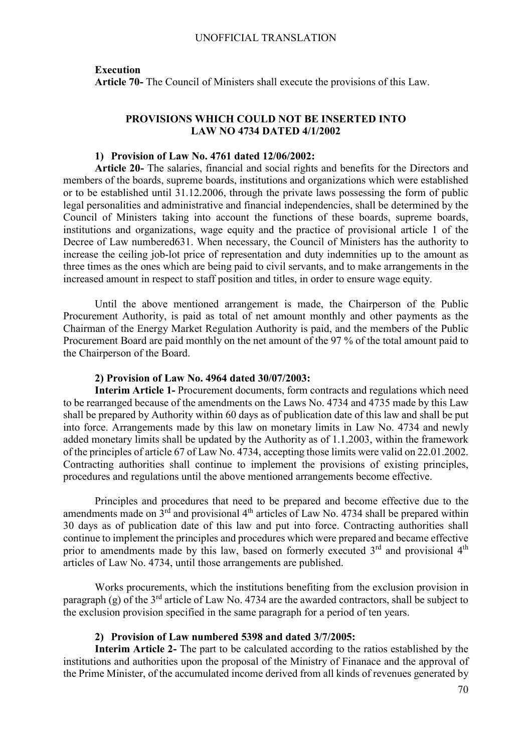#### **Execution**

**Article 70-** The Council of Ministers shall execute the provisions of this Law.

### **PROVISIONS WHICH COULD NOT BE INSERTED INTO LAW NO 4734 DATED 4/1/2002**

## **1) Provision of Law No. 4761 dated 12/06/2002:**

**Article 20-** The salaries, financial and social rights and benefits for the Directors and members of the boards, supreme boards, institutions and organizations which were established or to be established until 31.12.2006, through the private laws possessing the form of public legal personalities and administrative and financial independencies, shall be determined by the Council of Ministers taking into account the functions of these boards, supreme boards, institutions and organizations, wage equity and the practice of provisional article 1 of the Decree of Law numbered631. When necessary, the Council of Ministers has the authority to increase the ceiling job-lot price of representation and duty indemnities up to the amount as three times as the ones which are being paid to civil servants, and to make arrangements in the increased amount in respect to staff position and titles, in order to ensure wage equity.

Until the above mentioned arrangement is made, the Chairperson of the Public Procurement Authority, is paid as total of net amount monthly and other payments as the Chairman of the Energy Market Regulation Authority is paid, and the members of the Public Procurement Board are paid monthly on the net amount of the 97 % of the total amount paid to the Chairperson of the Board.

#### **2) Provision of Law No. 4964 dated 30/07/2003:**

**Interim Article 1-** Procurement documents, form contracts and regulations which need to be rearranged because of the amendments on the Laws No. 4734 and 4735 made by this Law shall be prepared by Authority within 60 days as of publication date of this law and shall be put into force. Arrangements made by this law on monetary limits in Law No. 4734 and newly added monetary limits shall be updated by the Authority as of 1.1.2003, within the framework of the principles of article 67 of Law No. 4734, accepting those limits were valid on 22.01.2002. Contracting authorities shall continue to implement the provisions of existing principles, procedures and regulations until the above mentioned arrangements become effective.

Principles and procedures that need to be prepared and become effective due to the amendments made on  $3<sup>rd</sup>$  and provisional 4<sup>th</sup> articles of Law No. 4734 shall be prepared within 30 days as of publication date of this law and put into force. Contracting authorities shall continue to implement the principles and procedures which were prepared and became effective prior to amendments made by this law, based on formerly executed  $3<sup>rd</sup>$  and provisional  $4<sup>th</sup>$ articles of Law No. 4734, until those arrangements are published.

Works procurements, which the institutions benefiting from the exclusion provision in paragraph (g) of the  $3<sup>rd</sup>$  article of Law No. 4734 are the awarded contractors, shall be subject to the exclusion provision specified in the same paragraph for a period of ten years.

#### **2) Provision of Law numbered 5398 and dated 3/7/2005:**

**Interim Article 2-** The part to be calculated according to the ratios established by the institutions and authorities upon the proposal of the Ministry of Finanace and the approval of the Prime Minister, of the accumulated income derived from all kinds of revenues generated by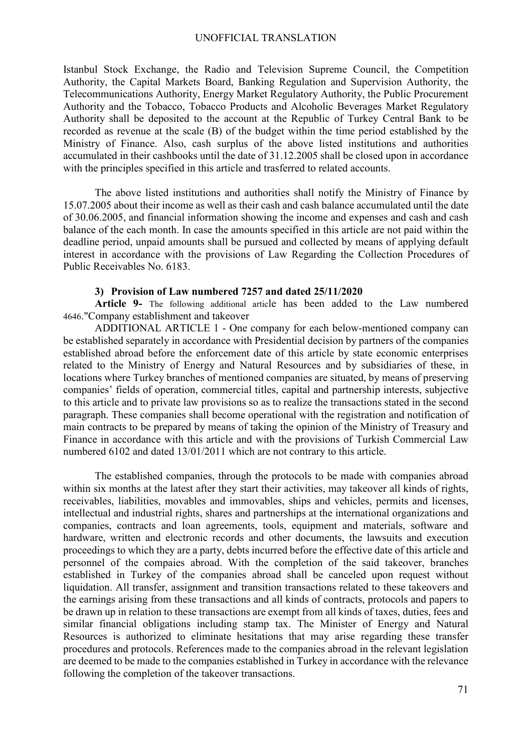Istanbul Stock Exchange, the Radio and Television Supreme Council, the Competition Authority, the Capital Markets Board, Banking Regulation and Supervision Authority, the Telecommunications Authority, Energy Market Regulatory Authority, the Public Procurement Authority and the Tobacco, Tobacco Products and Alcoholic Beverages Market Regulatory Authority shall be deposited to the account at the Republic of Turkey Central Bank to be recorded as revenue at the scale (B) of the budget within the time period established by the Ministry of Finance. Also, cash surplus of the above listed institutions and authorities accumulated in their cashbooks until the date of 31.12.2005 shall be closed upon in accordance with the principles specified in this article and trasferred to related accounts.

The above listed institutions and authorities shall notify the Ministry of Finance by 15.07.2005 about their income as well as their cash and cash balance accumulated until the date of 30.06.2005, and financial information showing the income and expenses and cash and cash balance of the each month. In case the amounts specified in this article are not paid within the deadline period, unpaid amounts shall be pursued and collected by means of applying default interest in accordance with the provisions of Law Regarding the Collection Procedures of Public Receivables No. 6183.

### **3) Provision of Law numbered 7257 and dated 25/11/2020**

**Article 9-** The following additional article has been added to the Law numbered 4646."Company establishment and takeover

ADDITIONAL ARTICLE 1 - One company for each below-mentioned company can be established separately in accordance with Presidential decision by partners of the companies established abroad before the enforcement date of this article by state economic enterprises related to the Ministry of Energy and Natural Resources and by subsidiaries of these, in locations where Turkey branches of mentioned companies are situated, by means of preserving companies' fields of operation, commercial titles, capital and partnership interests, subjective to this article and to private law provisions so as to realize the transactions stated in the second paragraph. These companies shall become operational with the registration and notification of main contracts to be prepared by means of taking the opinion of the Ministry of Treasury and Finance in accordance with this article and with the provisions of Turkish Commercial Law numbered 6102 and dated 13/01/2011 which are not contrary to this article.

The established companies, through the protocols to be made with companies abroad within six months at the latest after they start their activities, may takeover all kinds of rights, receivables, liabilities, movables and immovables, ships and vehicles, permits and licenses, intellectual and industrial rights, shares and partnerships at the international organizations and companies, contracts and loan agreements, tools, equipment and materials, software and hardware, written and electronic records and other documents, the lawsuits and execution proceedings to which they are a party, debts incurred before the effective date of this article and personnel of the compaies abroad. With the completion of the said takeover, branches established in Turkey of the companies abroad shall be canceled upon request without liquidation. All transfer, assignment and transition transactions related to these takeovers and the earnings arising from these transactions and all kinds of contracts, protocols and papers to be drawn up in relation to these transactions are exempt from all kinds of taxes, duties, fees and similar financial obligations including stamp tax. The Minister of Energy and Natural Resources is authorized to eliminate hesitations that may arise regarding these transfer procedures and protocols. References made to the companies abroad in the relevant legislation are deemed to be made to the companies established in Turkey in accordance with the relevance following the completion of the takeover transactions.